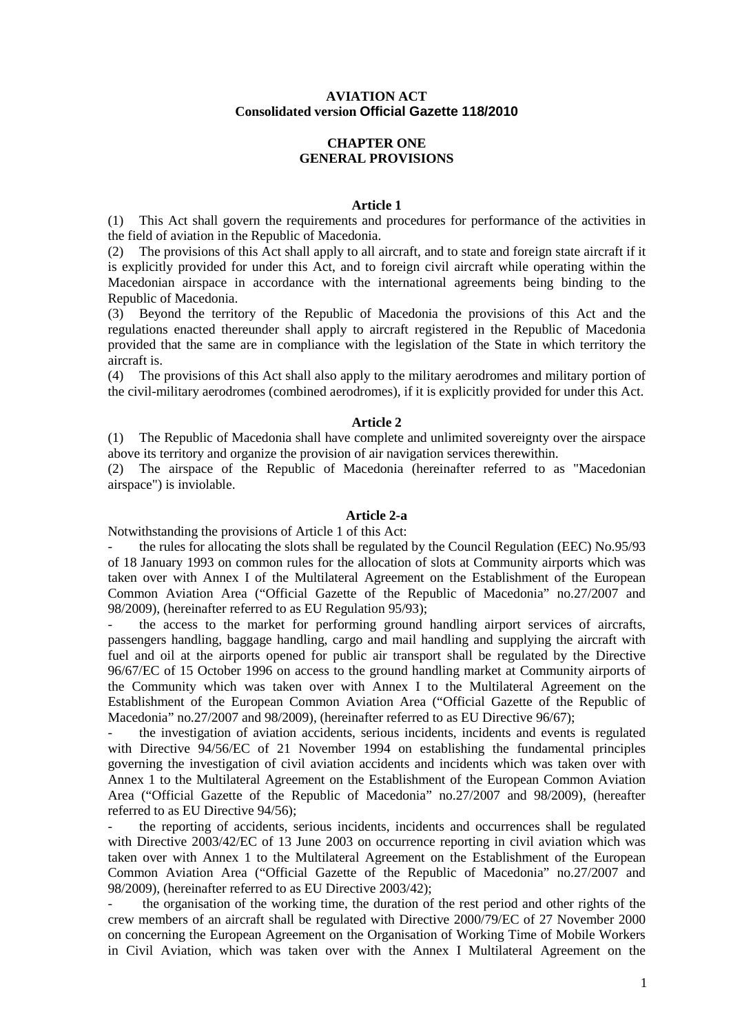#### **AVIATION ACT Consolidated version Official Gazette 118/2010**

# **CHAPTER ONE GENERAL PROVISIONS**

#### **Article 1**

(1) This Act shall govern the requirements and procedures for performance of the activities in the field of aviation in the Republic of Macedonia.

(2) The provisions of this Act shall apply to all aircraft, and to state and foreign state aircraft if it is explicitly provided for under this Act, and to foreign civil aircraft while operating within the Macedonian airspace in accordance with the international agreements being binding to the Republic of Macedonia.

(3) Beyond the territory of the Republic of Macedonia the provisions of this Act and the regulations enacted thereunder shall apply to aircraft registered in the Republic of Macedonia provided that the same are in compliance with the legislation of the State in which territory the aircraft is.

(4) The provisions of this Act shall also apply to the military aerodromes and military portion of the civil-military aerodromes (combined aerodromes), if it is explicitly provided for under this Act.

#### **Article 2**

(1) The Republic of Macedonia shall have complete and unlimited sovereignty over the airspace above its territory and organize the provision of air navigation services therewithin.

(2) The airspace of the Republic of Macedonia (hereinafter referred to as "Macedonian airspace") is inviolable.

### **Article 2-a**

Notwithstanding the provisions of Article 1 of this Act:

the rules for allocating the slots shall be regulated by the Council Regulation (EEC) No.95/93 of 18 January 1993 on common rules for the allocation of slots at Community airports which was taken over with Annex I of the Multilateral Agreement on the Establishment of the European Common Aviation Area ("Official Gazette of the Republic of Macedonia" no.27/2007 and 98/2009), (hereinafter referred to as EU Regulation 95/93);

the access to the market for performing ground handling airport services of aircrafts, passengers handling, baggage handling, cargo and mail handling and supplying the aircraft with fuel and oil at the airports opened for public air transport shall be regulated by the Directive 96/67/EC of 15 October 1996 on access to the ground handling market at Community airports of the Community which was taken over with Annex I to the Multilateral Agreement on the Establishment of the European Common Aviation Area ("Official Gazette of the Republic of Macedonia" no.27/2007 and 98/2009), (hereinafter referred to as EU Directive 96/67);

- the investigation of aviation accidents, serious incidents, incidents and events is regulated with Directive 94/56/EC of 21 November 1994 on establishing the fundamental principles governing the investigation of civil aviation accidents and incidents which was taken over with Annex 1 to the Multilateral Agreement on the Establishment of the European Common Aviation Area ("Official Gazette of the Republic of Macedonia" no.27/2007 and 98/2009), (hereafter referred to as EU Directive 94/56);

the reporting of accidents, serious incidents, incidents and occurrences shall be regulated with Directive 2003/42/EC of 13 June 2003 on occurrence reporting in civil aviation which was taken over with Annex 1 to the Multilateral Agreement on the Establishment of the European Common Aviation Area ("Official Gazette of the Republic of Macedonia" no.27/2007 and 98/2009), (hereinafter referred to as EU Directive 2003/42);

the organisation of the working time, the duration of the rest period and other rights of the crew members of an aircraft shall be regulated with Directive 2000/79/EC of 27 November 2000 on concerning the European Agreement on the Organisation of Working Time of Mobile Workers in Civil Aviation, which was taken over with the Annex I Multilateral Agreement on the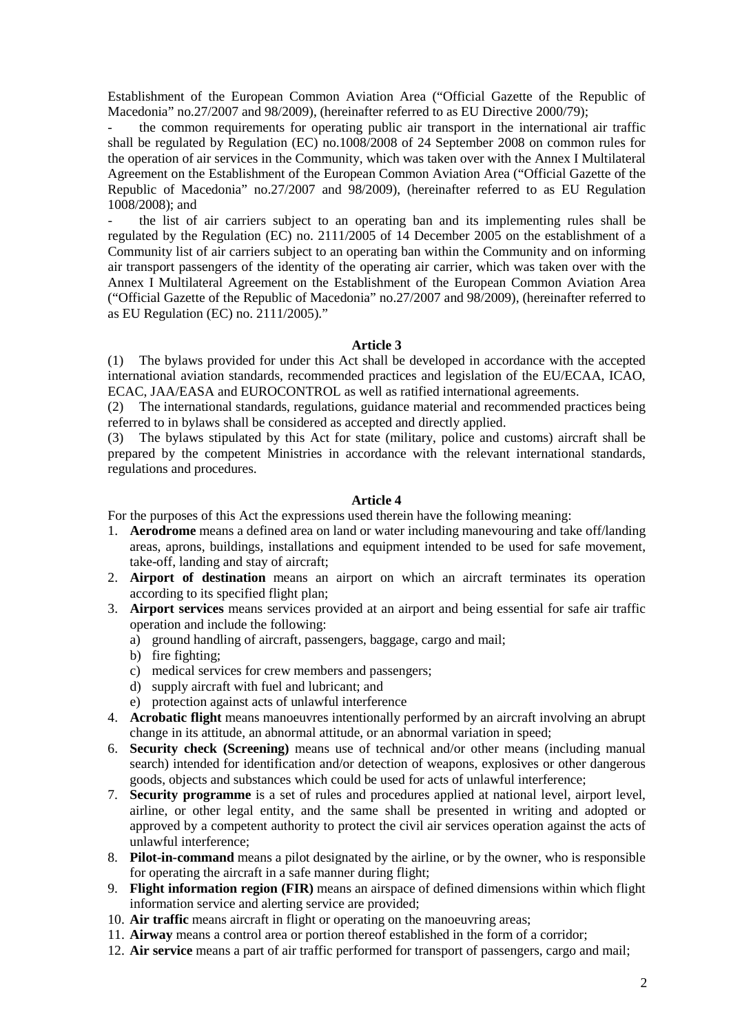Establishment of the European Common Aviation Area ("Official Gazette of the Republic of Macedonia" no.27/2007 and 98/2009), (hereinafter referred to as EU Directive 2000/79);

the common requirements for operating public air transport in the international air traffic shall be regulated by Regulation (EC) no.1008/2008 of 24 September 2008 on common rules for the operation of air services in the Community, which was taken over with the Annex I Multilateral Agreement on the Establishment of the European Common Aviation Area ("Official Gazette of the Republic of Macedonia" no.27/2007 and 98/2009), (hereinafter referred to as EU Regulation 1008/2008); and

the list of air carriers subject to an operating ban and its implementing rules shall be regulated by the Regulation (EC) no. 2111/2005 of 14 December 2005 on the establishment of a Community list of air carriers subject to an operating ban within the Community and on informing air transport passengers of the identity of the operating air carrier, which was taken over with the Annex I Multilateral Agreement on the Establishment of the European Common Aviation Area ("Official Gazette of the Republic of Macedonia" no.27/2007 and 98/2009), (hereinafter referred to as EU Regulation (EC) no. 2111/2005)."

#### **Article 3**

(1) The bylaws provided for under this Act shall be developed in accordance with the accepted international aviation standards, recommended practices and legislation of the EU/ECAA, ICAO, ECAC, JAA/EASA and EUROCONTROL as well as ratified international agreements.

(2) The international standards, regulations, guidance material and recommended practices being referred to in bylaws shall be considered as accepted and directly applied.

(3) The bylaws stipulated by this Act for state (military, police and customs) aircraft shall be prepared by the competent Ministries in accordance with the relevant international standards, regulations and procedures.

#### **Article 4**

For the purposes of this Act the expressions used therein have the following meaning:

- 1. **Aerodrome** means a defined area on land or water including manevouring and take off/landing areas, aprons, buildings, installations and equipment intended to be used for safe movement, take-off, landing and stay of aircraft;
- 2. **Airport of destination** means an airport on which an aircraft terminates its operation according to its specified flight plan;
- 3. **Airport services** means services provided at an airport and being essential for safe air traffic operation and include the following:
	- a) ground handling of aircraft, passengers, baggage, cargo and mail;
	- b) fire fighting;
	- c) medical services for crew members and passengers;
	- d) supply aircraft with fuel and lubricant; and
	- e) protection against acts of unlawful interference
- 4. **Acrobatic flight** means manoeuvres intentionally performed by an aircraft involving an abrupt change in its attitude, an abnormal attitude, or an abnormal variation in speed;
- 6. **Security check (Screening)** means use of technical and/or other means (including manual search) intended for identification and/or detection of weapons, explosives or other dangerous goods, objects and substances which could be used for acts of unlawful interference;
- 7. **Security programme** is a set of rules and procedures applied at national level, airport level, airline, or other legal entity, and the same shall be presented in writing and adopted or approved by a competent authority to protect the civil air services operation against the acts of unlawful interference;
- 8. **Pilot-in-command** means a pilot designated by the airline, or by the owner, who is responsible for operating the aircraft in a safe manner during flight;
- 9. **Flight information region (FIR)** means an airspace of defined dimensions within which flight information service and alerting service are provided;
- 10. **Air traffic** means aircraft in flight or operating on the manoeuvring areas;
- 11. **Airway** means a control area or portion thereof established in the form of a corridor;
- 12. **Air service** means a part of air traffic performed for transport of passengers, cargo and mail;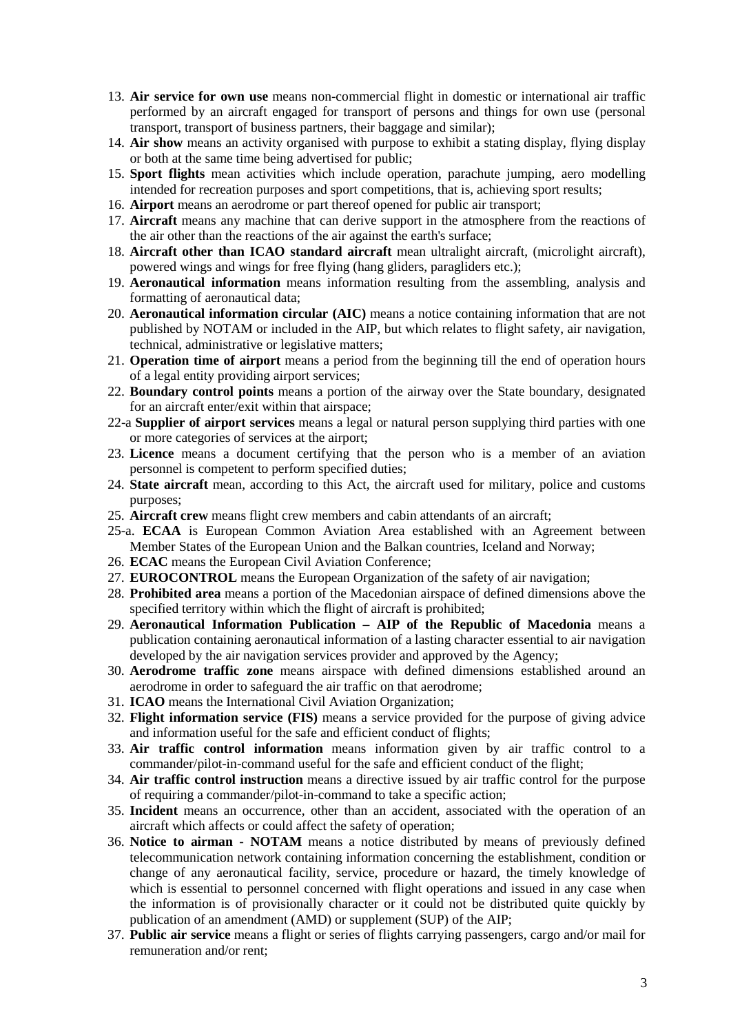- 13. **Air service for own use** means non-commercial flight in domestic or international air traffic performed by an aircraft engaged for transport of persons and things for own use (personal transport, transport of business partners, their baggage and similar);
- 14. **Air show** means an activity organised with purpose to exhibit a stating display, flying display or both at the same time being advertised for public;
- 15. **Sport flights** mean activities which include operation, parachute jumping, aero modelling intended for recreation purposes and sport competitions, that is, achieving sport results;
- 16. **Airport** means an aerodrome or part thereof opened for public air transport;
- 17. **Aircraft** means any machine that can derive support in the atmosphere from the reactions of the air other than the reactions of the air against the earth's surface;
- 18. **Aircraft other than ICAO standard aircraft** mean ultralight aircraft, (microlight aircraft), powered wings and wings for free flying (hang gliders, paragliders etc.);
- 19. **Aeronautical information** means information resulting from the assembling, analysis and formatting of aeronautical data;
- 20. **Aeronautical information circular (AIC)** means a notice containing information that are not published by NOTAM or included in the AIP, but which relates to flight safety, air navigation, technical, administrative or legislative matters;
- 21. **Operation time of airport** means a period from the beginning till the end of operation hours of a legal entity providing airport services;
- 22. **Boundary control points** means a portion of the airway over the State boundary, designated for an aircraft enter/exit within that airspace;
- 22-a **Supplier of airport services** means a legal or natural person supplying third parties with one or more categories of services at the airport;
- 23. **Licence** means a document certifying that the person who is a member of an aviation personnel is competent to perform specified duties;
- 24. **State aircraft** mean, according to this Act, the aircraft used for military, police and customs purposes;
- 25. **Aircraft crew** means flight crew members and cabin attendants of an aircraft;
- 25-a. **ECAA** is European Common Aviation Area established with an Agreement between Member States of the European Union and the Balkan countries, Iceland and Norway;
- 26. **ECAC** means the European Civil Aviation Conference;
- 27. **EUROCONTROL** means the European Organization of the safety of air navigation;
- 28. **Prohibited area** means a portion of the Macedonian airspace of defined dimensions above the specified territory within which the flight of aircraft is prohibited;
- 29. **Aeronautical Information Publication – AIP of the Republic of Macedonia** means a publication containing aeronautical information of a lasting character essential to air navigation developed by the air navigation services provider and approved by the Agency;
- 30. **Aerodrome traffic zone** means airspace with defined dimensions established around an aerodrome in order to safeguard the air traffic on that aerodrome;
- 31. **ICAO** means the International Civil Aviation Organization;
- 32. **Flight information service (FIS)** means a service provided for the purpose of giving advice and information useful for the safe and efficient conduct of flights;
- 33. **Air traffic control information** means information given by air traffic control to a commander/pilot-in-command useful for the safe and efficient conduct of the flight;
- 34. **Air traffic control instruction** means a directive issued by air traffic control for the purpose of requiring a commander/pilot-in-command to take a specific action;
- 35. **Incident** means an occurrence, other than an accident, associated with the operation of an aircraft which affects or could affect the safety of operation;
- 36. **Notice to airman - NOTAM** means a notice distributed by means of previously defined telecommunication network containing information concerning the establishment, condition or change of any aeronautical facility, service, procedure or hazard, the timely knowledge of which is essential to personnel concerned with flight operations and issued in any case when the information is of provisionally character or it could not be distributed quite quickly by publication of an amendment (AMD) or supplement (SUP) of the AIP;
- 37. **Public air service** means a flight or series of flights carrying passengers, cargo and/or mail for remuneration and/or rent;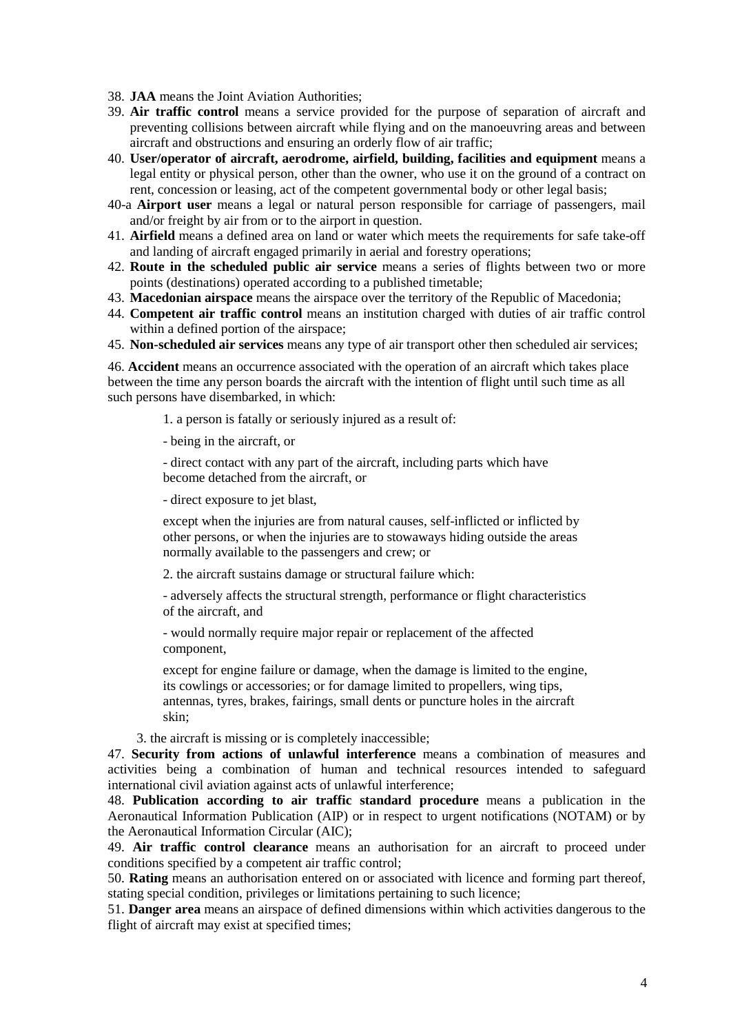38. **JAA** means the Joint Aviation Authorities;

- 39. **Air traffic control** means a service provided for the purpose of separation of aircraft and preventing collisions between aircraft while flying and on the manoeuvring areas and between aircraft and obstructions and ensuring an orderly flow of air traffic;
- 40. **User/operator of aircraft, aerodrome, airfield, building, facilities and equipment** means a legal entity or physical person, other than the owner, who use it on the ground of a contract on rent, concession or leasing, act of the competent governmental body or other legal basis;
- 40-a **Airport user** means a legal or natural person responsible for carriage of passengers, mail and/or freight by air from or to the airport in question.
- 41. **Airfield** means a defined area on land or water which meets the requirements for safe take-off and landing of aircraft engaged primarily in aerial and forestry operations;
- 42. **Route in the scheduled public air service** means a series of flights between two or more points (destinations) operated according to a published timetable;
- 43. **Macedonian airspace** means the airspace over the territory of the Republic of Macedonia;
- 44. **Competent air traffic control** means an institution charged with duties of air traffic control within a defined portion of the airspace;
- 45. **Non-scheduled air services** means any type of air transport other then scheduled air services;

46. **Accident** means an occurrence associated with the operation of an aircraft which takes place between the time any person boards the aircraft with the intention of flight until such time as all such persons have disembarked, in which:

1. a person is fatally or seriously injured as a result of:

- being in the aircraft, or

- direct contact with any part of the aircraft, including parts which have become detached from the aircraft, or

- direct exposure to jet blast,

except when the injuries are from natural causes, self-inflicted or inflicted by other persons, or when the injuries are to stowaways hiding outside the areas normally available to the passengers and crew; or

2. the aircraft sustains damage or structural failure which:

- adversely affects the structural strength, performance or flight characteristics of the aircraft, and

- would normally require major repair or replacement of the affected component,

except for engine failure or damage, when the damage is limited to the engine, its cowlings or accessories; or for damage limited to propellers, wing tips, antennas, tyres, brakes, fairings, small dents or puncture holes in the aircraft skin;

3. the aircraft is missing or is completely inaccessible;

47. **Security from actions of unlawful interference** means a combination of measures and activities being a combination of human and technical resources intended to safeguard international civil aviation against acts of unlawful interference;

48. **Publication according to air traffic standard procedure** means a publication in the Aeronautical Information Publication (AIP) or in respect to urgent notifications (NOTAM) or by the Aeronautical Information Circular (AIC);

49. **Air traffic control clearance** means an authorisation for an aircraft to proceed under conditions specified by a competent air traffic control;

50. **Rating** means an authorisation entered on or associated with licence and forming part thereof, stating special condition, privileges or limitations pertaining to such licence;

51. **Danger area** means an airspace of defined dimensions within which activities dangerous to the flight of aircraft may exist at specified times;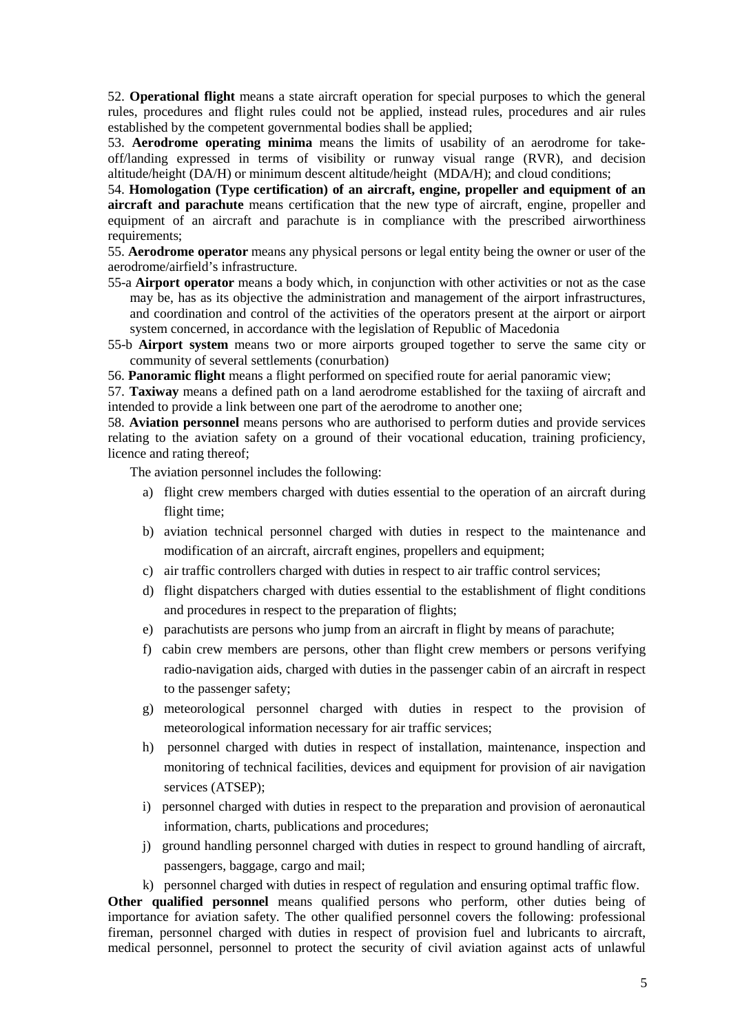52. **Operational flight** means a state aircraft operation for special purposes to which the general rules, procedures and flight rules could not be applied, instead rules, procedures and air rules established by the competent governmental bodies shall be applied;

53. **Aerodrome operating minima** means the limits of usability of an aerodrome for takeoff/landing expressed in terms of visibility or runway visual range (RVR), and decision altitude/height (DA/H) or minimum descent altitude/height (MDA/H); and cloud conditions;

54. **Homologation (Type certification) of an aircraft, engine, propeller and equipment of an aircraft and parachute** means certification that the new type of aircraft, engine, propeller and equipment of an aircraft and parachute is in compliance with the prescribed airworthiness requirements;

55. **Aerodrome operator** means any physical persons or legal entity being the owner or user of the aerodrome/airfield's infrastructure.

- 55-a **Airport operator** means a body which, in conjunction with other activities or not as the case may be, has as its objective the administration and management of the airport infrastructures, and coordination and control of the activities of the operators present at the airport or airport system concerned, in accordance with the legislation of Republic of Macedonia
- 55-b **Airport system** means two or more airports grouped together to serve the same city or community of several settlements (conurbation)

56. **Panoramic flight** means a flight performed on specified route for aerial panoramic view;

57. **Taxiway** means a defined path on a land aerodrome established for the taxiing of aircraft and intended to provide a link between one part of the aerodrome to another one;

58. **Aviation personnel** means persons who are authorised to perform duties and provide services relating to the aviation safety on a ground of their vocational education, training proficiency, licence and rating thereof;

The aviation personnel includes the following:

- a) flight crew members charged with duties essential to the operation of an aircraft during flight time;
- b) aviation technical personnel charged with duties in respect to the maintenance and modification of an aircraft, aircraft engines, propellers and equipment;
- c) air traffic controllers charged with duties in respect to air traffic control services;
- d) flight dispatchers charged with duties essential to the establishment of flight conditions and procedures in respect to the preparation of flights;
- e) parachutists are persons who jump from an aircraft in flight by means of parachute;
- f) cabin crew members are persons, other than flight crew members or persons verifying radio-navigation aids, charged with duties in the passenger cabin of an aircraft in respect to the passenger safety;
- g) meteorological personnel charged with duties in respect to the provision of meteorological information necessary for air traffic services;
- h) personnel charged with duties in respect of installation, maintenance, inspection and monitoring of technical facilities, devices and equipment for provision of air navigation services (ATSEP);
- i) personnel charged with duties in respect to the preparation and provision of aeronautical information, charts, publications and procedures;
- j) ground handling personnel charged with duties in respect to ground handling of aircraft, passengers, baggage, cargo and mail;

k) personnel charged with duties in respect of regulation and ensuring optimal traffic flow.

**Other qualified personnel** means qualified persons who perform, other duties being of importance for aviation safety. The other qualified personnel covers the following: professional fireman, personnel charged with duties in respect of provision fuel and lubricants to aircraft, medical personnel, personnel to protect the security of civil aviation against acts of unlawful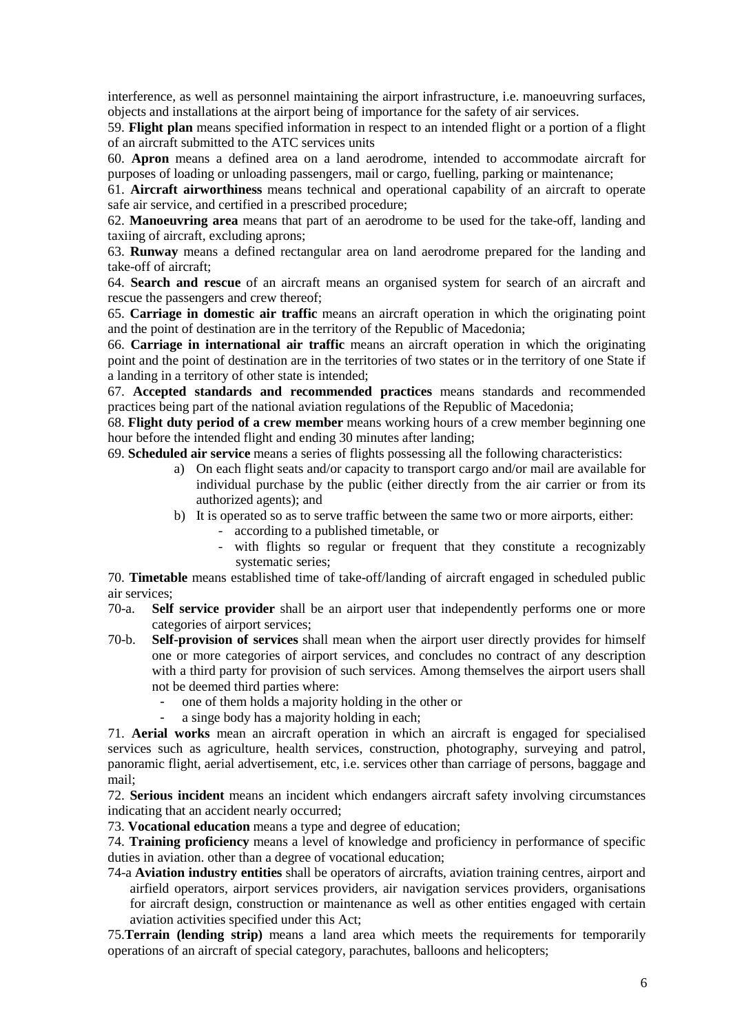interference, as well as personnel maintaining the airport infrastructure, i.e. manoeuvring surfaces, objects and installations at the airport being of importance for the safety of air services.

59. **Flight plan** means specified information in respect to an intended flight or a portion of a flight of an aircraft submitted to the ATC services units

60. **Apron** means a defined area on a land aerodrome, intended to accommodate aircraft for purposes of loading or unloading passengers, mail or cargo, fuelling, parking or maintenance;

61. **Aircraft airworthiness** means technical and operational capability of an aircraft to operate safe air service, and certified in a prescribed procedure;

62. **Manoeuvring area** means that part of an aerodrome to be used for the take-off, landing and taxiing of aircraft, excluding aprons;

63. **Runway** means a defined rectangular area on land aerodrome prepared for the landing and take-off of aircraft;

64. **Search and rescue** of an aircraft means an organised system for search of an aircraft and rescue the passengers and crew thereof;

65. **Carriage in domestic air traffic** means an aircraft operation in which the originating point and the point of destination are in the territory of the Republic of Macedonia;

66. **Carriage in international air traffic** means an aircraft operation in which the originating point and the point of destination are in the territories of two states or in the territory of one State if a landing in a territory of other state is intended;

67. **Accepted standards and recommended practices** means standards and recommended practices being part of the national aviation regulations of the Republic of Macedonia;

68. **Flight duty period of a crew member** means working hours of a crew member beginning one hour before the intended flight and ending 30 minutes after landing;

69. **Scheduled air service** means a series of flights possessing all the following characteristics:

- a) On each flight seats and/or capacity to transport cargo and/or mail are available for individual purchase by the public (either directly from the air carrier or from its authorized agents); and
- b) It is operated so as to serve traffic between the same two or more airports, either:
	- according to a published timetable, or
	- with flights so regular or frequent that they constitute a recognizably systematic series;

70. **Timetable** means established time of take-off/landing of aircraft engaged in scheduled public air services;

- 70-a. **Self service provider** shall be an airport user that independently performs one or more categories of airport services;
- 70-b. **Self-provision of services** shall mean when the airport user directly provides for himself one or more categories of airport services, and concludes no contract of any description with a third party for provision of such services. Among themselves the airport users shall not be deemed third parties where:
	- one of them holds a majority holding in the other or
	- a singe body has a majority holding in each;

71. **Aerial works** mean an aircraft operation in which an aircraft is engaged for specialised services such as agriculture, health services, construction, photography, surveying and patrol, panoramic flight, aerial advertisement, etc, i.e. services other than carriage of persons, baggage and mail;

72. **Serious incident** means an incident which endangers aircraft safety involving circumstances indicating that an accident nearly occurred;

73. **Vocational education** means a type and degree of education;

74. **Training proficiency** means a level of knowledge and proficiency in performance of specific duties in aviation. other than a degree of vocational education;

74-a **Aviation industry entities** shall be operators of aircrafts, aviation training centres, airport and airfield operators, airport services providers, air navigation services providers, organisations for aircraft design, construction or maintenance as well as other entities engaged with certain aviation activities specified under this Act;

75.**Terrain (lending strip)** means a land area which meets the requirements for temporarily operations of an aircraft of special category, parachutes, balloons and helicopters;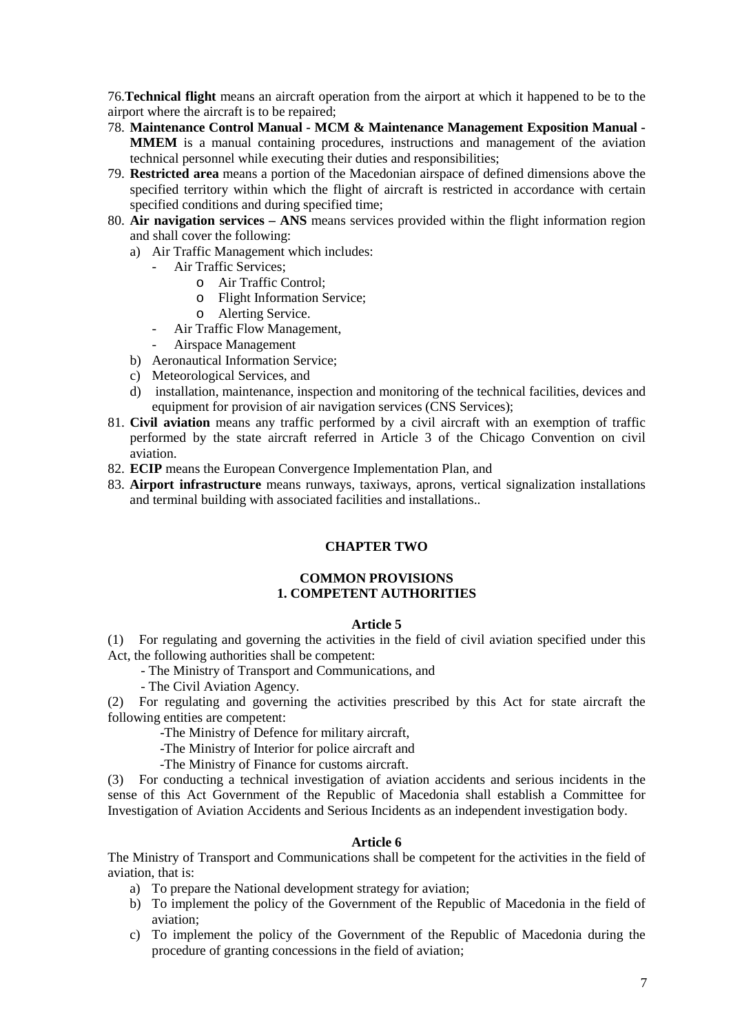76.**Technical flight** means an aircraft operation from the airport at which it happened to be to the airport where the aircraft is to be repaired;

- 78. **Maintenance Control Manual - MCM & Maintenance Management Exposition Manual - MMEM** is a manual containing procedures, instructions and management of the aviation technical personnel while executing their duties and responsibilities;
- 79. **Restricted area** means a portion of the Macedonian airspace of defined dimensions above the specified territory within which the flight of aircraft is restricted in accordance with certain specified conditions and during specified time;
- 80. **Air navigation services – ANS** means services provided within the flight information region and shall cover the following:
	- a) Air Traffic Management which includes:
		- Air Traffic Services;
			- o Air Traffic Control;
			- o Flight Information Service;
			- o Alerting Service.
		- Air Traffic Flow Management,
		- Airspace Management
	- b) Aeronautical Information Service:
	- c) Meteorological Services, and
	- d) installation, maintenance, inspection and monitoring of the technical facilities, devices and equipment for provision of air navigation services (CNS Services);
- 81. **Civil aviation** means any traffic performed by a civil aircraft with an exemption of traffic performed by the state aircraft referred in Article 3 of the Chicago Convention on civil aviation.
- 82. **ECIP** means the European Convergence Implementation Plan, and
- 83. **Airport infrastructure** means runways, taxiways, aprons, vertical signalization installations and terminal building with associated facilities and installations..

### **CHAPTER TWO**

### **COMMON PROVISIONS 1. COMPETENT AUTHORITIES**

### **Article 5**

(1) For regulating and governing the activities in the field of civil aviation specified under this Act, the following authorities shall be competent:

- The Ministry of Transport and Communications, and
- The Civil Aviation Agency.

(2) For regulating and governing the activities prescribed by this Act for state aircraft the following entities are competent:

-The Ministry of Defence for military aircraft,

-The Ministry of Interior for police aircraft and

-The Ministry of Finance for customs aircraft.

(3) For conducting a technical investigation of aviation accidents and serious incidents in the sense of this Act Government of the Republic of Macedonia shall establish a Committee for Investigation of Aviation Accidents and Serious Incidents as an independent investigation body.

#### **Article 6**

The Ministry of Transport and Communications shall be competent for the activities in the field of aviation, that is:

- a) To prepare the National development strategy for aviation;
- b) To implement the policy of the Government of the Republic of Macedonia in the field of aviation;
- c) To implement the policy of the Government of the Republic of Macedonia during the procedure of granting concessions in the field of aviation;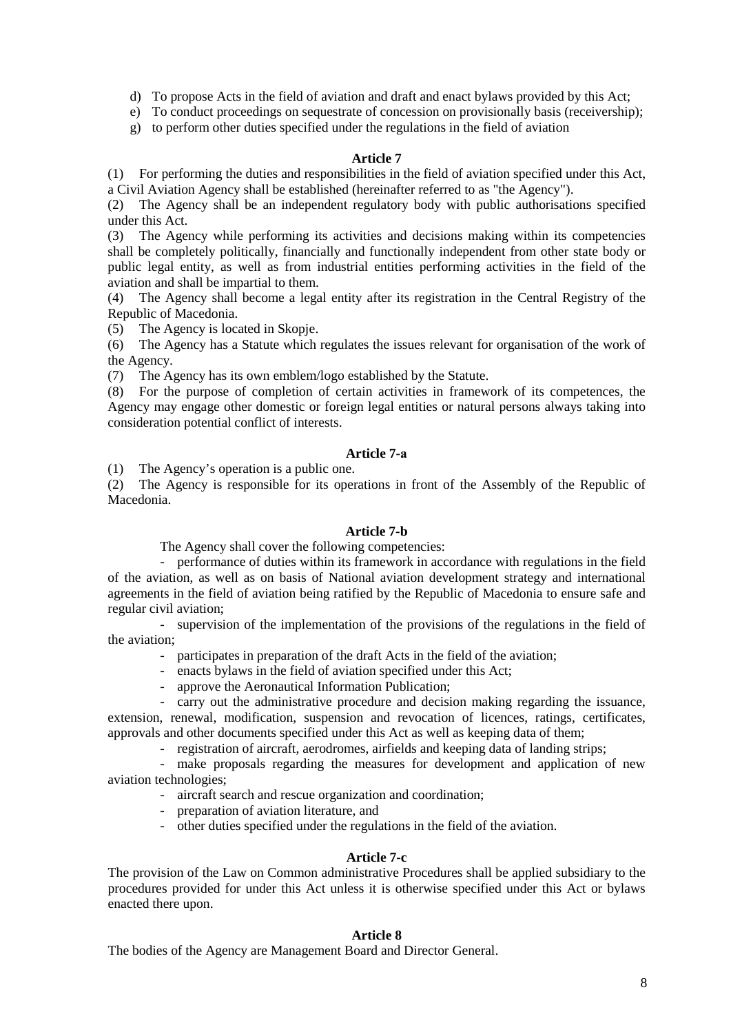d) To propose Acts in the field of aviation and draft and enact bylaws provided by this Act;

e) To conduct proceedings on sequestrate of concession on provisionally basis (receivership);

g) to perform other duties specified under the regulations in the field of aviation

# **Article 7**

(1) For performing the duties and responsibilities in the field of aviation specified under this Act, a Civil Aviation Agency shall be established (hereinafter referred to as "the Agency").

(2) The Agency shall be an independent regulatory body with public authorisations specified under this Act.

(3) The Agency while performing its activities and decisions making within its competencies shall be completely politically, financially and functionally independent from other state body or public legal entity, as well as from industrial entities performing activities in the field of the aviation and shall be impartial to them.

(4) The Agency shall become a legal entity after its registration in the Central Registry of the Republic of Macedonia.

(5) The Agency is located in Skopje.

(6) The Agency has a Statute which regulates the issues relevant for organisation of the work of the Agency.

(7) The Agency has its own emblem/logo established by the Statute.

(8) For the purpose of completion of certain activities in framework of its competences, the Agency may engage other domestic or foreign legal entities or natural persons always taking into consideration potential conflict of interests.

# **Article 7-а**

(1) The Agency's operation is a public one.

(2) The Agency is responsible for its operations in front of the Assembly of the Republic of Macedonia.

# **Article 7-b**

The Agency shall cover the following competencies:

- performance of duties within its framework in accordance with regulations in the field of the aviation, as well as on basis of National aviation development strategy and international agreements in the field of aviation being ratified by the Republic of Macedonia to ensure safe and regular civil aviation;

- supervision of the implementation of the provisions of the regulations in the field of the aviation;

- participates in preparation of the draft Acts in the field of the aviation;

- enacts bylaws in the field of aviation specified under this Act;

- approve the Aeronautical Information Publication;

- carry out the administrative procedure and decision making regarding the issuance, extension, renewal, modification, suspension and revocation of licences, ratings, certificates,

approvals and other documents specified under this Act as well as keeping data of them;

- registration of aircraft, aerodromes, airfields and keeping data of landing strips;

- make proposals regarding the measures for development and application of new aviation technologies;

- aircraft search and rescue organization and coordination;
- preparation of aviation literature, and
- other duties specified under the regulations in the field of the aviation.

# **Article 7-c**

The provision of the Law on Common administrative Procedures shall be applied subsidiary to the procedures provided for under this Act unless it is otherwise specified under this Act or bylaws enacted there upon.

# **Article 8**

The bodies of the Agency are Management Board and Director General.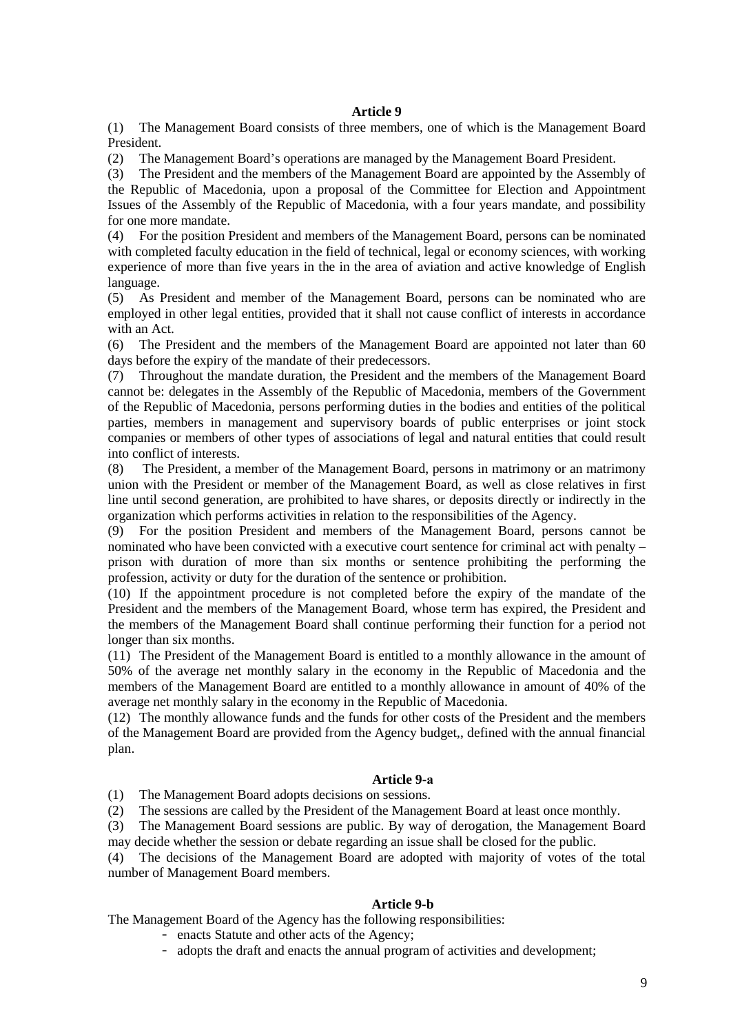#### **Article 9**

(1) The Management Board consists of three members, one of which is the Management Board President.

(2) The Management Board's operations are managed by the Management Board President.

(3) The President and the members of the Management Board are appointed by the Assembly of the Republic of Macedonia, upon a proposal of the Committee for Election and Appointment Issues of the Assembly of the Republic of Macedonia, with a four years mandate, and possibility for one more mandate.

(4) For the position President and members of the Management Board, persons can be nominated with completed faculty education in the field of technical, legal or economy sciences, with working experience of more than five years in the in the area of aviation and active knowledge of English language.

(5) As President and member of the Management Board, persons can be nominated who are employed in other legal entities, provided that it shall not cause conflict of interests in accordance with an Act.

(6) The President and the members of the Management Board are appointed not later than 60 days before the expiry of the mandate of their predecessors.

(7) Throughout the mandate duration, the President and the members of the Management Board cannot be: delegates in the Assembly of the Republic of Macedonia, members of the Government of the Republic of Macedonia, persons performing duties in the bodies and entities of the political parties, members in management and supervisory boards of public enterprises or joint stock companies or members of other types of associations of legal and natural entities that could result into conflict of interests.

(8) The President, a member of the Management Board, persons in matrimony or an matrimony union with the President or member of the Management Board, as well as close relatives in first line until second generation, are prohibited to have shares, or deposits directly or indirectly in the organization which performs activities in relation to the responsibilities of the Agency.

(9) For the position President and members of the Management Board, persons cannot be nominated who have been convicted with a executive court sentence for criminal act with penalty – prison with duration of more than six months or sentence prohibiting the performing the profession, activity or duty for the duration of the sentence or prohibition.

(10) If the appointment procedure is not completed before the expiry of the mandate of the President and the members of the Management Board, whose term has expired, the President and the members of the Management Board shall continue performing their function for a period not longer than six months.

(11) The President of the Management Board is entitled to a monthly allowance in the amount of 50% of the average net monthly salary in the economy in the Republic of Macedonia and the members of the Management Board are entitled to a monthly allowance in amount of 40% of the average net monthly salary in the economy in the Republic of Macedonia.

(12) The monthly allowance funds and the funds for other costs of the President and the members of the Management Board are provided from the Agency budget,, defined with the annual financial plan.

### **Article 9-а**

(1) The Management Board adopts decisions on sessions.

(2) The sessions are called by the President of the Management Board at least once monthly.

(3) The Management Board sessions are public. By way of derogation, the Management Board may decide whether the session or debate regarding an issue shall be closed for the public.

(4) The decisions of the Management Board are adopted with majority of votes of the total number of Management Board members.

#### **Article 9-b**

The Management Board of the Agency has the following responsibilities:

- enacts Statute and other acts of the Agency;
- adopts the draft and enacts the annual program of activities and development;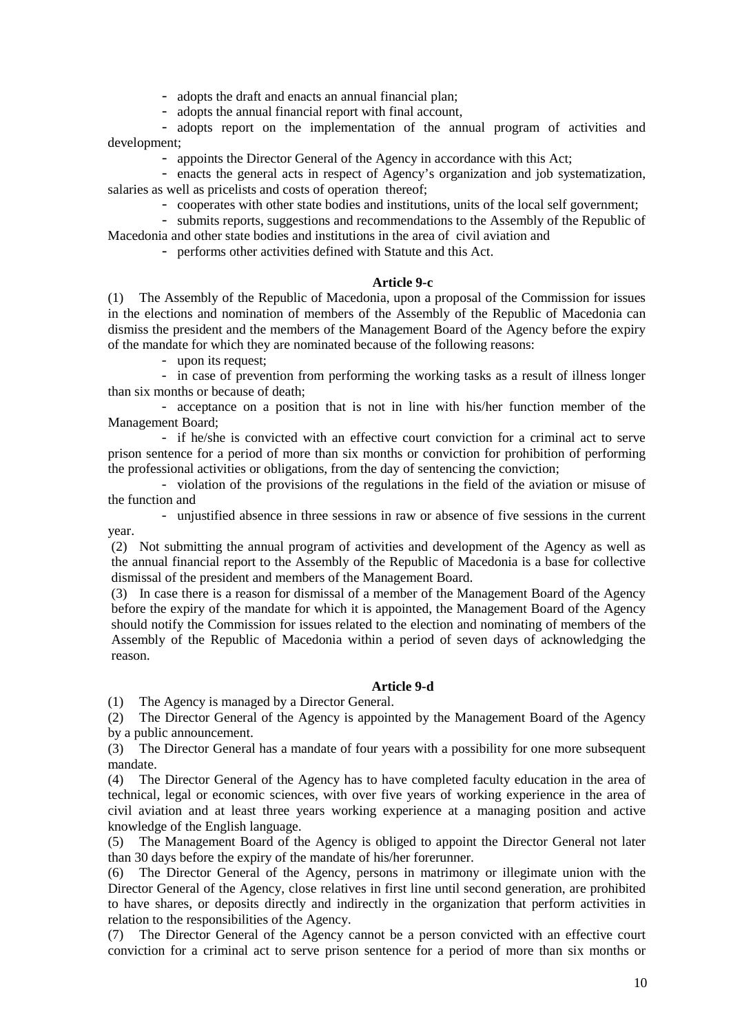- adopts the draft and enacts an annual financial plan;

- adopts the annual financial report with final account,

- adopts report on the implementation of the annual program of activities and development;

- appoints the Director General of the Agency in accordance with this Act;

- enacts the general acts in respect of Agency's organization and job systematization, salaries as well as pricelists and costs of operation thereof;

- cooperates with other state bodies and institutions, units of the local self government;

- submits reports, suggestions and recommendations to the Assembly of the Republic of Macedonia and other state bodies and institutions in the area of civil aviation and

- performs other activities defined with Statute and this Act.

### **Article 9-c**

(1) The Assembly of the Republic of Macedonia, upon a proposal of the Commission for issues in the elections and nomination of members of the Assembly of the Republic of Macedonia can dismiss the president and the members of the Management Board of the Agency before the expiry of the mandate for which they are nominated because of the following reasons:

- upon its request;

- in case of prevention from performing the working tasks as a result of illness longer than six months or because of death;

- acceptance on a position that is not in line with his/her function member of the Management Board;

- if he/she is convicted with an effective court conviction for a criminal act to serve prison sentence for a period of more than six months or conviction for prohibition of performing the professional activities or obligations, from the day of sentencing the conviction;

- violation of the provisions of the regulations in the field of the aviation or misuse of the function and

- unjustified absence in three sessions in raw or absence of five sessions in the current year.

(2) Not submitting the annual program of activities and development of the Agency as well as the annual financial report to the Assembly of the Republic of Macedonia is a base for collective dismissal of the president and members of the Management Board.

(3) In case there is a reason for dismissal of a member of the Management Board of the Agency before the expiry of the mandate for which it is appointed, the Management Board of the Agency should notify the Commission for issues related to the election and nominating of members of the Assembly of the Republic of Macedonia within a period of seven days of acknowledging the reason.

# **Article 9-d**

(1) The Agency is managed by a Director General.

(2) The Director General of the Agency is appointed by the Management Board of the Agency by a public announcement.

(3) The Director General has a mandate of four years with a possibility for one more subsequent mandate.

(4) The Director General of the Agency has to have completed faculty education in the area of technical, legal or economic sciences, with over five years of working experience in the area of civil aviation and at least three years working experience at a managing position and active knowledge of the English language.

(5) The Management Board of the Agency is obliged to appoint the Director General not later than 30 days before the expiry of the mandate of his/her forerunner.

(6) The Director General of the Agency, persons in matrimony or illegimate union with the Director General of the Agency, close relatives in first line until second generation, are prohibited to have shares, or deposits directly and indirectly in the organization that perform activities in relation to the responsibilities of the Agency.

(7) The Director General of the Agency cannot be a person convicted with an effective court conviction for a criminal act to serve prison sentence for a period of more than six months or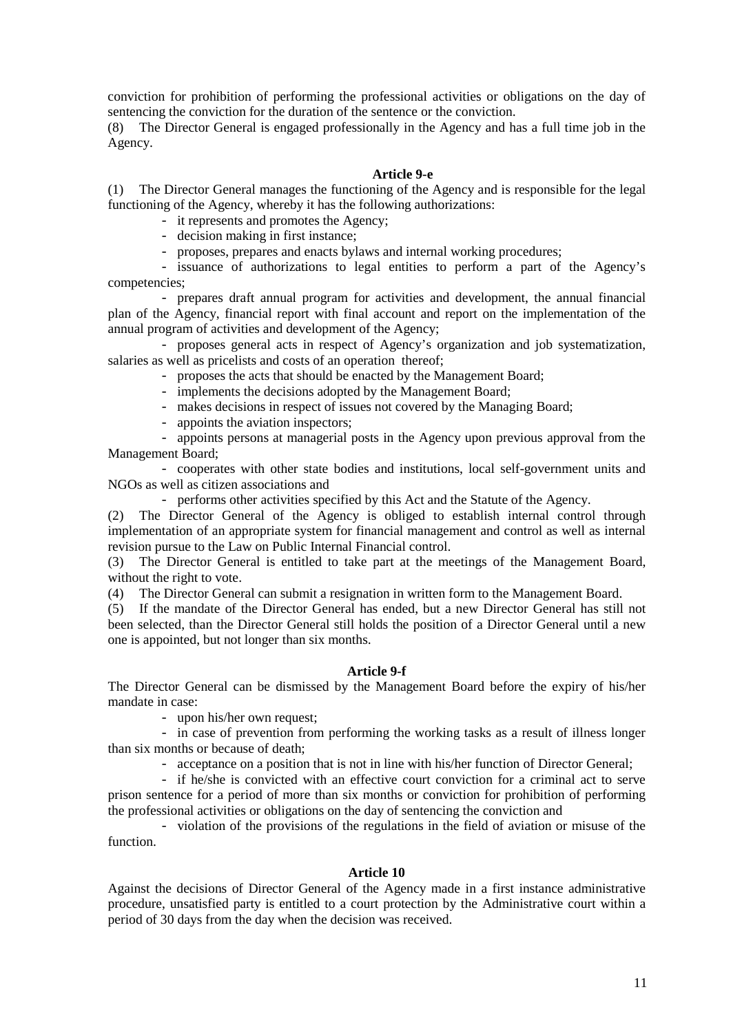conviction for prohibition of performing the professional activities or obligations on the day of sentencing the conviction for the duration of the sentence or the conviction.

(8) The Director General is engaged professionally in the Agency and has a full time job in the Agency.

### **Article 9-e**

(1) The Director General manages the functioning of the Agency and is responsible for the legal functioning of the Agency, whereby it has the following authorizations:

- it represents and promotes the Agency;

- decision making in first instance;

- proposes, prepares and enacts bylaws and internal working procedures;

- issuance of authorizations to legal entities to perform a part of the Agency's competencies;

- prepares draft annual program for activities and development, the annual financial plan of the Agency, financial report with final account and report on the implementation of the annual program of activities and development of the Agency;

- proposes general acts in respect of Agency's organization and job systematization, salaries as well as pricelists and costs of an operation thereof;

- proposes the acts that should be enacted by the Management Board;

- implements the decisions adopted by the Management Board;

- makes decisions in respect of issues not covered by the Managing Board;
- appoints the aviation inspectors;

- appoints persons at managerial posts in the Agency upon previous approval from the Management Board;

- cooperates with other state bodies and institutions, local self-government units and NGOs as well as citizen associations and

- performs other activities specified by this Act and the Statute of the Agency.

(2) The Director General of the Agency is obliged to establish internal control through implementation of an appropriate system for financial management and control as well as internal revision pursue to the Law on Public Internal Financial control.

(3) The Director General is entitled to take part at the meetings of the Management Board, without the right to vote.

(4) The Director General can submit a resignation in written form to the Management Board.

(5) If the mandate of the Director General has ended, but a new Director General has still not been selected, than the Director General still holds the position of a Director General until a new one is appointed, but not longer than six months.

#### **Article 9-f**

The Director General can be dismissed by the Management Board before the expiry of his/her mandate in case:

- upon his/her own request;

- in case of prevention from performing the working tasks as a result of illness longer than six months or because of death;

- acceptance on a position that is not in line with his/her function of Director General;

- if he/she is convicted with an effective court conviction for a criminal act to serve prison sentence for a period of more than six months or conviction for prohibition of performing the professional activities or obligations on the day of sentencing the conviction and

- violation of the provisions of the regulations in the field of aviation or misuse of the function.

# **Article 10**

Against the decisions of Director General of the Agency made in a first instance administrative procedure, unsatisfied party is entitled to a court protection by the Administrative court within a period of 30 days from the day when the decision was received.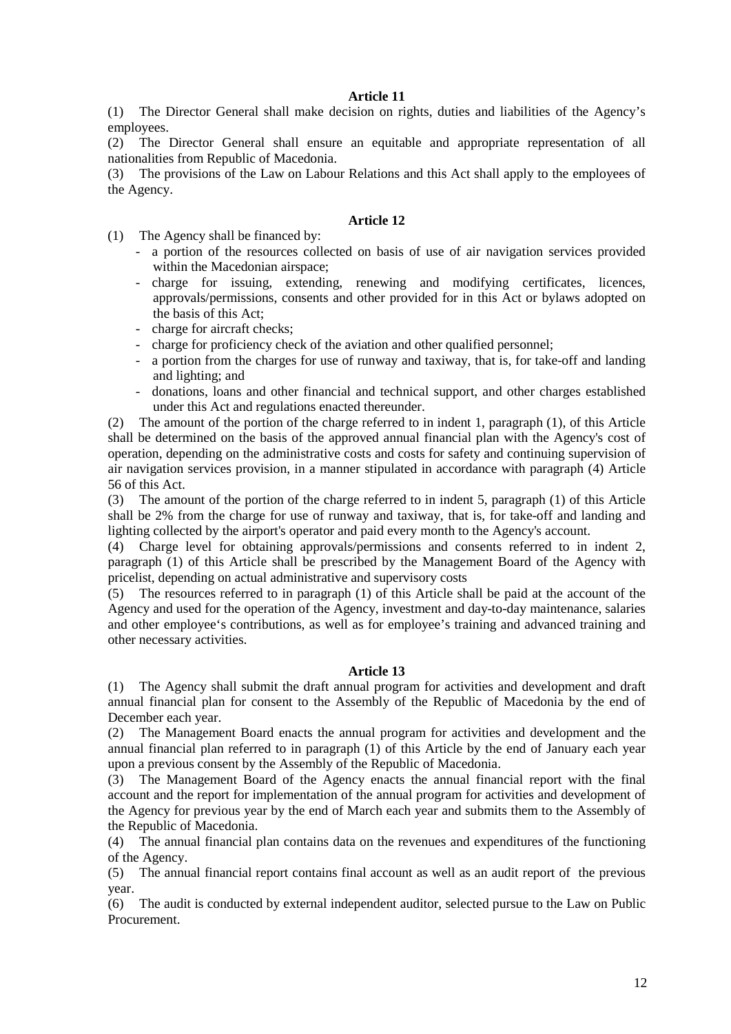### **Article 11**

(1) The Director General shall make decision on rights, duties and liabilities of the Agency's employees.

(2) The Director General shall ensure an equitable and appropriate representation of all nationalities from Republic of Macedonia.

(3) The provisions of the Law on Labour Relations and this Act shall apply to the employees of the Agency.

# **Article 12**

- (1) The Agency shall be financed by:
	- a portion of the resources collected on basis of use of air navigation services provided within the Macedonian airspace;
	- charge for issuing, extending, renewing and modifying certificates, licences, approvals/permissions, consents and other provided for in this Act or bylaws adopted on the basis of this Act;
	- charge for aircraft checks;
	- charge for proficiency check of the aviation and other qualified personnel;
	- a portion from the charges for use of runway and taxiway, that is, for take-off and landing and lighting; and
	- donations, loans and other financial and technical support, and other charges established under this Act and regulations enacted thereunder.

(2) The amount of the portion of the charge referred to in indent 1, paragraph (1), of this Article shall be determined on the basis of the approved annual financial plan with the Agency's cost of operation, depending on the administrative costs and costs for safety and continuing supervision of air navigation services provision, in a manner stipulated in accordance with paragraph (4) Article 56 of this Act.

(3) The amount of the portion of the charge referred to in indent 5, paragraph (1) of this Article shall be 2% from the charge for use of runway and taxiway, that is, for take-off and landing and lighting collected by the airport's operator and paid every month to the Agency's account.

(4) Charge level for obtaining approvals/permissions and consents referred to in indent 2, paragraph (1) of this Article shall be prescribed by the Management Board of the Agency with pricelist, depending on actual administrative and supervisory costs

(5) The resources referred to in paragraph (1) of this Article shall be paid at the account of the Agency and used for the operation of the Agency, investment and day-to-day maintenance, salaries and other employee's contributions, as well as for employee's training and advanced training and other necessary activities.

#### **Article 13**

(1) The Agency shall submit the draft annual program for activities and development and draft annual financial plan for consent to the Assembly of the Republic of Macedonia by the end of December each year.

(2) The Management Board enacts the annual program for activities and development and the annual financial plan referred to in paragraph (1) of this Article by the end of January each year upon a previous consent by the Assembly of the Republic of Macedonia.

(3) The Management Board of the Agency enacts the annual financial report with the final account and the report for implementation of the annual program for activities and development of the Agency for previous year by the end of March each year and submits them to the Assembly of the Republic of Macedonia.

(4) The annual financial plan contains data on the revenues and expenditures of the functioning of the Agency.

(5) The annual financial report contains final account as well as an audit report of the previous year.

(6) The audit is conducted by external independent auditor, selected pursue to the Law on Public Procurement.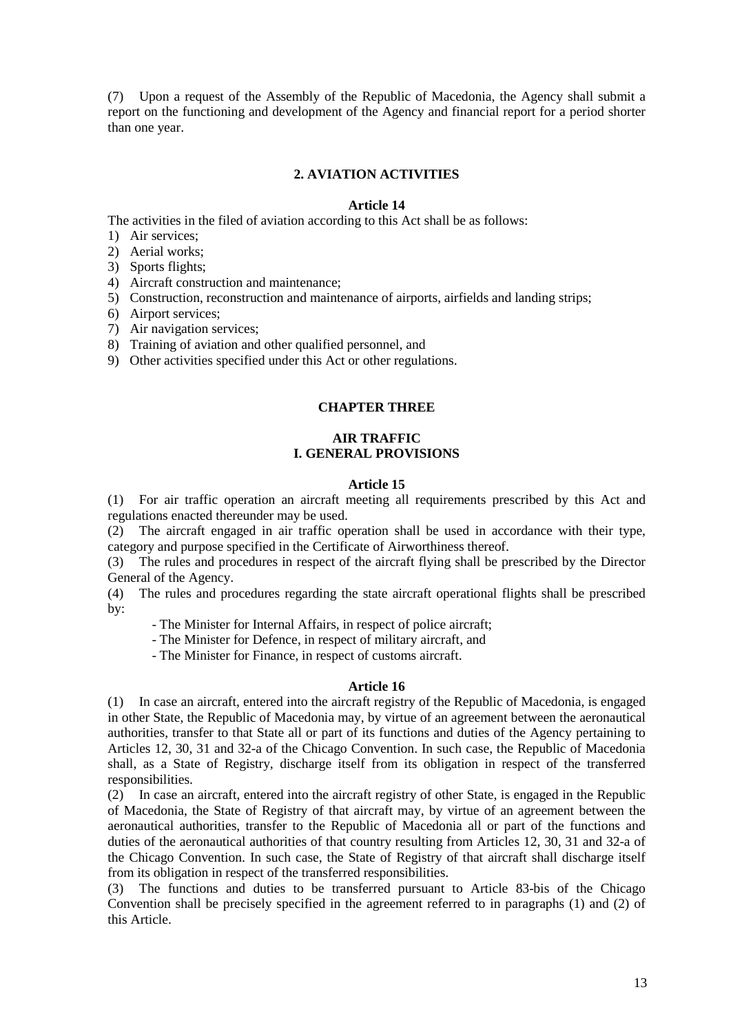(7) Upon a request of the Assembly of the Republic of Macedonia, the Agency shall submit a report on the functioning and development of the Agency and financial report for a period shorter than one year.

# **2. AVIATION ACTIVITIES**

### **Article 14**

The activities in the filed of aviation according to this Act shall be as follows:

- 1) Air services;
- 2) Aerial works;
- 3) Sports flights;
- 4) Aircraft construction and maintenance;
- 5) Construction, reconstruction and maintenance of airports, airfields and landing strips;
- 6) Airport services;
- 7) Air navigation services;
- 8) Training of aviation and other qualified personnel, and
- 9) Other activities specified under this Act or other regulations.

#### **CHAPTER THREE**

# **AIR TRAFFIC I. GENERAL PROVISIONS**

### **Article 15**

(1) For air traffic operation an aircraft meeting all requirements prescribed by this Act and regulations enacted thereunder may be used.

(2) The aircraft engaged in air traffic operation shall be used in accordance with their type, category and purpose specified in the Certificate of Airworthiness thereof.

(3) The rules and procedures in respect of the aircraft flying shall be prescribed by the Director General of the Agency.

(4) The rules and procedures regarding the state aircraft operational flights shall be prescribed by:

- The Minister for Internal Affairs, in respect of police aircraft;

- The Minister for Defence, in respect of military aircraft, and

- The Minister for Finance, in respect of customs aircraft.

#### **Article 16**

(1) In case an aircraft, entered into the aircraft registry of the Republic of Macedonia, is engaged in other State, the Republic of Macedonia may, by virtue of an agreement between the aeronautical authorities, transfer to that State all or part of its functions and duties of the Agency pertaining to Articles 12, 30, 31 and 32-a of the Chicago Convention. In such case, the Republic of Macedonia shall, as a State of Registry, discharge itself from its obligation in respect of the transferred responsibilities.

(2) In case an aircraft, entered into the aircraft registry of other State, is engaged in the Republic of Macedonia, the State of Registry of that aircraft may, by virtue of an agreement between the aeronautical authorities, transfer to the Republic of Macedonia all or part of the functions and duties of the aeronautical authorities of that country resulting from Articles 12, 30, 31 and 32-a of the Chicago Convention. In such case, the State of Registry of that aircraft shall discharge itself from its obligation in respect of the transferred responsibilities.

(3) The functions and duties to be transferred pursuant to Article 83-bis of the Chicago Convention shall be precisely specified in the agreement referred to in paragraphs (1) and (2) of this Article.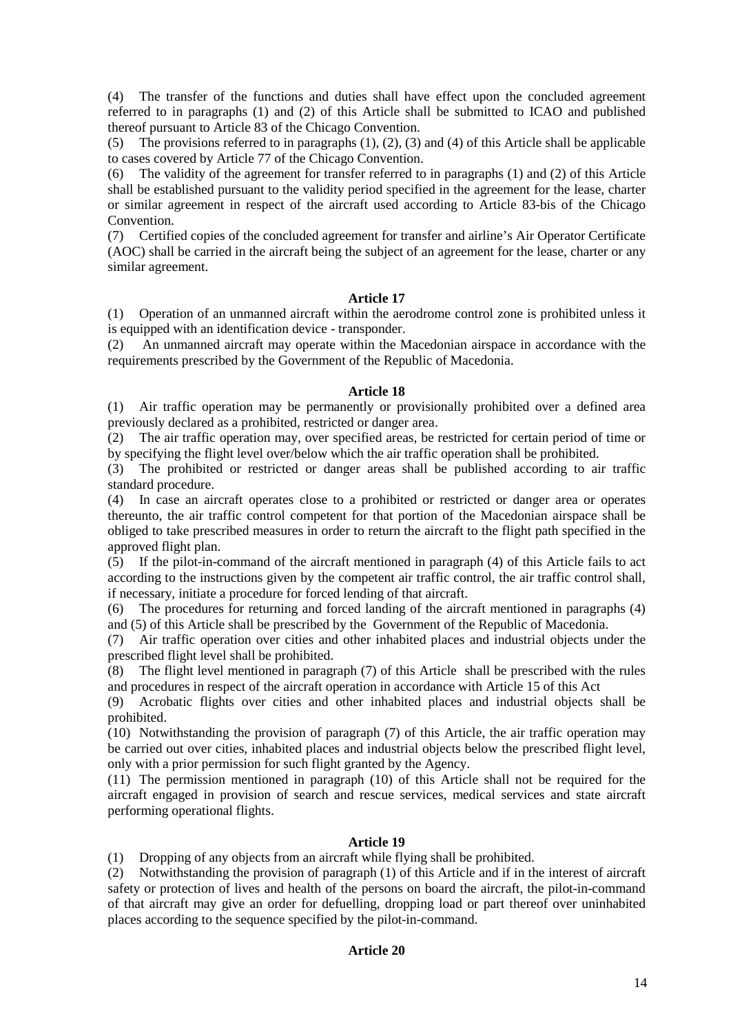(4) The transfer of the functions and duties shall have effect upon the concluded agreement referred to in paragraphs (1) and (2) of this Article shall be submitted to ICAO and published thereof pursuant to Article 83 of the Chicago Convention.

(5) The provisions referred to in paragraphs (1), (2), (3) and (4) of this Article shall be applicable to cases covered by Article 77 of the Chicago Convention.

(6) The validity of the agreement for transfer referred to in paragraphs (1) and (2) of this Article shall be established pursuant to the validity period specified in the agreement for the lease, charter or similar agreement in respect of the aircraft used according to Article 83-bis of the Chicago Convention.

(7) Certified copies of the concluded agreement for transfer and airline's Air Operator Certificate (AOC) shall be carried in the aircraft being the subject of an agreement for the lease, charter or any similar agreement.

# **Article 17**

(1) Operation of an unmanned aircraft within the aerodrome control zone is prohibited unless it is equipped with an identification device - transponder.

(2) An unmanned aircraft may operate within the Macedonian airspace in accordance with the requirements prescribed by the Government of the Republic of Macedonia.

#### **Article 18**

(1) Air traffic operation may be permanently or provisionally prohibited over a defined area previously declared as a prohibited, restricted or danger area.

(2) The air traffic operation may, over specified areas, be restricted for certain period of time or by specifying the flight level over/below which the air traffic operation shall be prohibited.

(3) The prohibited or restricted or danger areas shall be published according to air traffic standard procedure.

(4) In case an aircraft operates close to a prohibited or restricted or danger area or operates thereunto, the air traffic control competent for that portion of the Macedonian airspace shall be obliged to take prescribed measures in order to return the aircraft to the flight path specified in the approved flight plan.

(5) If the pilot-in-command of the aircraft mentioned in paragraph (4) of this Article fails to act according to the instructions given by the competent air traffic control, the air traffic control shall, if necessary, initiate a procedure for forced lending of that aircraft.

(6) The procedures for returning and forced landing of the aircraft mentioned in paragraphs (4) and (5) of this Article shall be prescribed by the Government of the Republic of Macedonia.

(7) Air traffic operation over cities and other inhabited places and industrial objects under the prescribed flight level shall be prohibited.

(8) The flight level mentioned in paragraph (7) of this Article shall be prescribed with the rules and procedures in respect of the aircraft operation in accordance with Article 15 of this Act

(9) Acrobatic flights over cities and other inhabited places and industrial objects shall be prohibited.

(10) Notwithstanding the provision of paragraph (7) of this Article, the air traffic operation may be carried out over cities, inhabited places and industrial objects below the prescribed flight level, only with a prior permission for such flight granted by the Agency.

(11) The permission mentioned in paragraph (10) of this Article shall not be required for the aircraft engaged in provision of search and rescue services, medical services and state aircraft performing operational flights.

### **Article 19**

(1) Dropping of any objects from an aircraft while flying shall be prohibited.

(2) Notwithstanding the provision of paragraph (1) of this Article and if in the interest of aircraft safety or protection of lives and health of the persons on board the aircraft, the pilot-in-command of that aircraft may give an order for defuelling, dropping load or part thereof over uninhabited places according to the sequence specified by the pilot-in-command.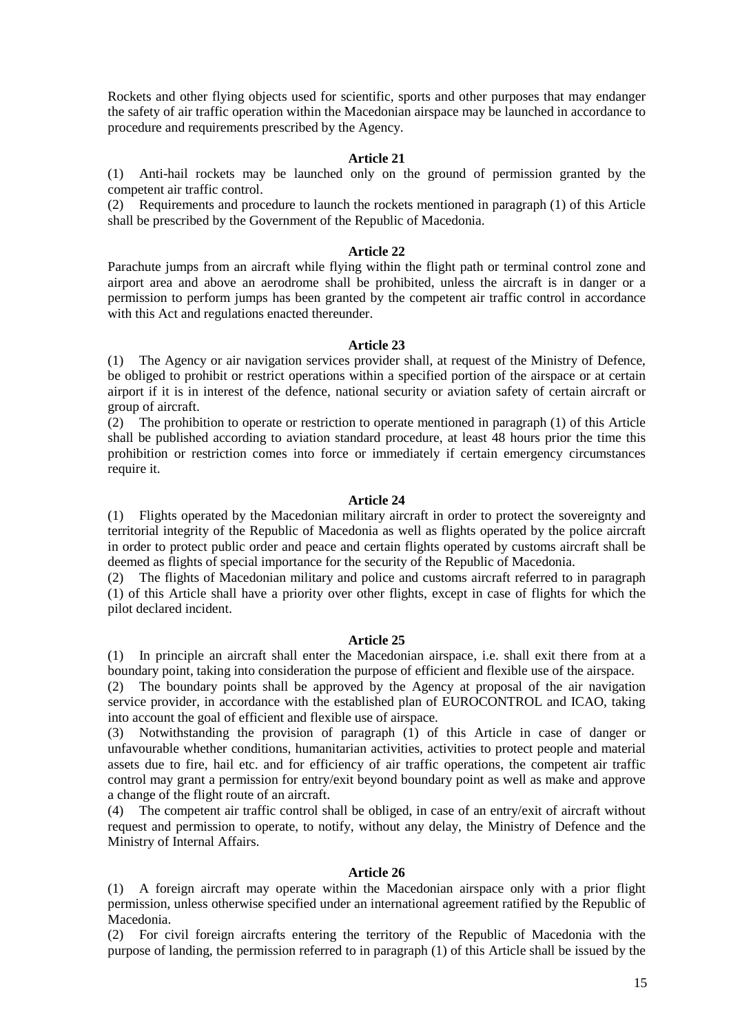Rockets and other flying objects used for scientific, sports and other purposes that may endanger the safety of air traffic operation within the Macedonian airspace may be launched in accordance to procedure and requirements prescribed by the Agency.

### **Article 21**

(1) Anti-hail rockets may be launched only on the ground of permission granted by the competent air traffic control.

(2) Requirements and procedure to launch the rockets mentioned in paragraph (1) of this Article shall be prescribed by the Government of the Republic of Macedonia.

#### **Article 22**

Parachute jumps from an aircraft while flying within the flight path or terminal control zone and airport area and above an aerodrome shall be prohibited, unless the aircraft is in danger or a permission to perform jumps has been granted by the competent air traffic control in accordance with this Act and regulations enacted thereunder.

### **Article 23**

(1) The Agency or air navigation services provider shall, at request of the Ministry of Defence, be obliged to prohibit or restrict operations within a specified portion of the airspace or at certain airport if it is in interest of the defence, national security or aviation safety of certain aircraft or group of aircraft.

(2) The prohibition to operate or restriction to operate mentioned in paragraph (1) of this Article shall be published according to aviation standard procedure, at least 48 hours prior the time this prohibition or restriction comes into force or immediately if certain emergency circumstances require it.

### **Article 24**

(1) Flights operated by the Macedonian military aircraft in order to protect the sovereignty and territorial integrity of the Republic of Macedonia as well as flights operated by the police aircraft in order to protect public order and peace and certain flights operated by customs aircraft shall be deemed as flights of special importance for the security of the Republic of Macedonia.

(2) The flights of Macedonian military and police and customs aircraft referred to in paragraph (1) of this Article shall have a priority over other flights, except in case of flights for which the pilot declared incident.

# **Article 25**

(1) In principle an aircraft shall enter the Macedonian airspace, i.e. shall exit there from at a boundary point, taking into consideration the purpose of efficient and flexible use of the airspace.

(2) The boundary points shall be approved by the Agency at proposal of the air navigation service provider, in accordance with the established plan of EUROCONTROL and ICAO, taking into account the goal of efficient and flexible use of airspace.

(3) Notwithstanding the provision of paragraph (1) of this Article in case of danger or unfavourable whether conditions, humanitarian activities, activities to protect people and material assets due to fire, hail etc. and for efficiency of air traffic operations, the competent air traffic control may grant a permission for entry/exit beyond boundary point as well as make and approve a change of the flight route of an aircraft.

(4) The competent air traffic control shall be obliged, in case of an entry/exit of aircraft without request and permission to operate, to notify, without any delay, the Ministry of Defence and the Ministry of Internal Affairs.

#### **Article 26**

(1) A foreign aircraft may operate within the Macedonian airspace only with a prior flight permission, unless otherwise specified under an international agreement ratified by the Republic of Macedonia.

(2) For civil foreign aircrafts entering the territory of the Republic of Macedonia with the purpose of landing, the permission referred to in paragraph (1) of this Article shall be issued by the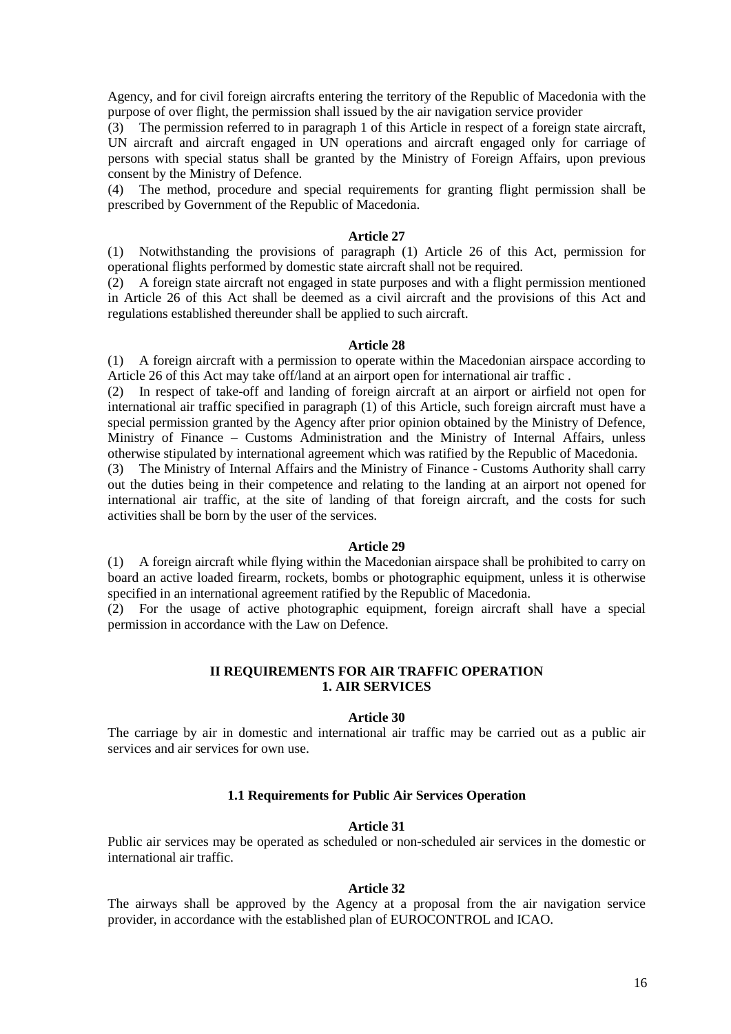Agency, and for civil foreign aircrafts entering the territory of the Republic of Macedonia with the purpose of over flight, the permission shall issued by the air navigation service provider

(3) The permission referred to in paragraph 1 of this Article in respect of a foreign state aircraft, UN aircraft and aircraft engaged in UN operations and aircraft engaged only for carriage of persons with special status shall be granted by the Ministry of Foreign Affairs, upon previous consent by the Ministry of Defence.

(4) The method, procedure and special requirements for granting flight permission shall be prescribed by Government of the Republic of Macedonia.

# **Article 27**

(1) Notwithstanding the provisions of paragraph (1) Article 26 of this Act, permission for operational flights performed by domestic state aircraft shall not be required.

(2) A foreign state aircraft not engaged in state purposes and with a flight permission mentioned in Article 26 of this Act shall be deemed as a civil aircraft and the provisions of this Act and regulations established thereunder shall be applied to such aircraft.

#### **Article 28**

(1) A foreign aircraft with a permission to operate within the Macedonian airspace according to Article 26 of this Act may take off/land at an airport open for international air traffic .

(2) In respect of take-off and landing of foreign aircraft at an airport or airfield not open for international air traffic specified in paragraph (1) of this Article, such foreign aircraft must have a special permission granted by the Agency after prior opinion obtained by the Ministry of Defence, Ministry of Finance – Customs Administration and the Ministry of Internal Affairs, unless otherwise stipulated by international agreement which was ratified by the Republic of Macedonia.

(3) The Ministry of Internal Affairs and the Ministry of Finance - Customs Authority shall carry out the duties being in their competence and relating to the landing at an airport not opened for international air traffic, at the site of landing of that foreign aircraft, and the costs for such activities shall be born by the user of the services.

#### **Article 29**

(1) A foreign aircraft while flying within the Macedonian airspace shall be prohibited to carry on board an active loaded firearm, rockets, bombs or photographic equipment, unless it is otherwise specified in an international agreement ratified by the Republic of Macedonia.

(2) For the usage of active photographic equipment, foreign aircraft shall have a special permission in accordance with the Law on Defence.

### **II REQUIREMENTS FOR AIR TRAFFIC OPERATION 1. AIR SERVICES**

### **Article 30**

The carriage by air in domestic and international air traffic may be carried out as a public air services and air services for own use.

#### **1.1 Requirements for Public Air Services Operation**

#### **Article 31**

Public air services may be operated as scheduled or non-scheduled air services in the domestic or international air traffic.

#### **Article 32**

The airways shall be approved by the Agency at a proposal from the air navigation service provider, in accordance with the established plan of EUROCONTROL and ICAO.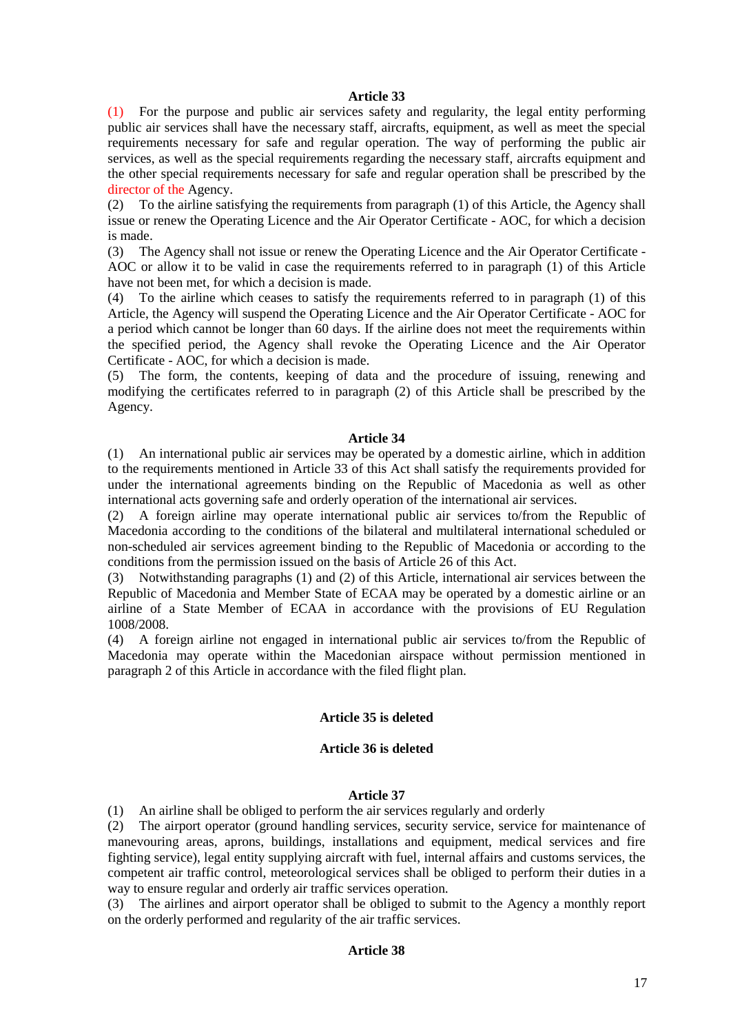#### **Article 33**

(1) For the purpose and public air services safety and regularity, the legal entity performing public air services shall have the necessary staff, aircrafts, equipment, as well as meet the special requirements necessary for safe and regular operation. The way of performing the public air services, as well as the special requirements regarding the necessary staff, aircrafts equipment and the other special requirements necessary for safe and regular operation shall be prescribed by the director of the Agency.

(2) To the airline satisfying the requirements from paragraph (1) of this Article, the Agency shall issue or renew the Operating Licence and the Air Operator Certificate - AOC, for which a decision is made.

(3) The Agency shall not issue or renew the Operating Licence and the Air Operator Certificate - AOC or allow it to be valid in case the requirements referred to in paragraph (1) of this Article have not been met, for which a decision is made.

(4) To the airline which ceases to satisfy the requirements referred to in paragraph (1) of this Article, the Agency will suspend the Operating Licence and the Air Operator Certificate - AOC for a period which cannot be longer than 60 days. If the airline does not meet the requirements within the specified period, the Agency shall revoke the Operating Licence and the Air Operator Certificate - AOC, for which a decision is made.

(5) The form, the contents, keeping of data and the procedure of issuing, renewing and modifying the certificates referred to in paragraph (2) of this Article shall be prescribed by the Agency.

#### **Article 34**

(1) An international public air services may be operated by a domestic airline, which in addition to the requirements mentioned in Article 33 of this Act shall satisfy the requirements provided for under the international agreements binding on the Republic of Macedonia as well as other international acts governing safe and orderly operation of the international air services.

(2) A foreign airline may operate international public air services to/from the Republic of Macedonia according to the conditions of the bilateral and multilateral international scheduled or non-scheduled air services agreement binding to the Republic of Macedonia or according to the conditions from the permission issued on the basis of Article 26 of this Act.

(3) Notwithstanding paragraphs (1) and (2) of this Article, international air services between the Republic of Macedonia and Member State of ECAA may be operated by a domestic airline or an airline of a State Member of ECAA in accordance with the provisions of EU Regulation 1008/2008.

(4) A foreign airline not engaged in international public air services to/from the Republic of Macedonia may operate within the Macedonian airspace without permission mentioned in paragraph 2 of this Article in accordance with the filed flight plan.

### **Article 35 is deleted**

#### **Article 36 is deleted**

#### **Article 37**

(1) An airline shall be obliged to perform the air services regularly and orderly

(2) The airport operator (ground handling services, security service, service for maintenance of manevouring areas, aprons, buildings, installations and equipment, medical services and fire fighting service), legal entity supplying aircraft with fuel, internal affairs and customs services, the competent air traffic control, meteorological services shall be obliged to perform their duties in a way to ensure regular and orderly air traffic services operation.

(3) The airlines and airport operator shall be obliged to submit to the Agency a monthly report on the orderly performed and regularity of the air traffic services.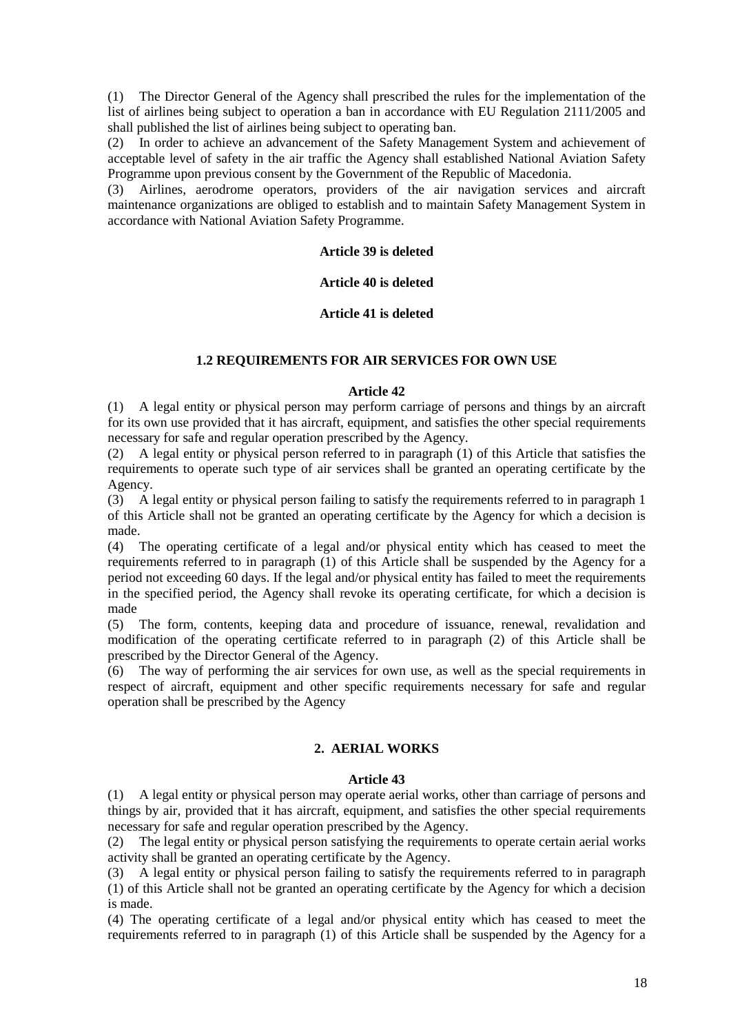(1) The Director General of the Agency shall prescribed the rules for the implementation of the list of airlines being subject to operation a ban in accordance with EU Regulation 2111/2005 and shall published the list of airlines being subject to operating ban.

(2) In order to achieve an advancement of the Safety Management System and achievement of acceptable level of safety in the air traffic the Agency shall established National Aviation Safety Programme upon previous consent by the Government of the Republic of Macedonia.

(3) Airlines, aerodrome operators, providers of the air navigation services and aircraft maintenance organizations are obliged to establish and to maintain Safety Management System in accordance with National Aviation Safety Programme.

### **Article 39 is deleted**

# **Article 40 is deleted**

### **Article 41 is deleted**

### **1.2 REQUIREMENTS FOR AIR SERVICES FOR OWN USE**

#### **Article 42**

(1) A legal entity or physical person may perform carriage of persons and things by an aircraft for its own use provided that it has aircraft, equipment, and satisfies the other special requirements necessary for safe and regular operation prescribed by the Agency.

(2) A legal entity or physical person referred to in paragraph (1) of this Article that satisfies the requirements to operate such type of air services shall be granted an operating certificate by the Agency.

(3) A legal entity or physical person failing to satisfy the requirements referred to in paragraph 1 of this Article shall not be granted an operating certificate by the Agency for which a decision is made.

(4) The operating certificate of a legal and/or physical entity which has ceased to meet the requirements referred to in paragraph (1) of this Article shall be suspended by the Agency for a period not exceeding 60 days. If the legal and/or physical entity has failed to meet the requirements in the specified period, the Agency shall revoke its operating certificate, for which a decision is made

(5) The form, contents, keeping data and procedure of issuance, renewal, revalidation and modification of the operating certificate referred to in paragraph (2) of this Article shall be prescribed by the Director General of the Agency.

(6) The way of performing the air services for own use, as well as the special requirements in respect of aircraft, equipment and other specific requirements necessary for safe and regular operation shall be prescribed by the Agency

# **2. AERIAL WORKS**

# **Article 43**

(1) A legal entity or physical person may operate aerial works, other than carriage of persons and things by air, provided that it has aircraft, equipment, and satisfies the other special requirements necessary for safe and regular operation prescribed by the Agency.

(2) The legal entity or physical person satisfying the requirements to operate certain aerial works activity shall be granted an operating certificate by the Agency.

(3) A legal entity or physical person failing to satisfy the requirements referred to in paragraph (1) of this Article shall not be granted an operating certificate by the Agency for which a decision is made.

(4) The operating certificate of a legal and/or physical entity which has ceased to meet the requirements referred to in paragraph (1) of this Article shall be suspended by the Agency for a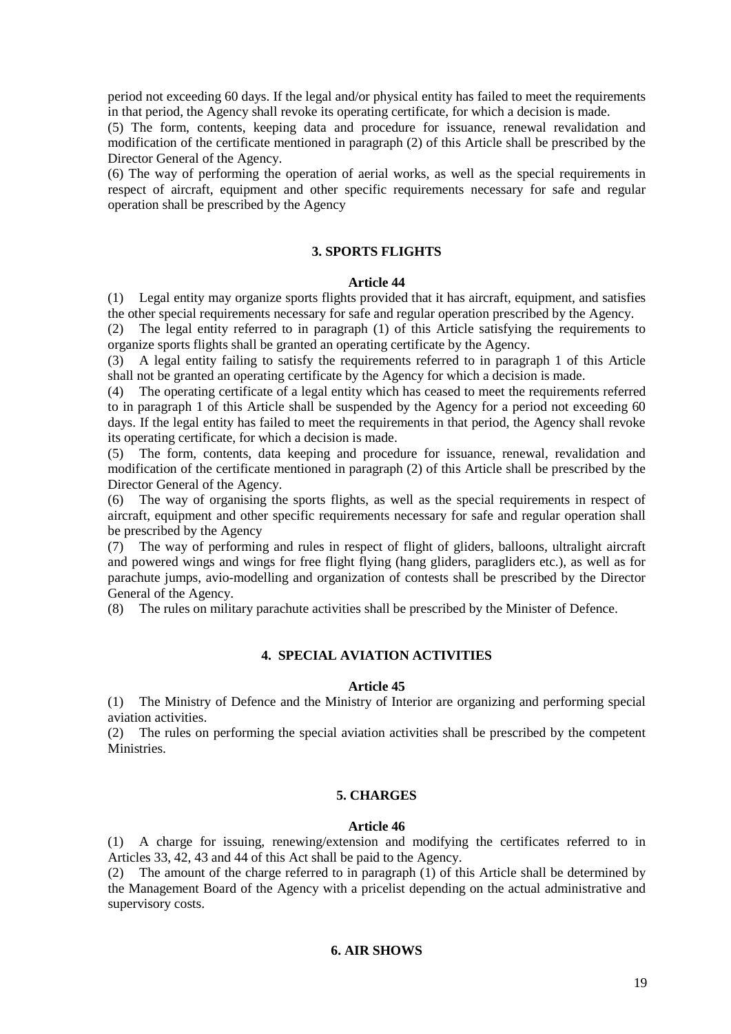period not exceeding 60 days. If the legal and/or physical entity has failed to meet the requirements in that period, the Agency shall revoke its operating certificate, for which a decision is made.

(5) The form, contents, keeping data and procedure for issuance, renewal revalidation and modification of the certificate mentioned in paragraph (2) of this Article shall be prescribed by the Director General of the Agency.

(6) The way of performing the operation of aerial works, as well as the special requirements in respect of aircraft, equipment and other specific requirements necessary for safe and regular operation shall be prescribed by the Agency

# **3. SPORTS FLIGHTS**

#### **Article 44**

(1) Legal entity may organize sports flights provided that it has aircraft, equipment, and satisfies the other special requirements necessary for safe and regular operation prescribed by the Agency.

(2) The legal entity referred to in paragraph (1) of this Article satisfying the requirements to organize sports flights shall be granted an operating certificate by the Agency.

(3) A legal entity failing to satisfy the requirements referred to in paragraph 1 of this Article shall not be granted an operating certificate by the Agency for which a decision is made.

(4) The operating certificate of a legal entity which has ceased to meet the requirements referred to in paragraph 1 of this Article shall be suspended by the Agency for a period not exceeding 60 days. If the legal entity has failed to meet the requirements in that period, the Agency shall revoke its operating certificate, for which a decision is made.

(5) The form, contents, data keeping and procedure for issuance, renewal, revalidation and modification of the certificate mentioned in paragraph (2) of this Article shall be prescribed by the Director General of the Agency.

(6) The way of organising the sports flights, as well as the special requirements in respect of aircraft, equipment and other specific requirements necessary for safe and regular operation shall be prescribed by the Agency

(7) The way of performing and rules in respect of flight of gliders, balloons, ultralight aircraft and powered wings and wings for free flight flying (hang gliders, paragliders etc.), as well as for parachute jumps, avio-modelling and organization of contests shall be prescribed by the Director General of the Agency.

(8) The rules on military parachute activities shall be prescribed by the Minister of Defence.

# **4. SPECIAL AVIATION ACTIVITIES**

#### **Article 45**

(1) The Ministry of Defence and the Ministry of Interior are organizing and performing special aviation activities.

(2) The rules on performing the special aviation activities shall be prescribed by the competent **Ministries** 

#### **5. CHARGES**

#### **Article 46**

(1) A charge for issuing, renewing/extension and modifying the certificates referred to in Articles 33, 42, 43 and 44 of this Act shall be paid to the Agency.

(2) The amount of the charge referred to in paragraph (1) of this Article shall be determined by the Management Board of the Agency with a pricelist depending on the actual administrative and supervisory costs.

### **6. AIR SHOWS**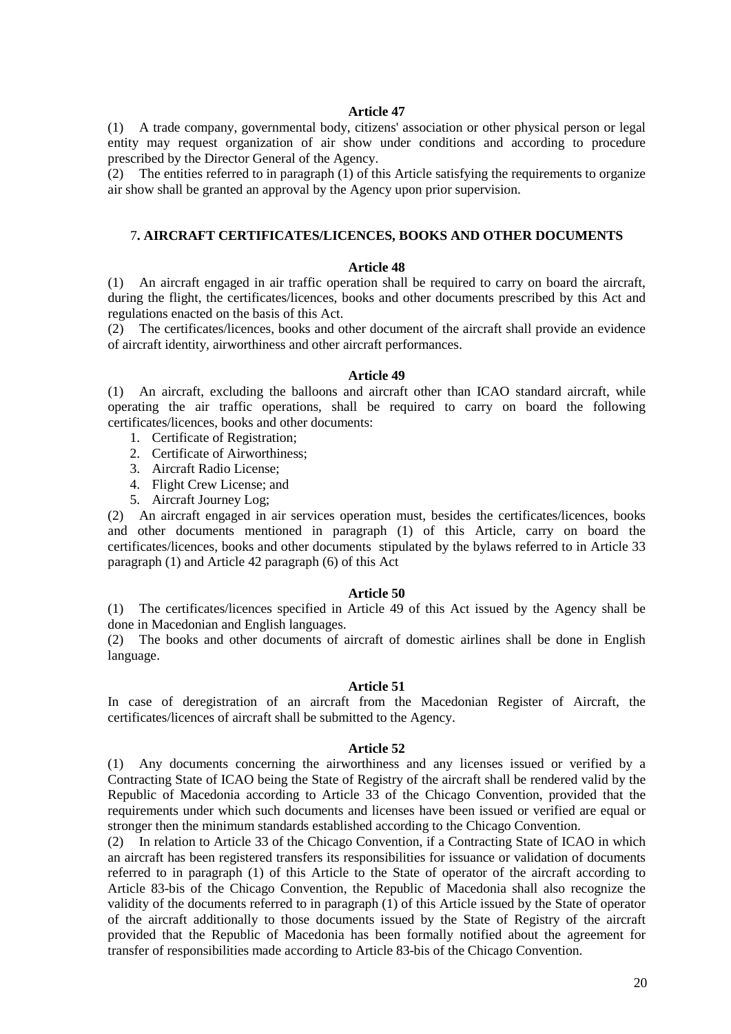#### **Article 47**

(1) A trade company, governmental body, citizens' association or other physical person or legal entity may request organization of air show under conditions and according to procedure prescribed by the Director General of the Agency.

(2) The entities referred to in paragraph (1) of this Article satisfying the requirements to organize air show shall be granted an approval by the Agency upon prior supervision.

# 7**. AIRCRAFT CERTIFICATES/LICENCES, BOOKS AND OTHER DOCUMENTS**

#### **Article 48**

(1) An aircraft engaged in air traffic operation shall be required to carry on board the aircraft, during the flight, the certificates/licences, books and other documents prescribed by this Act and regulations enacted on the basis of this Act.

(2) The certificates/licences, books and other document of the aircraft shall provide an evidence of aircraft identity, airworthiness and other aircraft performances.

#### **Article 49**

(1) An aircraft, excluding the balloons and aircraft other than ICAO standard aircraft, while operating the air traffic operations, shall be required to carry on board the following certificates/licences, books and other documents:

- 1. Certificate of Registration;
- 2. Certificate of Airworthiness;
- 3. Aircraft Radio License;
- 4. Flight Crew License; and
- 5. Aircraft Journey Log;

(2) An aircraft engaged in air services operation must, besides the certificates/licences, books and other documents mentioned in paragraph (1) of this Article, carry on board the certificates/licences, books and other documents stipulated by the bylaws referred to in Article 33 paragraph (1) and Article 42 paragraph (6) of this Act

#### **Article 50**

(1) The certificates/licences specified in Article 49 of this Act issued by the Agency shall be done in Macedonian and English languages.

(2) The books and other documents of aircraft of domestic airlines shall be done in English language.

### **Article 51**

In case of deregistration of an aircraft from the Macedonian Register of Aircraft, the certificates/licences of aircraft shall be submitted to the Agency.

### **Article 52**

(1) Any documents concerning the airworthiness and any licenses issued or verified by a Contracting State of ICAO being the State of Registry of the aircraft shall be rendered valid by the Republic of Macedonia according to Article 33 of the Chicago Convention, provided that the requirements under which such documents and licenses have been issued or verified are equal or stronger then the minimum standards established according to the Chicago Convention.

(2) In relation to Article 33 of the Chicago Convention, if a Contracting State of ICAO in which an aircraft has been registered transfers its responsibilities for issuance or validation of documents referred to in paragraph (1) of this Article to the State of operator of the aircraft according to Article 83-bis of the Chicago Convention, the Republic of Macedonia shall also recognize the validity of the documents referred to in paragraph (1) of this Article issued by the State of operator of the aircraft additionally to those documents issued by the State of Registry of the aircraft provided that the Republic of Macedonia has been formally notified about the agreement for transfer of responsibilities made according to Article 83-bis of the Chicago Convention.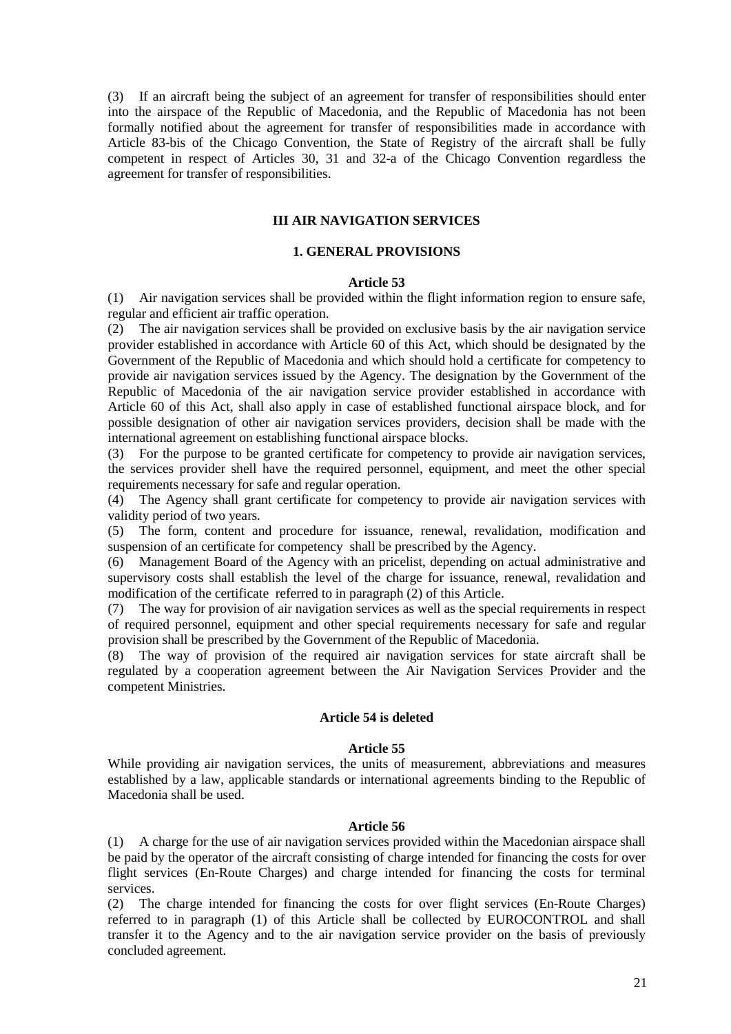(3) If an aircraft being the subject of an agreement for transfer of responsibilities should enter into the airspace of the Republic of Macedonia, and the Republic of Macedonia has not been formally notified about the agreement for transfer of responsibilities made in accordance with Article 83-bis of the Chicago Convention, the State of Registry of the aircraft shall be fully competent in respect of Articles 30, 31 and 32-a of the Chicago Convention regardless the agreement for transfer of responsibilities.

# **III AIR NAVIGATION SERVICES**

#### **1. GENERAL PROVISIONS**

#### **Article 53**

(1) Air navigation services shall be provided within the flight information region to ensure safe, regular and efficient air traffic operation.

(2) The air navigation services shall be provided on exclusive basis by the air navigation service provider established in accordance with Article 60 of this Act, which should be designated by the Government of the Republic of Macedonia and which should hold a certificate for competency to provide air navigation services issued by the Agency. The designation by the Government of the Republic of Macedonia of the air navigation service provider established in accordance with Article 60 of this Act, shall also apply in case of established functional airspace block, and for possible designation of other air navigation services providers, decision shall be made with the international agreement on establishing functional airspace blocks.

(3) For the purpose to be granted certificate for competency to provide air navigation services, the services provider shell have the required personnel, equipment, and meet the other special requirements necessary for safe and regular operation.

(4) The Agency shall grant certificate for competency to provide air navigation services with validity period of two years.

(5) The form, content and procedure for issuance, renewal, revalidation, modification and suspension of an certificate for competency shall be prescribed by the Agency.

(6) Management Board of the Agency with an pricelist, depending on actual administrative and supervisory costs shall establish the level of the charge for issuance, renewal, revalidation and modification of the certificate referred to in paragraph (2) of this Article.

(7) The way for provision of air navigation services as well as the special requirements in respect of required personnel, equipment and other special requirements necessary for safe and regular provision shall be prescribed by the Government of the Republic of Macedonia.

(8) The way of provision of the required air navigation services for state aircraft shall be regulated by a cooperation agreement between the Air Navigation Services Provider and the competent Ministries.

# **Article 54 is deleted**

### **Article 55**

While providing air navigation services, the units of measurement, abbreviations and measures established by a law, applicable standards or international agreements binding to the Republic of Macedonia shall be used.

#### **Article 56**

(1) A charge for the use of air navigation services provided within the Macedonian airspace shall be paid by the operator of the aircraft consisting of charge intended for financing the costs for over flight services (En-Route Charges) and charge intended for financing the costs for terminal services.

(2) The charge intended for financing the costs for over flight services (En-Route Charges) referred to in paragraph (1) of this Article shall be collected by EUROCONTROL and shall transfer it to the Agency and to the air navigation service provider on the basis of previously concluded agreement.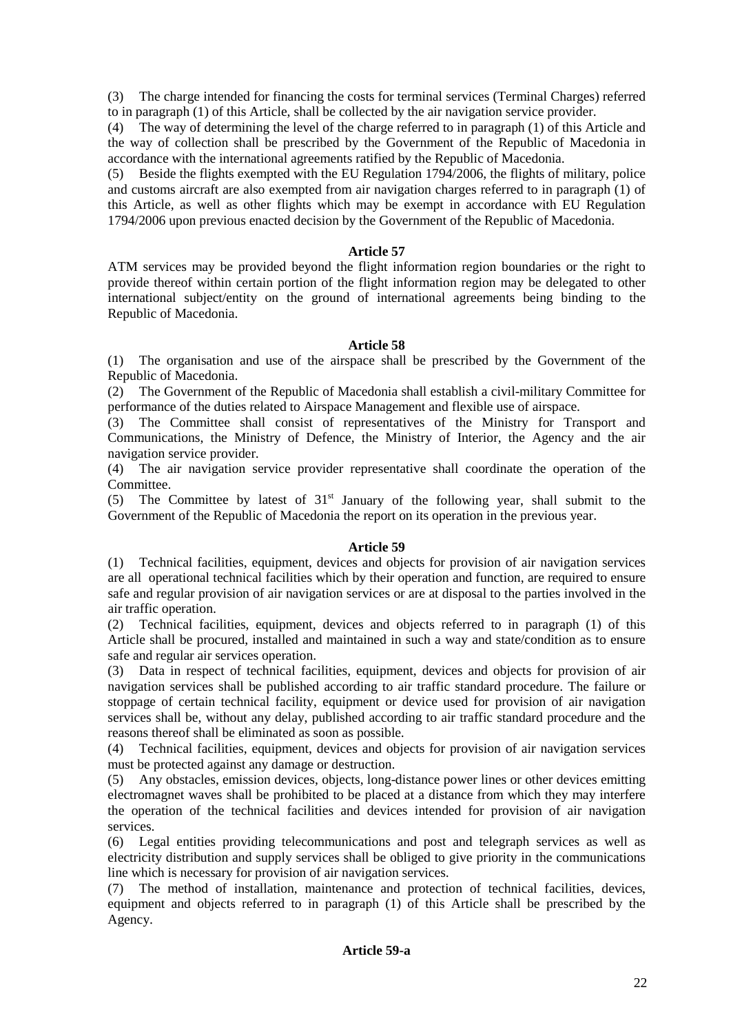(3) The charge intended for financing the costs for terminal services (Terminal Charges) referred to in paragraph (1) of this Article, shall be collected by the air navigation service provider.

(4) The way of determining the level of the charge referred to in paragraph (1) of this Article and the way of collection shall be prescribed by the Government of the Republic of Macedonia in accordance with the international agreements ratified by the Republic of Macedonia.

(5) Beside the flights exempted with the EU Regulation 1794/2006, the flights of military, police and customs aircraft are also exempted from air navigation charges referred to in paragraph (1) of this Article, as well as other flights which may be exempt in accordance with EU Regulation 1794/2006 upon previous enacted decision by the Government of the Republic of Macedonia.

### **Article 57**

ATM services may be provided beyond the flight information region boundaries or the right to provide thereof within certain portion of the flight information region may be delegated to other international subject/entity on the ground of international agreements being binding to the Republic of Macedonia.

### **Article 58**

(1) The organisation and use of the airspace shall be prescribed by the Government of the Republic of Macedonia.

(2) The Government of the Republic of Macedonia shall establish a civil-military Committee for performance of the duties related to Airspace Management and flexible use of airspace.

(3) The Committee shall consist of representatives of the Ministry for Transport and Communications, the Ministry of Defence, the Ministry of Interior, the Agency and the air navigation service provider.

(4) The air navigation service provider representative shall coordinate the operation of the Committee.

(5) The Committee by latest of  $31<sup>st</sup>$  January of the following year, shall submit to the Government of the Republic of Macedonia the report on its operation in the previous year.

# **Article 59**

(1) Technical facilities, equipment, devices and objects for provision of air navigation services are all operational technical facilities which by their operation and function, are required to ensure safe and regular provision of air navigation services or are at disposal to the parties involved in the air traffic operation.

(2) Technical facilities, equipment, devices and objects referred to in paragraph (1) of this Article shall be procured, installed and maintained in such a way and state/condition as to ensure safe and regular air services operation.

(3) Data in respect of technical facilities, equipment, devices and objects for provision of air navigation services shall be published according to air traffic standard procedure. The failure or stoppage of certain technical facility, equipment or device used for provision of air navigation services shall be, without any delay, published according to air traffic standard procedure and the reasons thereof shall be eliminated as soon as possible.

(4) Technical facilities, equipment, devices and objects for provision of air navigation services must be protected against any damage or destruction.

(5) Any obstacles, emission devices, objects, long-distance power lines or other devices emitting electromagnet waves shall be prohibited to be placed at a distance from which they may interfere the operation of the technical facilities and devices intended for provision of air navigation services.

(6) Legal entities providing telecommunications and post and telegraph services as well as electricity distribution and supply services shall be obliged to give priority in the communications line which is necessary for provision of air navigation services.

(7) The method of installation, maintenance and protection of technical facilities, devices, equipment and objects referred to in paragraph (1) of this Article shall be prescribed by the Agency.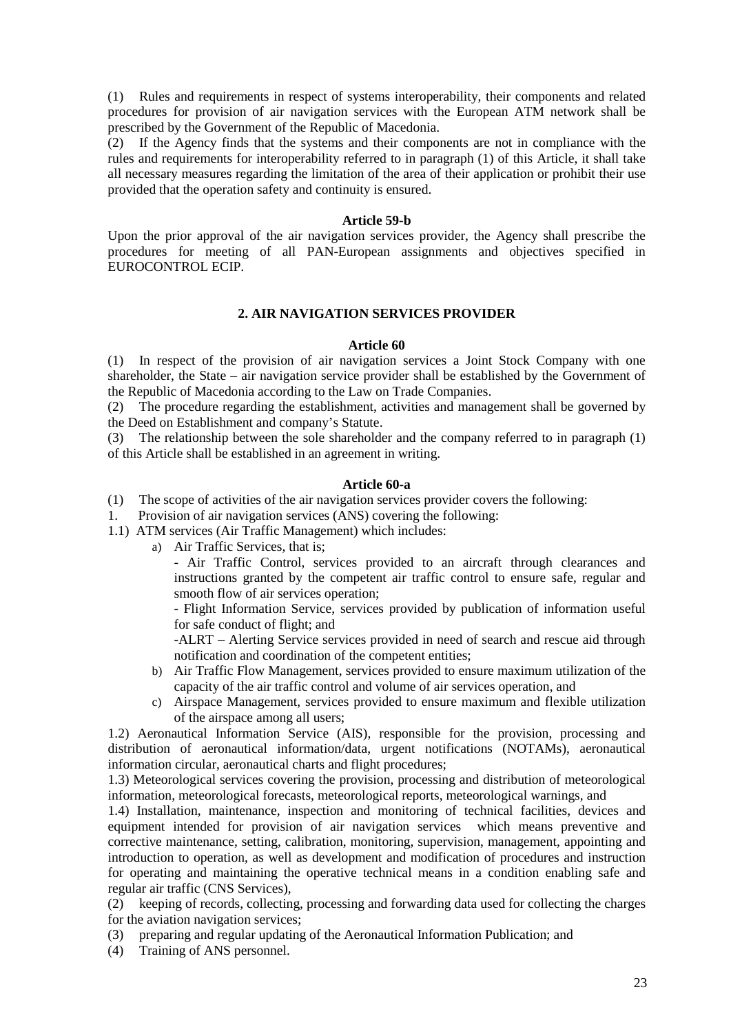(1) Rules and requirements in respect of systems interoperability, their components and related procedures for provision of air navigation services with the European ATM network shall be prescribed by the Government of the Republic of Macedonia.

(2) If the Agency finds that the systems and their components are not in compliance with the rules and requirements for interoperability referred to in paragraph (1) of this Article, it shall take all necessary measures regarding the limitation of the area of their application or prohibit their use provided that the operation safety and continuity is ensured.

#### **Article 59-b**

Upon the prior approval of the air navigation services provider, the Agency shall prescribe the procedures for meeting of all PAN-European assignments and objectives specified in EUROCONTROL ECIP.

# **2. AIR NAVIGATION SERVICES PROVIDER**

# **Article 60**

(1) In respect of the provision of air navigation services a Joint Stock Company with one shareholder, the State – air navigation service provider shall be established by the Government of the Republic of Macedonia according to the Law on Trade Companies.

(2) The procedure regarding the establishment, activities and management shall be governed by the Deed on Establishment and company's Statute.

(3) The relationship between the sole shareholder and the company referred to in paragraph (1) of this Article shall be established in an agreement in writing.

# **Article 60-a**

(1) The scope of activities of the air navigation services provider covers the following:

1. Provision of air navigation services (ANS) covering the following:

1.1) ATM services (Air Traffic Management) which includes:

- a) Air Traffic Services, that is;
	- Air Traffic Control, services provided to an aircraft through clearances and instructions granted by the competent air traffic control to ensure safe, regular and smooth flow of air services operation;

- Flight Information Service, services provided by publication of information useful for safe conduct of flight; and

-ALRT – Alerting Service services provided in need of search and rescue aid through notification and coordination of the competent entities;

- b) Air Traffic Flow Management, services provided to ensure maximum utilization of the capacity of the air traffic control and volume of air services operation, and
- c) Airspace Management, services provided to ensure maximum and flexible utilization of the airspace among all users;

1.2) Aeronautical Information Service (AIS), responsible for the provision, processing and distribution of aeronautical information/data, urgent notifications (NOTAMs), aeronautical information circular, aeronautical charts and flight procedures;

1.3) Meteorological services covering the provision, processing and distribution of meteorological information, meteorological forecasts, meteorological reports, meteorological warnings, and

1.4) Installation, maintenance, inspection and monitoring of technical facilities, devices and equipment intended for provision of air navigation services which means preventive and corrective maintenance, setting, calibration, monitoring, supervision, management, appointing and introduction to operation, as well as development and modification of procedures and instruction for operating and maintaining the operative technical means in a condition enabling safe and regular air traffic (CNS Services),

(2) keeping of records, collecting, processing and forwarding data used for collecting the charges for the aviation navigation services;

(3) preparing and regular updating of the Aeronautical Information Publication; and

(4) Training of ANS personnel.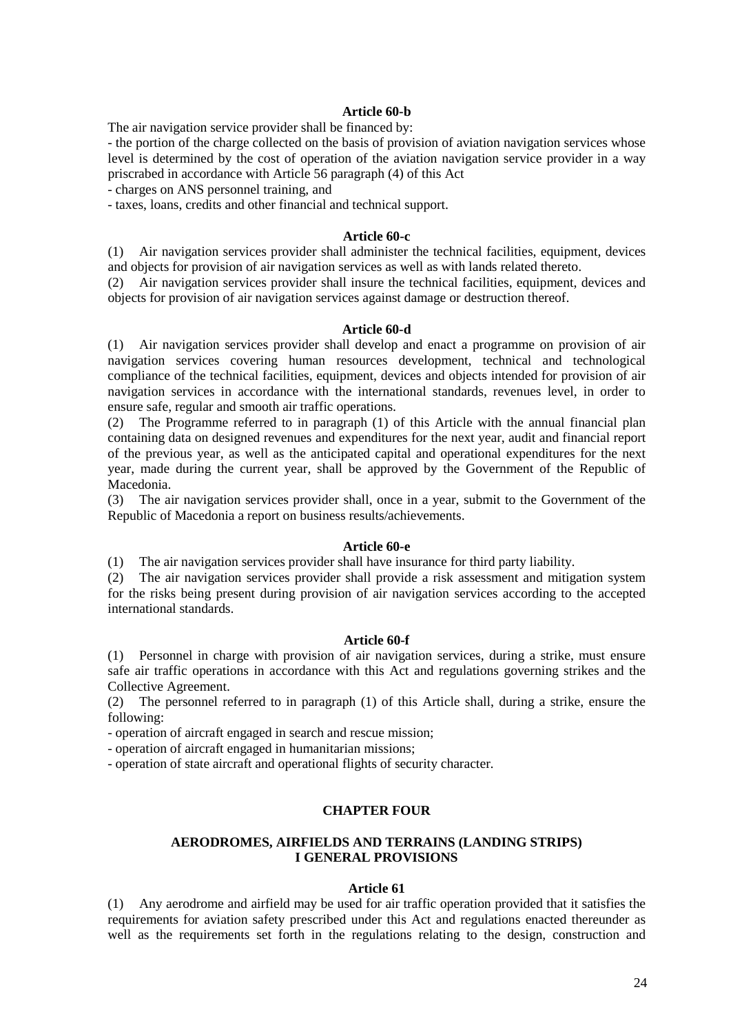### **Article 60-b**

The air navigation service provider shall be financed by:

- the portion of the charge collected on the basis of provision of aviation navigation services whose level is determined by the cost of operation of the aviation navigation service provider in a way priscrabed in accordance with Article 56 paragraph (4) of this Act

- charges on ANS personnel training, and

- taxes, loans, credits and other financial and technical support.

#### **Article 60-c**

(1) Air navigation services provider shall administer the technical facilities, equipment, devices and objects for provision of air navigation services as well as with lands related thereto.

(2) Air navigation services provider shall insure the technical facilities, equipment, devices and objects for provision of air navigation services against damage or destruction thereof.

#### **Article 60-d**

(1) Air navigation services provider shall develop and enact a programme on provision of air navigation services covering human resources development, technical and technological compliance of the technical facilities, equipment, devices and objects intended for provision of air navigation services in accordance with the international standards, revenues level, in order to ensure safe, regular and smooth air traffic operations.

(2) The Programme referred to in paragraph (1) of this Article with the annual financial plan containing data on designed revenues and expenditures for the next year, audit and financial report of the previous year, as well as the anticipated capital and operational expenditures for the next year, made during the current year, shall be approved by the Government of the Republic of Macedonia.

(3) The air navigation services provider shall, once in a year, submit to the Government of the Republic of Macedonia a report on business results/achievements.

#### **Article 60-e**

(1) The air navigation services provider shall have insurance for third party liability.

(2) The air navigation services provider shall provide a risk assessment and mitigation system for the risks being present during provision of air navigation services according to the accepted international standards.

### **Article 60-f**

(1) Personnel in charge with provision of air navigation services, during a strike, must ensure safe air traffic operations in accordance with this Act and regulations governing strikes and the Collective Agreement.

(2) The personnel referred to in paragraph (1) of this Article shall, during a strike, ensure the following:

- operation of aircraft engaged in search and rescue mission;

- operation of aircraft engaged in humanitarian missions;

- operation of state aircraft and operational flights of security character.

### **CHAPTER FOUR**

### **AERODROMES, AIRFIELDS AND TERRAINS (LANDING STRIPS) I GENERAL PROVISIONS**

### **Article 61**

(1) Any aerodrome and airfield may be used for air traffic operation provided that it satisfies the requirements for aviation safety prescribed under this Act and regulations enacted thereunder as well as the requirements set forth in the regulations relating to the design, construction and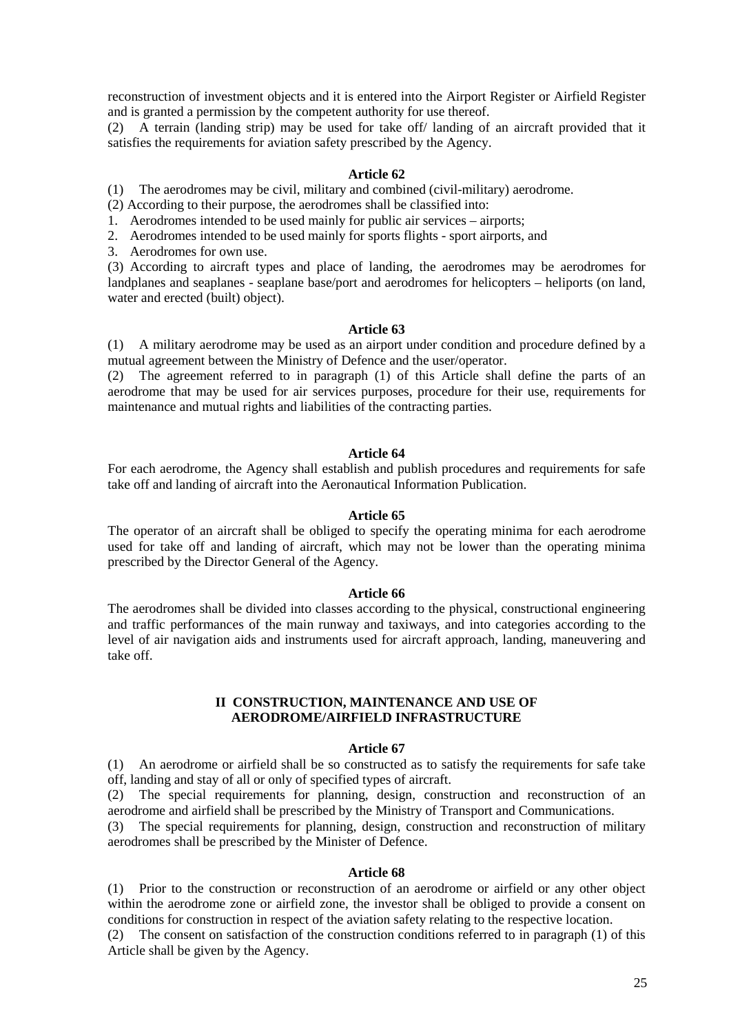reconstruction of investment objects and it is entered into the Airport Register or Airfield Register and is granted a permission by the competent authority for use thereof.

(2) A terrain (landing strip) may be used for take off/ landing of an aircraft provided that it satisfies the requirements for aviation safety prescribed by the Agency.

### **Article 62**

(1) The aerodromes may be civil, military and combined (civil-military) aerodrome.

(2) According to their purpose, the aerodromes shall be classified into:

1. Aerodromes intended to be used mainly for public air services – airports;

2. Aerodromes intended to be used mainly for sports flights - sport airports, and

3. Aerodromes for own use.

(3) According to aircraft types and place of landing, the aerodromes may be aerodromes for landplanes and seaplanes - seaplane base/port and aerodromes for helicopters – heliports (on land, water and erected (built) object).

#### **Article 63**

(1) A military aerodrome may be used as an airport under condition and procedure defined by a mutual agreement between the Ministry of Defence and the user/operator.

(2) The agreement referred to in paragraph (1) of this Article shall define the parts of an aerodrome that may be used for air services purposes, procedure for their use, requirements for maintenance and mutual rights and liabilities of the contracting parties.

#### **Article 64**

For each aerodrome, the Agency shall establish and publish procedures and requirements for safe take off and landing of aircraft into the Aeronautical Information Publication.

#### **Article 65**

The operator of an aircraft shall be obliged to specify the operating minima for each aerodrome used for take off and landing of aircraft, which may not be lower than the operating minima prescribed by the Director General of the Agency.

#### **Article 66**

The aerodromes shall be divided into classes according to the physical, constructional engineering and traffic performances of the main runway and taxiways, and into categories according to the level of air navigation aids and instruments used for aircraft approach, landing, maneuvering and take off.

#### **II CONSTRUCTION, MAINTENANCE AND USE OF AERODROME/AIRFIELD INFRASTRUCTURE**

### **Article 67**

(1) An aerodrome or airfield shall be so constructed as to satisfy the requirements for safe take off, landing and stay of all or only of specified types of aircraft.

(2) The special requirements for planning, design, construction and reconstruction of an aerodrome and airfield shall be prescribed by the Ministry of Transport and Communications.

(3) The special requirements for planning, design, construction and reconstruction of military aerodromes shall be prescribed by the Minister of Defence.

#### **Article 68**

(1) Prior to the construction or reconstruction of an aerodrome or airfield or any other object within the aerodrome zone or airfield zone, the investor shall be obliged to provide a consent on conditions for construction in respect of the aviation safety relating to the respective location.

(2) The consent on satisfaction of the construction conditions referred to in paragraph (1) of this Article shall be given by the Agency.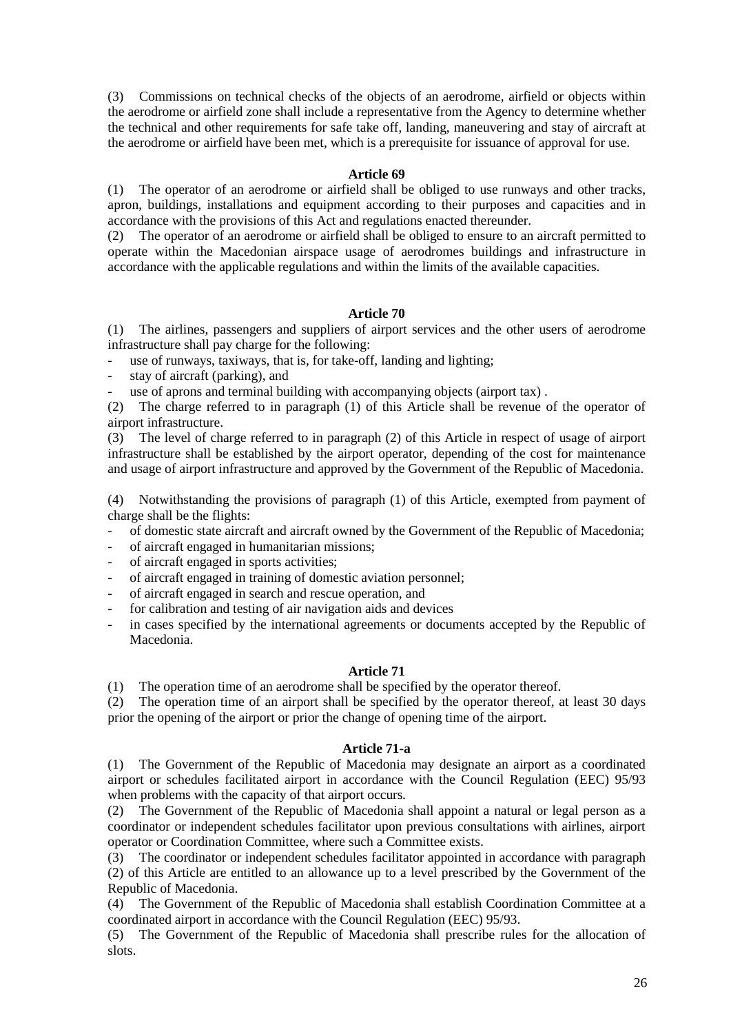(3) Commissions on technical checks of the objects of an aerodrome, airfield or objects within the aerodrome or airfield zone shall include a representative from the Agency to determine whether the technical and other requirements for safe take off, landing, maneuvering and stay of aircraft at the aerodrome or airfield have been met, which is a prerequisite for issuance of approval for use.

### **Article 69**

(1) The operator of an aerodrome or airfield shall be obliged to use runways and other tracks, apron, buildings, installations and equipment according to their purposes and capacities and in accordance with the provisions of this Act and regulations enacted thereunder.

(2) The operator of an aerodrome or airfield shall be obliged to ensure to an aircraft permitted to operate within the Macedonian airspace usage of aerodromes buildings and infrastructure in accordance with the applicable regulations and within the limits of the available capacities.

### **Article 70**

(1) The airlines, passengers and suppliers of airport services and the other users of aerodrome infrastructure shall pay charge for the following:

- use of runways, taxiways, that is, for take-off, landing and lighting;

stay of aircraft (parking), and

use of aprons and terminal building with accompanying objects (airport tax).

(2) The charge referred to in paragraph (1) of this Article shall be revenue of the operator of airport infrastructure.

(3) The level of charge referred to in paragraph (2) of this Article in respect of usage of airport infrastructure shall be established by the airport operator, depending of the cost for maintenance and usage of airport infrastructure and approved by the Government of the Republic of Macedonia.

(4) Notwithstanding the provisions of paragraph (1) of this Article, exempted from payment of charge shall be the flights:

- of domestic state aircraft and aircraft owned by the Government of the Republic of Macedonia;
- of aircraft engaged in humanitarian missions;
- of aircraft engaged in sports activities;
- of aircraft engaged in training of domestic aviation personnel;
- of aircraft engaged in search and rescue operation, and
- for calibration and testing of air navigation aids and devices
- in cases specified by the international agreements or documents accepted by the Republic of Macedonia.

### **Article 71**

(1) The operation time of an aerodrome shall be specified by the operator thereof.

(2) The operation time of an airport shall be specified by the operator thereof, at least 30 days prior the opening of the airport or prior the change of opening time of the airport.

# **Article 71-a**

(1) The Government of the Republic of Macedonia may designate an airport as a coordinated airport or schedules facilitated airport in accordance with the Council Regulation (EEC) 95/93 when problems with the capacity of that airport occurs.

(2) The Government of the Republic of Macedonia shall appoint a natural or legal person as a coordinator or independent schedules facilitator upon previous consultations with airlines, airport operator or Coordination Committee, where such a Committee exists.

(3) The coordinator or independent schedules facilitator appointed in accordance with paragraph (2) of this Article are entitled to an allowance up to a level prescribed by the Government of the Republic of Macedonia.

(4) The Government of the Republic of Macedonia shall establish Coordination Committee at a coordinated airport in accordance with the Council Regulation (EEC) 95/93.

(5) The Government of the Republic of Macedonia shall prescribe rules for the allocation of slots.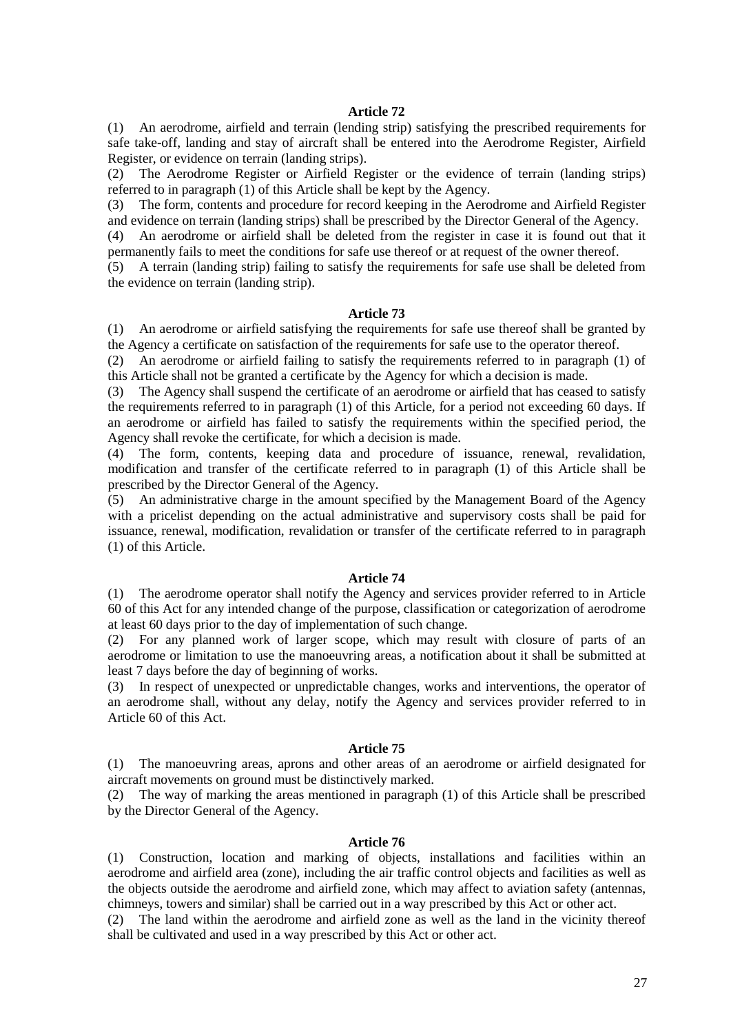#### **Article 72**

(1) An aerodrome, airfield and terrain (lending strip) satisfying the prescribed requirements for safe take-off, landing and stay of aircraft shall be entered into the Aerodrome Register, Airfield Register, or evidence on terrain (landing strips).

(2) The Aerodrome Register or Airfield Register or the evidence of terrain (landing strips) referred to in paragraph (1) of this Article shall be kept by the Agency.

(3) The form, contents and procedure for record keeping in the Aerodrome and Airfield Register and evidence on terrain (landing strips) shall be prescribed by the Director General of the Agency.

(4) An aerodrome or airfield shall be deleted from the register in case it is found out that it permanently fails to meet the conditions for safe use thereof or at request of the owner thereof.

(5) A terrain (landing strip) failing to satisfy the requirements for safe use shall be deleted from the evidence on terrain (landing strip).

#### **Article 73**

(1) An aerodrome or airfield satisfying the requirements for safe use thereof shall be granted by the Agency a certificate on satisfaction of the requirements for safe use to the operator thereof.

(2) An aerodrome or airfield failing to satisfy the requirements referred to in paragraph (1) of this Article shall not be granted a certificate by the Agency for which a decision is made.

(3) The Agency shall suspend the certificate of an aerodrome or airfield that has ceased to satisfy the requirements referred to in paragraph (1) of this Article, for a period not exceeding 60 days. If an aerodrome or airfield has failed to satisfy the requirements within the specified period, the Agency shall revoke the certificate, for which a decision is made.

(4) The form, contents, keeping data and procedure of issuance, renewal, revalidation, modification and transfer of the certificate referred to in paragraph (1) of this Article shall be prescribed by the Director General of the Agency.

(5) An administrative charge in the amount specified by the Management Board of the Agency with a pricelist depending on the actual administrative and supervisory costs shall be paid for issuance, renewal, modification, revalidation or transfer of the certificate referred to in paragraph (1) of this Article.

#### **Article 74**

(1) The aerodrome operator shall notify the Agency and services provider referred to in Article 60 of this Act for any intended change of the purpose, classification or categorization of aerodrome at least 60 days prior to the day of implementation of such change.

(2) For any planned work of larger scope, which may result with closure of parts of an aerodrome or limitation to use the manoeuvring areas, a notification about it shall be submitted at least 7 days before the day of beginning of works.

(3) In respect of unexpected or unpredictable changes, works and interventions, the operator of an aerodrome shall, without any delay, notify the Agency and services provider referred to in Article 60 of this Act.

# **Article 75**

(1) The manoeuvring areas, aprons and other areas of an aerodrome or airfield designated for aircraft movements on ground must be distinctively marked.

(2) The way of marking the areas mentioned in paragraph (1) of this Article shall be prescribed by the Director General of the Agency.

### **Article 76**

(1) Construction, location and marking of objects, installations and facilities within an aerodrome and airfield area (zone), including the air traffic control objects and facilities as well as the objects outside the aerodrome and airfield zone, which may affect to aviation safety (antennas, chimneys, towers and similar) shall be carried out in a way prescribed by this Act or other act.

(2) The land within the aerodrome and airfield zone as well as the land in the vicinity thereof shall be cultivated and used in a way prescribed by this Act or other act.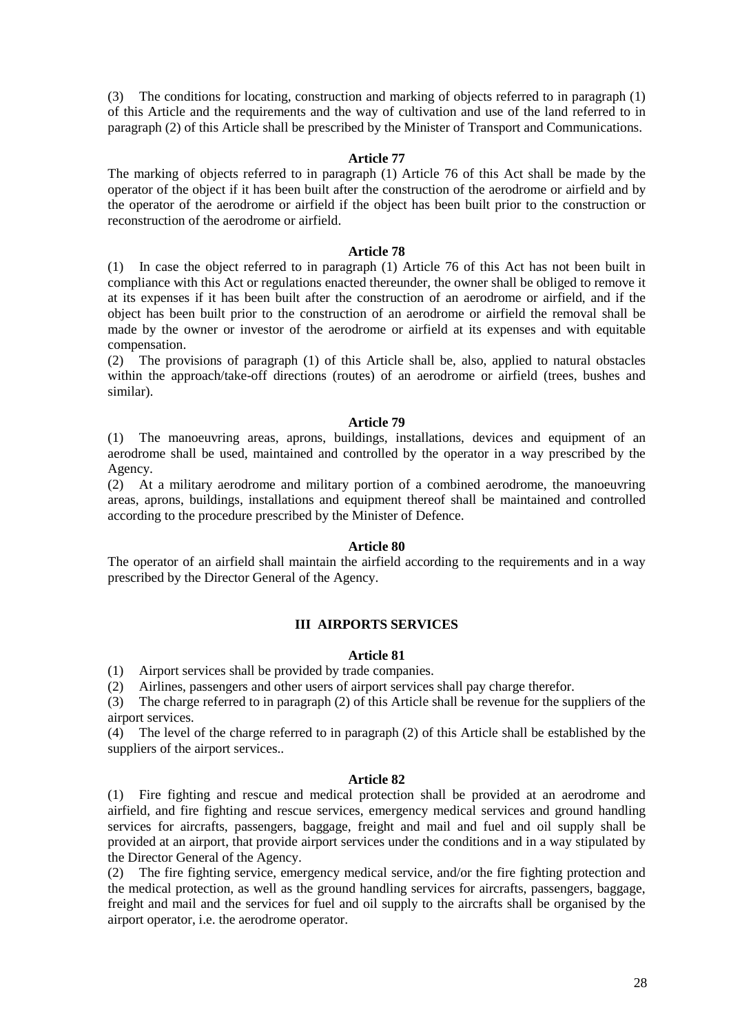(3) The conditions for locating, construction and marking of objects referred to in paragraph (1) of this Article and the requirements and the way of cultivation and use of the land referred to in paragraph (2) of this Article shall be prescribed by the Minister of Transport and Communications.

# **Article 77**

The marking of objects referred to in paragraph (1) Article 76 of this Act shall be made by the operator of the object if it has been built after the construction of the aerodrome or airfield and by the operator of the aerodrome or airfield if the object has been built prior to the construction or reconstruction of the aerodrome or airfield.

# **Article 78**

(1) In case the object referred to in paragraph (1) Article 76 of this Act has not been built in compliance with this Act or regulations enacted thereunder, the owner shall be obliged to remove it at its expenses if it has been built after the construction of an aerodrome or airfield, and if the object has been built prior to the construction of an aerodrome or airfield the removal shall be made by the owner or investor of the aerodrome or airfield at its expenses and with equitable compensation.

(2) The provisions of paragraph (1) of this Article shall be, also, applied to natural obstacles within the approach/take-off directions (routes) of an aerodrome or airfield (trees, bushes and similar).

### **Article 79**

(1) The manoeuvring areas, aprons, buildings, installations, devices and equipment of an aerodrome shall be used, maintained and controlled by the operator in a way prescribed by the Agency.

(2) At a military aerodrome and military portion of a combined aerodrome, the manoeuvring areas, aprons, buildings, installations and equipment thereof shall be maintained and controlled according to the procedure prescribed by the Minister of Defence.

# **Article 80**

The operator of an airfield shall maintain the airfield according to the requirements and in a way prescribed by the Director General of the Agency.

# **III AIRPORTS SERVICES**

# **Article 81**

(1) Airport services shall be provided by trade companies.

(2) Airlines, passengers and other users of airport services shall pay charge therefor.

(3) The charge referred to in paragraph (2) of this Article shall be revenue for the suppliers of the airport services.

(4) The level of the charge referred to in paragraph (2) of this Article shall be established by the suppliers of the airport services...

# **Article 82**

(1) Fire fighting and rescue and medical protection shall be provided at an aerodrome and airfield, and fire fighting and rescue services, emergency medical services and ground handling services for aircrafts, passengers, baggage, freight and mail and fuel and oil supply shall be provided at an airport, that provide airport services under the conditions and in a way stipulated by the Director General of the Agency.

(2) The fire fighting service, emergency medical service, and/or the fire fighting protection and the medical protection, as well as the ground handling services for aircrafts, passengers, baggage, freight and mail and the services for fuel and oil supply to the aircrafts shall be organised by the airport operator, i.e. the aerodrome operator.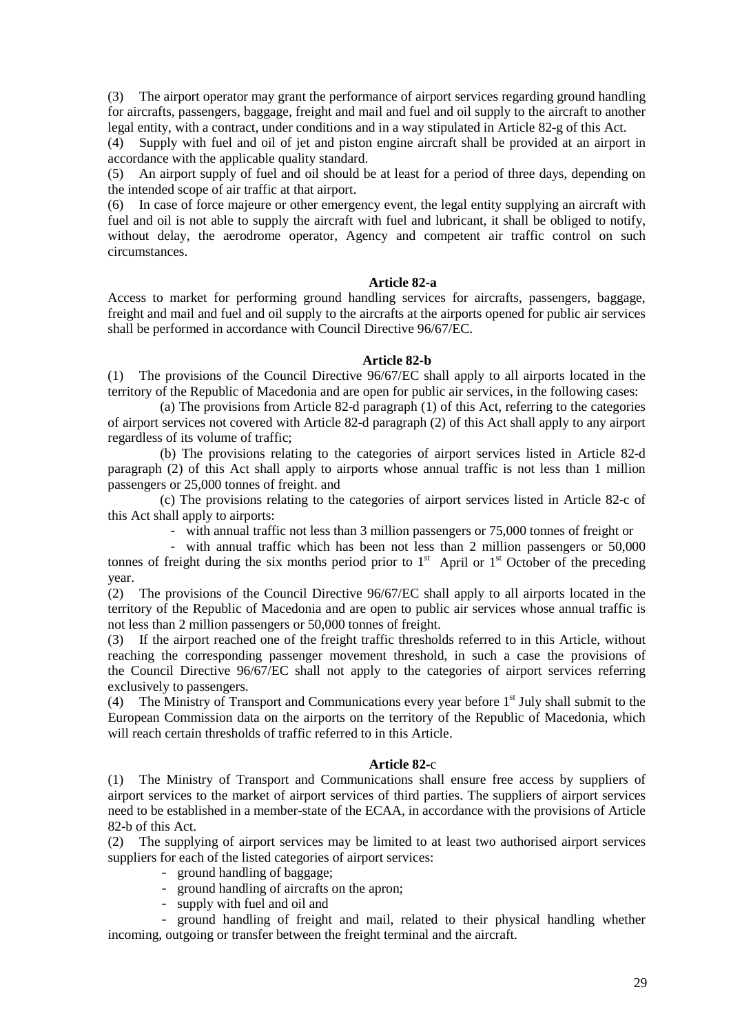(3) The airport operator may grant the performance of airport services regarding ground handling for aircrafts, passengers, baggage, freight and mail and fuel and oil supply to the aircraft to another legal entity, with a contract, under conditions and in a way stipulated in Article 82-g of this Act.

(4) Supply with fuel and oil of jet and piston engine aircraft shall be provided at an airport in accordance with the applicable quality standard.

(5) An airport supply of fuel and oil should be at least for a period of three days, depending on the intended scope of air traffic at that airport.

(6) In case of force majeure or other emergency event, the legal entity supplying an aircraft with fuel and oil is not able to supply the aircraft with fuel and lubricant, it shall be obliged to notify, without delay, the aerodrome operator, Agency and competent air traffic control on such circumstances.

### **Article 82-a**

Access to market for performing ground handling services for aircrafts, passengers, baggage, freight and mail and fuel and oil supply to the aircrafts at the airports opened for public air services shall be performed in accordance with Council Directive 96/67/EC.

#### **Article 82-b**

(1) The provisions of the Council Directive 96/67/EC shall apply to all airports located in the territory of the Republic of Macedonia and are open for public air services, in the following cases:

(a) The provisions from Article 82-d paragraph (1) of this Act, referring to the categories of airport services not covered with Article 82-d paragraph (2) of this Act shall apply to any airport regardless of its volume of traffic;

(b) The provisions relating to the categories of airport services listed in Article 82-d paragraph (2) of this Act shall apply to airports whose annual traffic is not less than 1 million passengers or 25,000 tonnes of freight. and

(c) The provisions relating to the categories of airport services listed in Article 82-c of this Act shall apply to airports:

- with annual traffic not less than 3 million passengers or 75,000 tonnes of freight or

- with annual traffic which has been not less than 2 million passengers or 50,000 tonnes of freight during the six months period prior to  $1<sup>st</sup>$  April or  $1<sup>st</sup>$  October of the preceding year.

(2) The provisions of the Council Directive 96/67/EC shall apply to all airports located in the territory of the Republic of Macedonia and are open to public air services whose annual traffic is not less than 2 million passengers or 50,000 tonnes of freight.

(3) If the airport reached one of the freight traffic thresholds referred to in this Article, without reaching the corresponding passenger movement threshold, in such a case the provisions of the Council Directive 96/67/EC shall not apply to the categories of airport services referring exclusively to passengers.

(4) The Ministry of Transport and Communications every year before  $1<sup>st</sup>$  July shall submit to the European Commission data on the airports on the territory of the Republic of Macedonia, which will reach certain thresholds of traffic referred to in this Article.

#### **Article 82-**c

(1) The Ministry of Transport and Communications shall ensure free access by suppliers of airport services to the market of airport services of third parties. The suppliers of airport services need to be established in a member-state of the ECAA, in accordance with the provisions of Article 82-b of this Act.

(2) The supplying of airport services may be limited to at least two authorised airport services suppliers for each of the listed categories of airport services:

- ground handling of baggage;
- ground handling of aircrafts on the apron;
- supply with fuel and oil and

- ground handling of freight and mail, related to their physical handling whether incoming, outgoing or transfer between the freight terminal and the aircraft.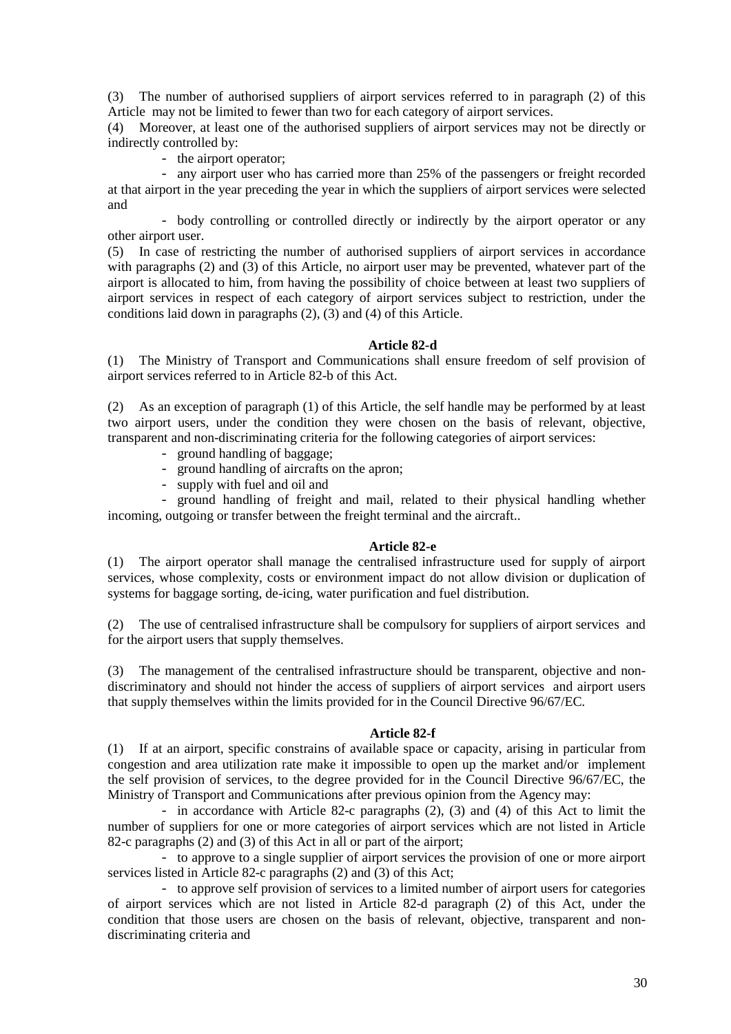(3) The number of authorised suppliers of airport services referred to in paragraph (2) of this Article may not be limited to fewer than two for each category of airport services.

(4) Moreover, at least one of the authorised suppliers of airport services may not be directly or indirectly controlled by:

- the airport operator;

- any airport user who has carried more than 25% of the passengers or freight recorded at that airport in the year preceding the year in which the suppliers of airport services were selected and

- body controlling or controlled directly or indirectly by the airport operator or any other airport user.

(5) In case of restricting the number of authorised suppliers of airport services in accordance with paragraphs (2) and (3) of this Article, no airport user may be prevented, whatever part of the airport is allocated to him, from having the possibility of choice between at least two suppliers of airport services in respect of each category of airport services subject to restriction, under the conditions laid down in paragraphs (2), (3) and (4) of this Article.

# **Article 82-d**

(1) The Ministry of Transport and Communications shall ensure freedom of self provision of airport services referred to in Article 82-b of this Act.

(2) As an exception of paragraph (1) of this Article, the self handle may be performed by at least two airport users, under the condition they were chosen on the basis of relevant, objective, transparent and non-discriminating criteria for the following categories of airport services:

- ground handling of baggage;
- ground handling of aircrafts on the apron;
- supply with fuel and oil and

- ground handling of freight and mail, related to their physical handling whether incoming, outgoing or transfer between the freight terminal and the aircraft..

# **Article 82-e**

(1) The airport operator shall manage the centralised infrastructure used for supply of airport services, whose complexity, costs or environment impact do not allow division or duplication of systems for baggage sorting, de-icing, water purification and fuel distribution.

(2) The use of centralised infrastructure shall be compulsory for suppliers of airport services and for the airport users that supply themselves.

(3) The management of the centralised infrastructure should be transparent, objective and nondiscriminatory and should not hinder the access of suppliers of airport services and airport users that supply themselves within the limits provided for in the Council Directive 96/67/EC.

# **Article 82-f**

(1) If at an airport, specific constrains of available space or capacity, arising in particular from congestion and area utilization rate make it impossible to open up the market and/or implement the self provision of services, to the degree provided for in the Council Directive 96/67/EC, the Ministry of Transport and Communications after previous opinion from the Agency may:

- in accordance with Article 82-c paragraphs (2), (3) and (4) of this Act to limit the number of suppliers for one or more categories of airport services which are not listed in Article 82-c paragraphs (2) and (3) of this Act in all or part of the airport;

- to approve to a single supplier of airport services the provision of one or more airport services listed in Article 82-c paragraphs (2) and (3) of this Act;

- to approve self provision of services to a limited number of airport users for categories of airport services which are not listed in Article 82-d paragraph (2) of this Act, under the condition that those users are chosen on the basis of relevant, objective, transparent and nondiscriminating criteria and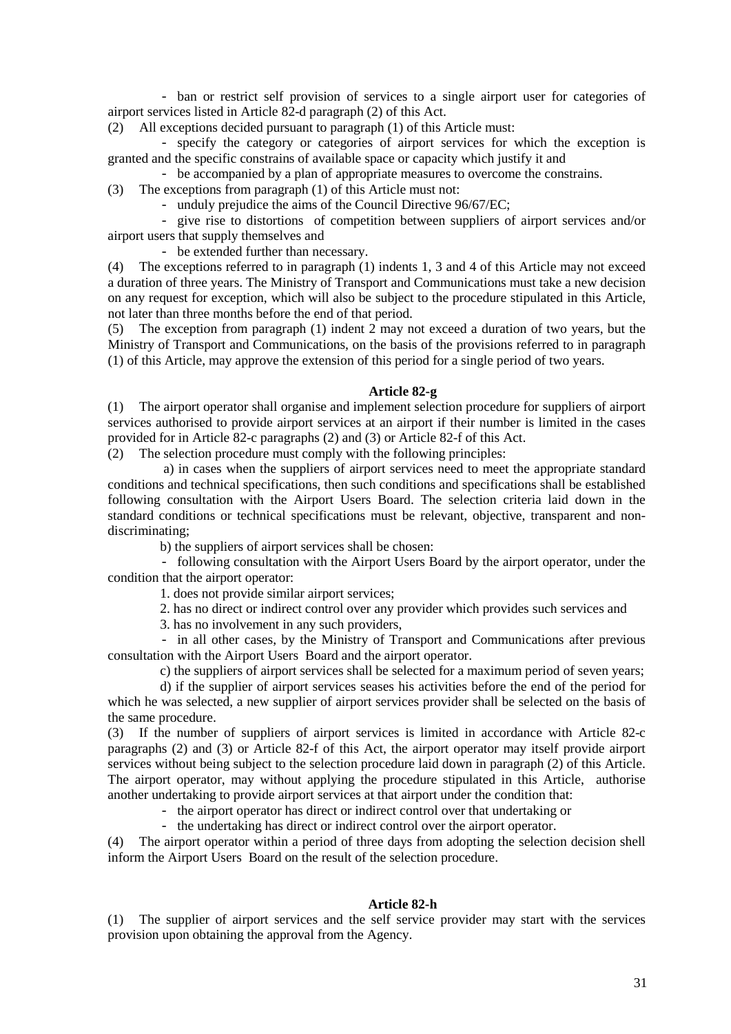- ban or restrict self provision of services to a single airport user for categories of airport services listed in Article 82-d paragraph (2) of this Act.

(2) All exceptions decided pursuant to paragraph (1) of this Article must:

- specify the category or categories of airport services for which the exception is granted and the specific constrains of available space or capacity which justify it and

- be accompanied by a plan of appropriate measures to overcome the constrains.

(3) The exceptions from paragraph (1) of this Article must not:

- unduly prejudice the aims of the Council Directive 96/67/EC;

- give rise to distortions of competition between suppliers of airport services and/or airport users that supply themselves and

- be extended further than necessary.

(4) The exceptions referred to in paragraph (1) indents 1, 3 and 4 of this Article may not exceed a duration of three years. The Ministry of Transport and Communications must take a new decision on any request for exception, which will also be subject to the procedure stipulated in this Article, not later than three months before the end of that period.

(5) The exception from paragraph (1) indent 2 may not exceed a duration of two years, but the Ministry of Transport and Communications, on the basis of the provisions referred to in paragraph (1) of this Article, may approve the extension of this period for a single period of two years.

### **Article 82-g**

(1) The airport operator shall organise and implement selection procedure for suppliers of airport services authorised to provide airport services at an airport if their number is limited in the cases provided for in Article 82-c paragraphs (2) and (3) or Article 82-f of this Act.

(2) The selection procedure must comply with the following principles:

a) in cases when the suppliers of airport services need to meet the appropriate standard conditions and technical specifications, then such conditions and specifications shall be established following consultation with the Airport Users Board. The selection criteria laid down in the standard conditions or technical specifications must be relevant, objective, transparent and nondiscriminating;

b) the suppliers of airport services shall be chosen:

- following consultation with the Airport Users Board by the airport operator, under the condition that the airport operator:

1. does not provide similar airport services;

2. has no direct or indirect control over any provider which provides such services and

3. has no involvement in any such providers,

- in all other cases, by the Ministry of Transport and Communications after previous consultation with the Airport Users Board and the airport operator.

c) the suppliers of airport services shall be selected for a maximum period of seven years;

d) if the supplier of airport services seases his activities before the end of the period for which he was selected, a new supplier of airport services provider shall be selected on the basis of the same procedure.

(3) If the number of suppliers of airport services is limited in accordance with Article 82-c paragraphs (2) and (3) or Article 82-f of this Act, the airport operator may itself provide airport services without being subject to the selection procedure laid down in paragraph (2) of this Article. The airport operator, may without applying the procedure stipulated in this Article, authorise another undertaking to provide airport services at that airport under the condition that:

- the airport operator has direct or indirect control over that undertaking or

- the undertaking has direct or indirect control over the airport operator.

(4) The airport operator within a period of three days from adopting the selection decision shell inform the Airport Users Board on the result of the selection procedure.

# **Article 82-h**

(1) The supplier of airport services and the self service provider may start with the services provision upon obtaining the approval from the Agency.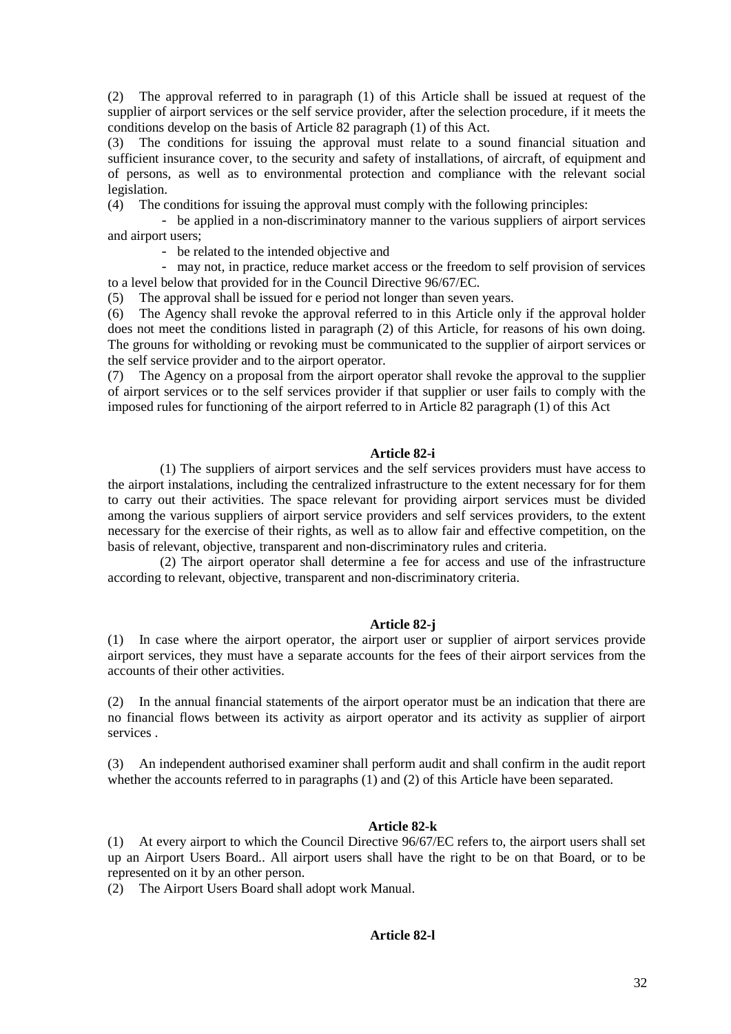(2) The approval referred to in paragraph (1) of this Article shall be issued at request of the supplier of airport services or the self service provider, after the selection procedure, if it meets the conditions develop on the basis of Article 82 paragraph (1) of this Act.

(3) The conditions for issuing the approval must relate to a sound financial situation and sufficient insurance cover, to the security and safety of installations, of aircraft, of equipment and of persons, as well as to environmental protection and compliance with the relevant social legislation.

(4) The conditions for issuing the approval must comply with the following principles:

- be applied in a non-discriminatory manner to the various suppliers of airport services and airport users;

- be related to the intended objective and

- may not, in practice, reduce market access or the freedom to self provision of services to a level below that provided for in the Council Directive 96/67/EC.

(5) The approval shall be issued for e period not longer than seven years.

(6) The Agency shall revoke the approval referred to in this Article only if the approval holder does not meet the conditions listed in paragraph (2) of this Article, for reasons of his own doing. The grouns for witholding or revoking must be communicated to the supplier of airport services or the self service provider and to the airport operator.

(7) The Agency on a proposal from the airport operator shall revoke the approval to the supplier of airport services or to the self services provider if that supplier or user fails to comply with the imposed rules for functioning of the airport referred to in Article 82 paragraph (1) of this Act

### **Article 82-i**

(1) The suppliers of airport services and the self services providers must have access to the airport instalations, including the centralized infrastructure to the extent necessary for for them to carry out their activities. The space relevant for providing airport services must be divided among the various suppliers of airport service providers and self services providers, to the extent necessary for the exercise of their rights, as well as to allow fair and effective competition, on the basis of relevant, objective, transparent and non-discriminatory rules and criteria.

(2) The airport operator shall determine a fee for access and use of the infrastructure according to relevant, objective, transparent and non-discriminatory criteria.

# **Article 82-j**

(1) In case where the airport operator, the airport user or supplier of airport services provide airport services, they must have a separate accounts for the fees of their airport services from the accounts of their other activities.

(2) In the annual financial statements of the airport operator must be an indication that there are no financial flows between its activity as airport operator and its activity as supplier of airport services .

(3) An independent authorised examiner shall perform audit and shall confirm in the audit report whether the accounts referred to in paragraphs (1) and (2) of this Article have been separated.

# **Article 82-k**

(1) At every airport to which the Council Directive 96/67/EC refers to, the airport users shall set up an Airport Users Board.. All airport users shall have the right to be on that Board, or to be represented on it by an other person.

(2) The Airport Users Board shall adopt work Manual.

# **Article 82-l**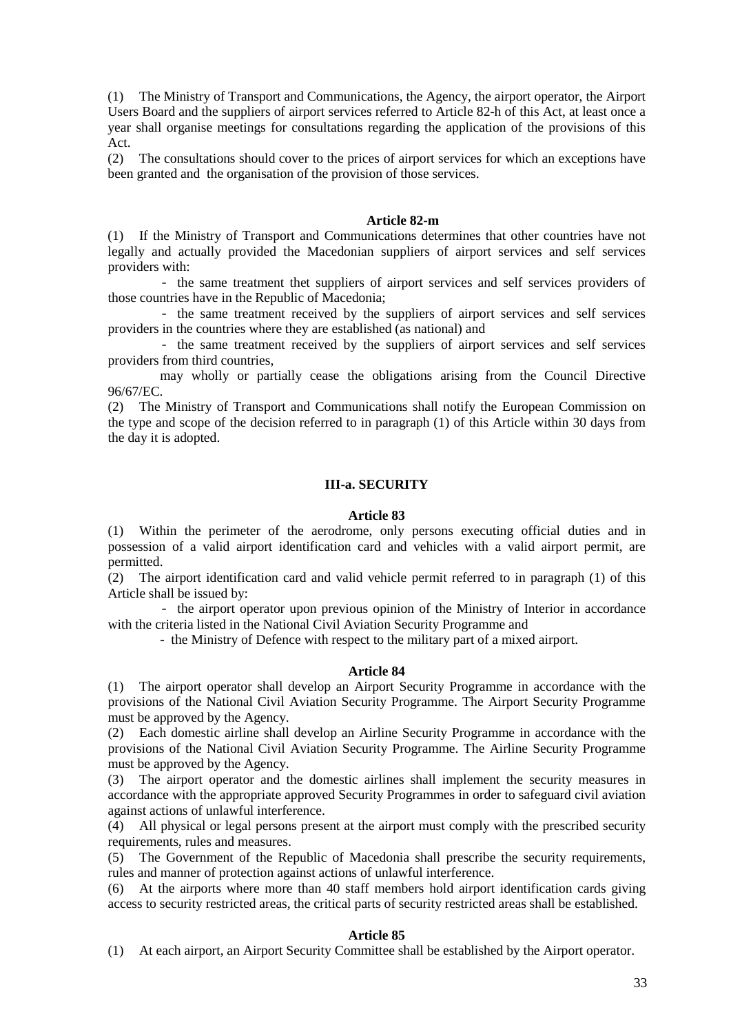(1) The Ministry of Transport and Communications, the Agency, the airport operator, the Airport Users Board and the suppliers of airport services referred to Article 82-h of this Act, at least once a year shall organise meetings for consultations regarding the application of the provisions of this Act.

(2) The consultations should cover to the prices of airport services for which an exceptions have been granted and the organisation of the provision of those services.

#### **Article 82-m**

(1) If the Ministry of Transport and Communications determines that other countries have not legally and actually provided the Macedonian suppliers of airport services and self services providers with:

- the same treatment thet suppliers of airport services and self services providers of those countries have in the Republic of Macedonia;

- the same treatment received by the suppliers of airport services and self services providers in the countries where they are established (as national) and

- the same treatment received by the suppliers of airport services and self services providers from third countries,

may wholly or partially cease the obligations arising from the Council Directive 96/67/EC.

(2) The Ministry of Transport and Communications shall notify the European Commission on the type and scope of the decision referred to in paragraph (1) of this Article within 30 days from the day it is adopted.

### **III-a. SECURITY**

#### **Article 83**

(1) Within the perimeter of the aerodrome, only persons executing official duties and in possession of a valid airport identification card and vehicles with a valid airport permit, are permitted.

(2) The airport identification card and valid vehicle permit referred to in paragraph (1) of this Article shall be issued by:

- the airport operator upon previous opinion of the Ministry of Interior in accordance with the criteria listed in the National Civil Aviation Security Programme and

- the Ministry of Defence with respect to the military part of a mixed airport.

#### **Article 84**

(1) The airport operator shall develop an Airport Security Programme in accordance with the provisions of the National Civil Aviation Security Programme. The Airport Security Programme must be approved by the Agency.

(2) Each domestic airline shall develop an Airline Security Programme in accordance with the provisions of the National Civil Aviation Security Programme. The Airline Security Programme must be approved by the Agency.

(3) The airport operator and the domestic airlines shall implement the security measures in accordance with the appropriate approved Security Programmes in order to safeguard civil aviation against actions of unlawful interference.

(4) All physical or legal persons present at the airport must comply with the prescribed security requirements, rules and measures.

(5) The Government of the Republic of Macedonia shall prescribe the security requirements, rules and manner of protection against actions of unlawful interference.

(6) At the airports where more than 40 staff members hold airport identification cards giving access to security restricted areas, the critical parts of security restricted areas shall be established.

#### **Article 85**

(1) At each airport, an Airport Security Committee shall be established by the Airport operator.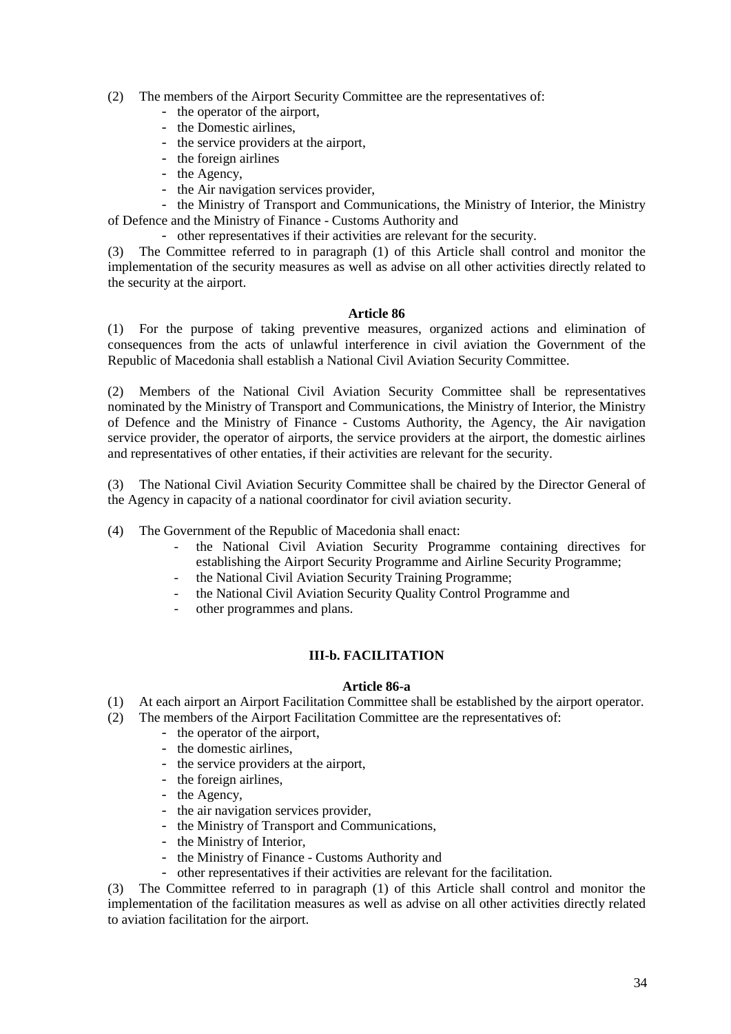(2) The members of the Airport Security Committee are the representatives of:

- the operator of the airport,
- the Domestic airlines,
- the service providers at the airport,
- the foreign airlines
- the Agency,
- the Air navigation services provider,

- the Ministry of Transport and Communications, the Ministry of Interior, the Ministry of Defence and the Ministry of Finance - Customs Authority and

- other representatives if their activities are relevant for the security.

(3) The Committee referred to in paragraph (1) of this Article shall control and monitor the implementation of the security measures as well as advise on all other activities directly related to the security at the airport.

# **Article 86**

(1) For the purpose of taking preventive measures, organized actions and elimination of consequences from the acts of unlawful interference in civil aviation the Government of the Republic of Macedonia shall establish a National Civil Aviation Security Committee.

(2) Members of the National Civil Aviation Security Committee shall be representatives nominated by the Ministry of Transport and Communications, the Ministry of Interior, the Ministry of Defence and the Ministry of Finance - Customs Authority, the Agency, the Air navigation service provider, the operator of airports, the service providers at the airport, the domestic airlines and representatives of other entaties, if their activities are relevant for the security.

(3) The National Civil Aviation Security Committee shall be chaired by the Director General of the Agency in capacity of a national coordinator for civil aviation security.

- (4) The Government of the Republic of Macedonia shall enact:
	- the National Civil Aviation Security Programme containing directives for establishing the Airport Security Programme and Airline Security Programme;
	- the National Civil Aviation Security Training Programme;
	- the National Civil Aviation Security Quality Control Programme and
	- other programmes and plans.

# **III-b. FACILITATION**

# **Article 86-a**

- (1) At each airport an Airport Facilitation Committee shall be established by the airport operator.
- (2) The members of the Airport Facilitation Committee are the representatives of:
	- the operator of the airport,
	- the domestic airlines,
	- the service providers at the airport,
	- the foreign airlines,
	- the Agency,
	- the air navigation services provider,
	- the Ministry of Transport and Communications,
	- the Ministry of Interior,
	- the Ministry of Finance Customs Authority and
	- other representatives if their activities are relevant for the facilitation.

(3) The Committee referred to in paragraph (1) of this Article shall control and monitor the implementation of the facilitation measures as well as advise on all other activities directly related to aviation facilitation for the airport.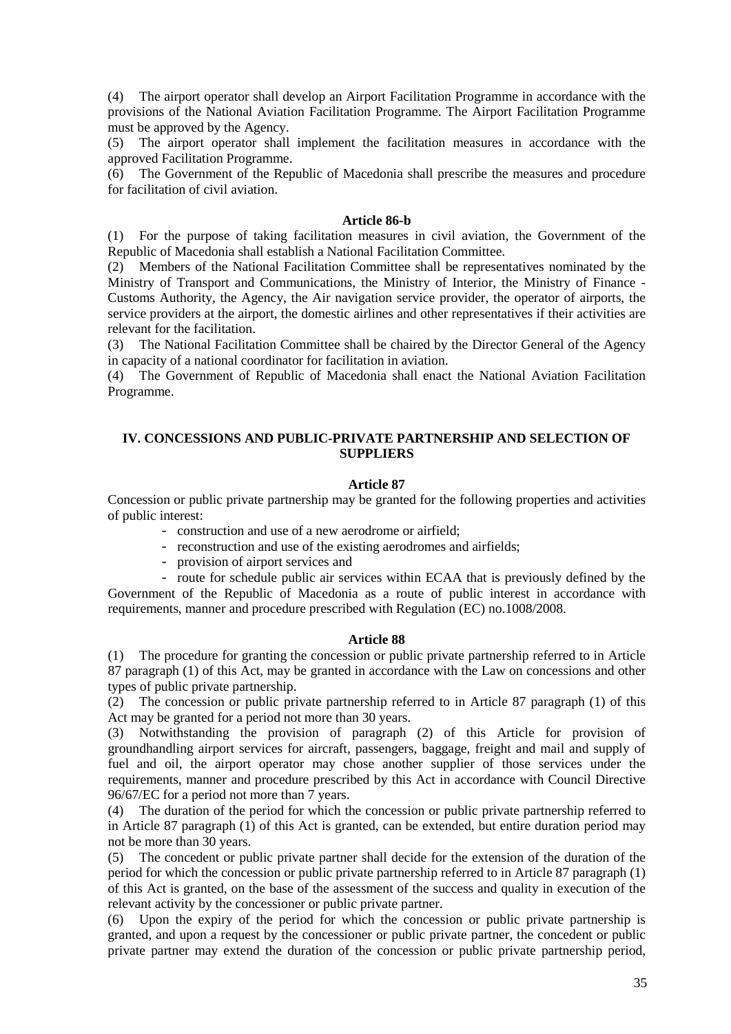(4) The airport operator shall develop an Airport Facilitation Programme in accordance with the provisions of the National Aviation Facilitation Programme. The Airport Facilitation Programme must be approved by the Agency.

(5) The airport operator shall implement the facilitation measures in accordance with the approved Facilitation Programme.

(6) The Government of the Republic of Macedonia shall prescribe the measures and procedure for facilitation of civil aviation.

#### **Article 86-b**

(1) For the purpose of taking facilitation measures in civil aviation, the Government of the Republic of Macedonia shall establish a National Facilitation Committee.

(2) Members of the National Facilitation Committee shall be representatives nominated by the Ministry of Transport and Communications, the Ministry of Interior, the Ministry of Finance - Customs Authority, the Agency, the Air navigation service provider, the operator of airports, the service providers at the airport, the domestic airlines and other representatives if their activities are relevant for the facilitation.

(3) The National Facilitation Committee shall be chaired by the Director General of the Agency in capacity of a national coordinator for facilitation in aviation.

(4) The Government of Republic of Macedonia shall enact the National Aviation Facilitation Programme.

# **IV. CONCESSIONS AND PUBLIC-PRIVATE PARTNERSHIP AND SELECTION OF SUPPLIERS**

### **Article 87**

Concession or public private partnership may be granted for the following properties and activities of public interest:

- construction and use of a new aerodrome or airfield;
- reconstruction and use of the existing aerodromes and airfields;
- provision of airport services and

- route for schedule public air services within ECAA that is previously defined by the Government of the Republic of Macedonia as a route of public interest in accordance with requirements, manner and procedure prescribed with Regulation (EC) no.1008/2008.

#### **Article 88**

(1) The procedure for granting the concession or public private partnership referred to in Article 87 paragraph (1) of this Act, may be granted in accordance with the Law on concessions and other types of public private partnership.

(2) The concession or public private partnership referred to in Article 87 paragraph (1) of this Act may be granted for a period not more than 30 years.

(3) Notwithstanding the provision of paragraph (2) of this Article for provision of groundhandling airport services for aircraft, passengers, baggage, freight and mail and supply of fuel and oil, the airport operator may chose another supplier of those services under the requirements, manner and procedure prescribed by this Act in accordance with Council Directive 96/67/EC for a period not more than  $\overline{7}$  years.

(4) The duration of the period for which the concession or public private partnership referred to in Article 87 paragraph  $(1)$  of this Act is granted, can be extended, but entire duration period may not be more than 30 years.

(5) The concedent or public private partner shall decide for the extension of the duration of the period for which the concession or public private partnership referred to in Article 87 paragraph (1) of this Act is granted, on the base of the assessment of the success and quality in execution of the relevant activity by the concessioner or public private partner.

(6) Upon the expiry of the period for which the concession or public private partnership is granted, and upon a request by the concessioner or public private partner, the concedent or public private partner may extend the duration of the concession or public private partnership period,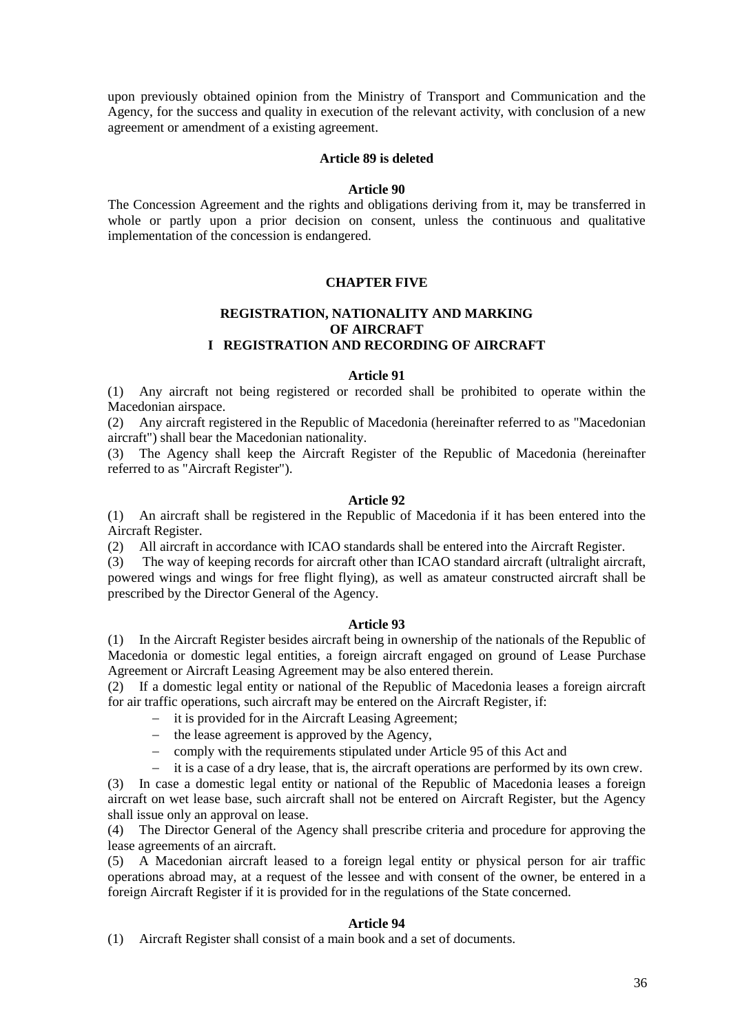upon previously obtained opinion from the Ministry of Transport and Communication and the Agency, for the success and quality in execution of the relevant activity, with conclusion of a new agreement or amendment of a existing agreement.

# **Article 89 is deleted**

#### **Article 90**

The Concession Agreement and the rights and obligations deriving from it, may be transferred in whole or partly upon a prior decision on consent, unless the continuous and qualitative implementation of the concession is endangered.

# **CHAPTER FIVE**

### **REGISTRATION, NATIONALITY AND MARKING OF AIRCRAFT I REGISTRATION AND RECORDING OF AIRCRAFT**

### **Article 91**

(1) Any aircraft not being registered or recorded shall be prohibited to operate within the Macedonian airspace.

(2) Any aircraft registered in the Republic of Macedonia (hereinafter referred to as "Macedonian aircraft") shall bear the Macedonian nationality.

(3) The Agency shall keep the Aircraft Register of the Republic of Macedonia (hereinafter referred to as "Aircraft Register").

### **Article 92**

(1) An aircraft shall be registered in the Republic of Macedonia if it has been entered into the Aircraft Register.

(2) All aircraft in accordance with ICAO standards shall be entered into the Aircraft Register.

(3) The way of keeping records for aircraft other than ICAO standard aircraft (ultralight aircraft, powered wings and wings for free flight flying), as well as amateur constructed aircraft shall be prescribed by the Director General of the Agency.

#### **Article 93**

(1) In the Aircraft Register besides aircraft being in ownership of the nationals of the Republic of Macedonia or domestic legal entities, a foreign aircraft engaged on ground of Lease Purchase Agreement or Aircraft Leasing Agreement may be also entered therein.

(2) If a domestic legal entity or national of the Republic of Macedonia leases a foreign aircraft for air traffic operations, such aircraft may be entered on the Aircraft Register, if:

- − it is provided for in the Aircraft Leasing Agreement;
- − the lease agreement is approved by the Agency,
- − comply with the requirements stipulated under Article 95 of this Act and

− it is a case of a dry lease, that is, the aircraft operations are performed by its own crew.

(3) In case a domestic legal entity or national of the Republic of Macedonia leases a foreign aircraft on wet lease base, such aircraft shall not be entered on Aircraft Register, but the Agency shall issue only an approval on lease.

(4) The Director General of the Agency shall prescribe criteria and procedure for approving the lease agreements of an aircraft.

(5) A Macedonian aircraft leased to a foreign legal entity or physical person for air traffic operations abroad may, at a request of the lessee and with consent of the owner, be entered in a foreign Aircraft Register if it is provided for in the regulations of the State concerned.

# **Article 94**

(1) Aircraft Register shall consist of a main book and a set of documents.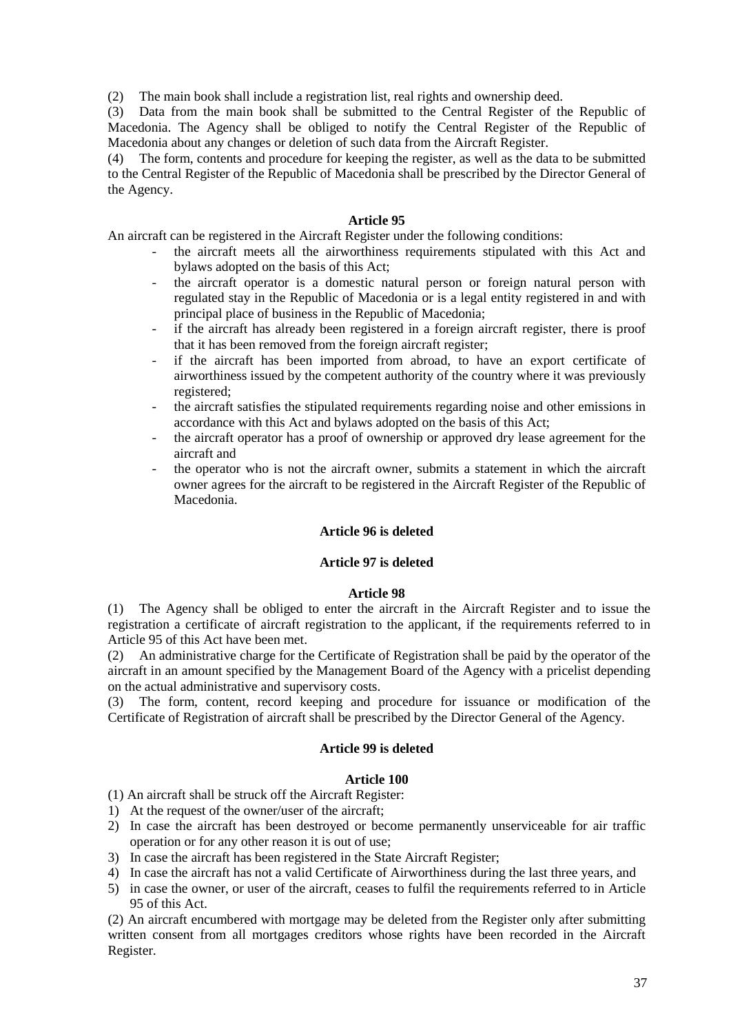(2) The main book shall include a registration list, real rights and ownership deed.

(3) Data from the main book shall be submitted to the Central Register of the Republic of Macedonia. The Agency shall be obliged to notify the Central Register of the Republic of Macedonia about any changes or deletion of such data from the Aircraft Register.

(4) The form, contents and procedure for keeping the register, as well as the data to be submitted to the Central Register of the Republic of Macedonia shall be prescribed by the Director General of the Agency.

### **Article 95**

An aircraft can be registered in the Aircraft Register under the following conditions:

- the aircraft meets all the airworthiness requirements stipulated with this Act and bylaws adopted on the basis of this Act;
- the aircraft operator is a domestic natural person or foreign natural person with regulated stay in the Republic of Macedonia or is a legal entity registered in and with principal place of business in the Republic of Macedonia;
- if the aircraft has already been registered in a foreign aircraft register, there is proof that it has been removed from the foreign aircraft register;
- if the aircraft has been imported from abroad, to have an export certificate of airworthiness issued by the competent authority of the country where it was previously registered;
- the aircraft satisfies the stipulated requirements regarding noise and other emissions in accordance with this Act and bylaws adopted on the basis of this Act;
- the aircraft operator has a proof of ownership or approved dry lease agreement for the aircraft and
- the operator who is not the aircraft owner, submits a statement in which the aircraft owner agrees for the aircraft to be registered in the Aircraft Register of the Republic of Macedonia.

# **Article 96 is deleted**

# **Article 97 is deleted**

#### **Article 98**

(1) The Agency shall be obliged to enter the aircraft in the Aircraft Register and to issue the registration a certificate of aircraft registration to the applicant, if the requirements referred to in Article 95 of this Act have been met.

(2) An administrative charge for the Certificate of Registration shall be paid by the operator of the aircraft in an amount specified by the Management Board of the Agency with a pricelist depending on the actual administrative and supervisory costs.

(3) The form, content, record keeping and procedure for issuance or modification of the Certificate of Registration of aircraft shall be prescribed by the Director General of the Agency.

# **Article 99 is deleted**

# **Article 100**

(1) An aircraft shall be struck off the Aircraft Register:

- 1) At the request of the owner/user of the aircraft;
- 2) In case the aircraft has been destroyed or become permanently unserviceable for air traffic operation or for any other reason it is out of use;
- 3) In case the aircraft has been registered in the State Aircraft Register;
- 4) In case the aircraft has not a valid Certificate of Airworthiness during the last three years, and
- 5) in case the owner, or user of the aircraft, ceases to fulfil the requirements referred to in Article 95 of this Act.

(2) An aircraft encumbered with mortgage may be deleted from the Register only after submitting written consent from all mortgages creditors whose rights have been recorded in the Aircraft Register.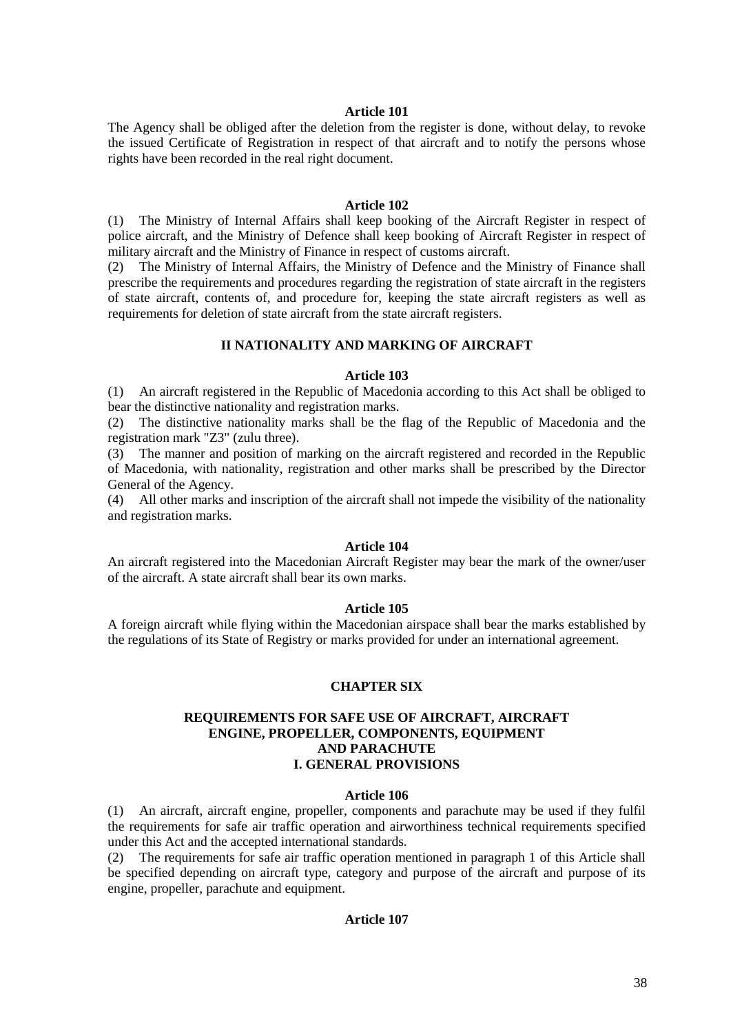#### **Article 101**

The Agency shall be obliged after the deletion from the register is done, without delay, to revoke the issued Certificate of Registration in respect of that aircraft and to notify the persons whose rights have been recorded in the real right document.

#### **Article 102**

(1) The Ministry of Internal Affairs shall keep booking of the Aircraft Register in respect of police aircraft, and the Ministry of Defence shall keep booking of Aircraft Register in respect of military aircraft and the Ministry of Finance in respect of customs aircraft.

(2) The Ministry of Internal Affairs, the Ministry of Defence and the Ministry of Finance shall prescribe the requirements and procedures regarding the registration of state aircraft in the registers of state aircraft, contents of, and procedure for, keeping the state aircraft registers as well as requirements for deletion of state aircraft from the state aircraft registers.

# **II NATIONALITY AND MARKING OF AIRCRAFT**

#### **Article 103**

(1) An aircraft registered in the Republic of Macedonia according to this Act shall be obliged to bear the distinctive nationality and registration marks.

(2) The distinctive nationality marks shall be the flag of the Republic of Macedonia and the registration mark "Z3" (zulu three).

(3) The manner and position of marking on the aircraft registered and recorded in the Republic of Macedonia, with nationality, registration and other marks shall be prescribed by the Director General of the Agency.

(4) All other marks and inscription of the aircraft shall not impede the visibility of the nationality and registration marks.

#### **Article 104**

An aircraft registered into the Macedonian Aircraft Register may bear the mark of the owner/user of the aircraft. A state aircraft shall bear its own marks.

#### **Article 105**

A foreign aircraft while flying within the Macedonian airspace shall bear the marks established by the regulations of its State of Registry or marks provided for under an international agreement.

#### **CHAPTER SIX**

### **REQUIREMENTS FOR SAFE USE OF AIRCRAFT, AIRCRAFT ENGINE, PROPELLER, COMPONENTS, EQUIPMENT AND PARACHUTE I. GENERAL PROVISIONS**

#### **Article 106**

(1) An aircraft, aircraft engine, propeller, components and parachute may be used if they fulfil the requirements for safe air traffic operation and airworthiness technical requirements specified under this Act and the accepted international standards.

(2) The requirements for safe air traffic operation mentioned in paragraph 1 of this Article shall be specified depending on aircraft type, category and purpose of the aircraft and purpose of its engine, propeller, parachute and equipment.

# **Article 107**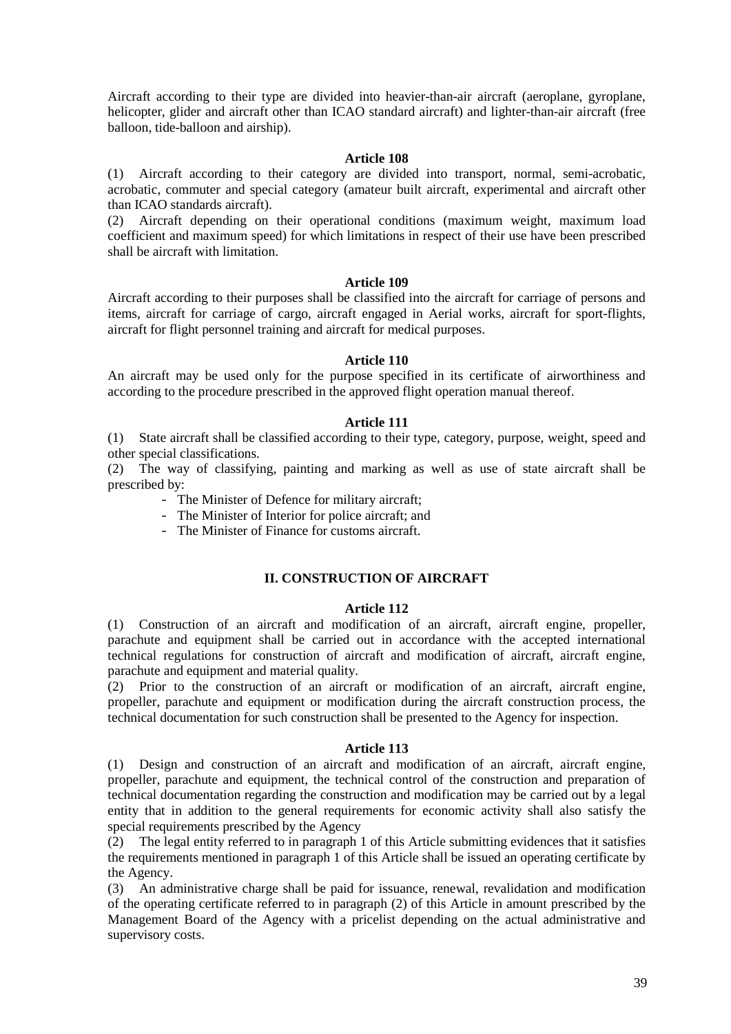Aircraft according to their type are divided into heavier-than-air aircraft (aeroplane, gyroplane, helicopter, glider and aircraft other than ICAO standard aircraft) and lighter-than-air aircraft (free balloon, tide-balloon and airship).

### **Article 108**

(1) Aircraft according to their category are divided into transport, normal, semi-acrobatic, acrobatic, commuter and special category (amateur built aircraft, experimental and aircraft other than ICAO standards aircraft).

(2) Aircraft depending on their operational conditions (maximum weight, maximum load coefficient and maximum speed) for which limitations in respect of their use have been prescribed shall be aircraft with limitation.

#### **Article 109**

Aircraft according to their purposes shall be classified into the aircraft for carriage of persons and items, aircraft for carriage of cargo, aircraft engaged in Aerial works, aircraft for sport-flights, aircraft for flight personnel training and aircraft for medical purposes.

### **Article 110**

An aircraft may be used only for the purpose specified in its certificate of airworthiness and according to the procedure prescribed in the approved flight operation manual thereof.

### **Article 111**

(1) State aircraft shall be classified according to their type, category, purpose, weight, speed and other special classifications.

(2) The way of classifying, painting and marking as well as use of state aircraft shall be prescribed by:

- The Minister of Defence for military aircraft;
- The Minister of Interior for police aircraft; and
- The Minister of Finance for customs aircraft.

# **II. CONSTRUCTION OF AIRCRAFT**

#### **Article 112**

(1) Construction of an aircraft and modification of an aircraft, aircraft engine, propeller, parachute and equipment shall be carried out in accordance with the accepted international technical regulations for construction of aircraft and modification of aircraft, aircraft engine, parachute and equipment and material quality.

(2) Prior to the construction of an aircraft or modification of an aircraft, aircraft engine, propeller, parachute and equipment or modification during the aircraft construction process, the technical documentation for such construction shall be presented to the Agency for inspection.

# **Article 113**

(1) Design and construction of an aircraft and modification of an aircraft, aircraft engine, propeller, parachute and equipment, the technical control of the construction and preparation of technical documentation regarding the construction and modification may be carried out by a legal entity that in addition to the general requirements for economic activity shall also satisfy the special requirements prescribed by the Agency

(2) The legal entity referred to in paragraph 1 of this Article submitting evidences that it satisfies the requirements mentioned in paragraph 1 of this Article shall be issued an operating certificate by the Agency.

(3) An administrative charge shall be paid for issuance, renewal, revalidation and modification of the operating certificate referred to in paragraph (2) of this Article in amount prescribed by the Management Board of the Agency with a pricelist depending on the actual administrative and supervisory costs.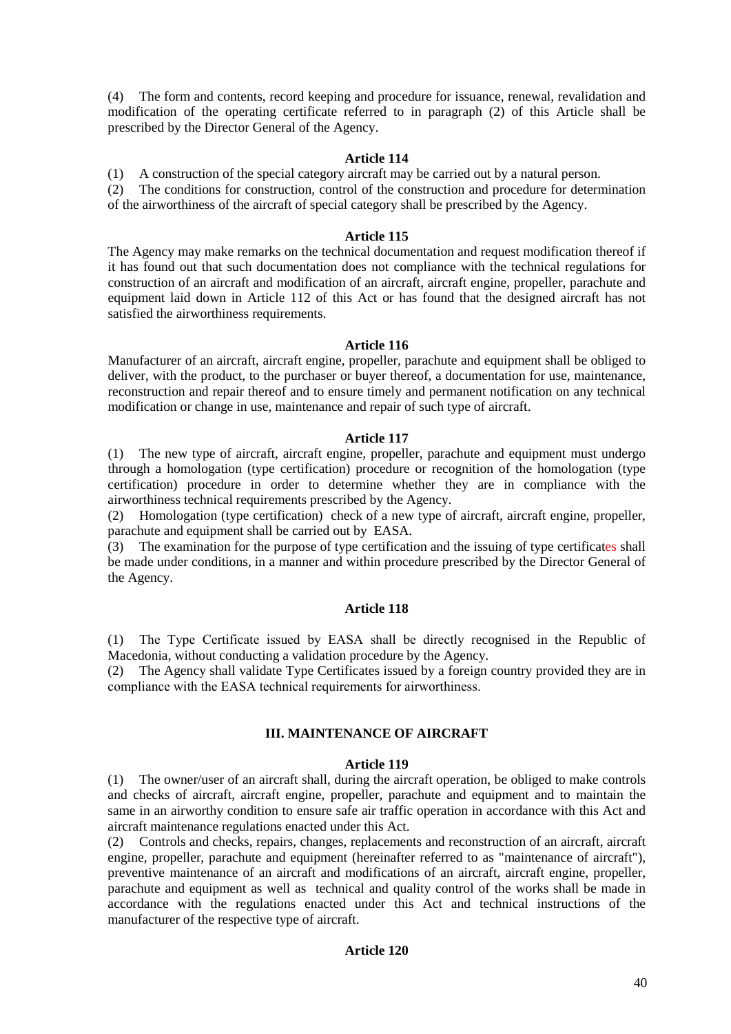(4) The form and contents, record keeping and procedure for issuance, renewal, revalidation and modification of the operating certificate referred to in paragraph (2) of this Article shall be prescribed by the Director General of the Agency.

# **Article 114**

(1) A construction of the special category aircraft may be carried out by a natural person.

(2) The conditions for construction, control of the construction and procedure for determination of the airworthiness of the aircraft of special category shall be prescribed by the Agency.

### **Article 115**

The Agency may make remarks on the technical documentation and request modification thereof if it has found out that such documentation does not compliance with the technical regulations for construction of an aircraft and modification of an aircraft, aircraft engine, propeller, parachute and equipment laid down in Article 112 of this Act or has found that the designed aircraft has not satisfied the airworthiness requirements.

# **Article 116**

Manufacturer of an aircraft, aircraft engine, propeller, parachute and equipment shall be obliged to deliver, with the product, to the purchaser or buyer thereof, a documentation for use, maintenance, reconstruction and repair thereof and to ensure timely and permanent notification on any technical modification or change in use, maintenance and repair of such type of aircraft.

# **Article 117**

(1) The new type of aircraft, aircraft engine, propeller, parachute and equipment must undergo through a homologation (type certification) procedure or recognition of the homologation (type certification) procedure in order to determine whether they are in compliance with the airworthiness technical requirements prescribed by the Agency.

(2) Homologation (type certification) check of a new type of aircraft, aircraft engine, propeller, parachute and equipment shall be carried out by EASA.

(3) The examination for the purpose of type certification and the issuing of type certificates shall be made under conditions, in a manner and within procedure prescribed by the Director General of the Agency.

# **Article 118**

(1) The Type Certificate issued by ЕАЅА shall be directly recognised in the Republic of Macedonia, without conducting a validation procedure by the Agency.

(2) The Agency shall validate Type Certificates issued by a foreign country provided they are in compliance with the ЕАЅА technical requirements for airworthiness.

# **III. MAINTENANCE OF AIRCRAFT**

#### **Article 119**

(1) The owner/user of an aircraft shall, during the aircraft operation, be obliged to make controls and checks of aircraft, aircraft engine, propeller, parachute and equipment and to maintain the same in an airworthy condition to ensure safe air traffic operation in accordance with this Act and aircraft maintenance regulations enacted under this Act.

(2) Controls and checks, repairs, changes, replacements and reconstruction of an aircraft, aircraft engine, propeller, parachute and equipment (hereinafter referred to as "maintenance of aircraft"), preventive maintenance of an aircraft and modifications of an aircraft, aircraft engine, propeller, parachute and equipment as well as technical and quality control of the works shall be made in accordance with the regulations enacted under this Act and technical instructions of the manufacturer of the respective type of aircraft.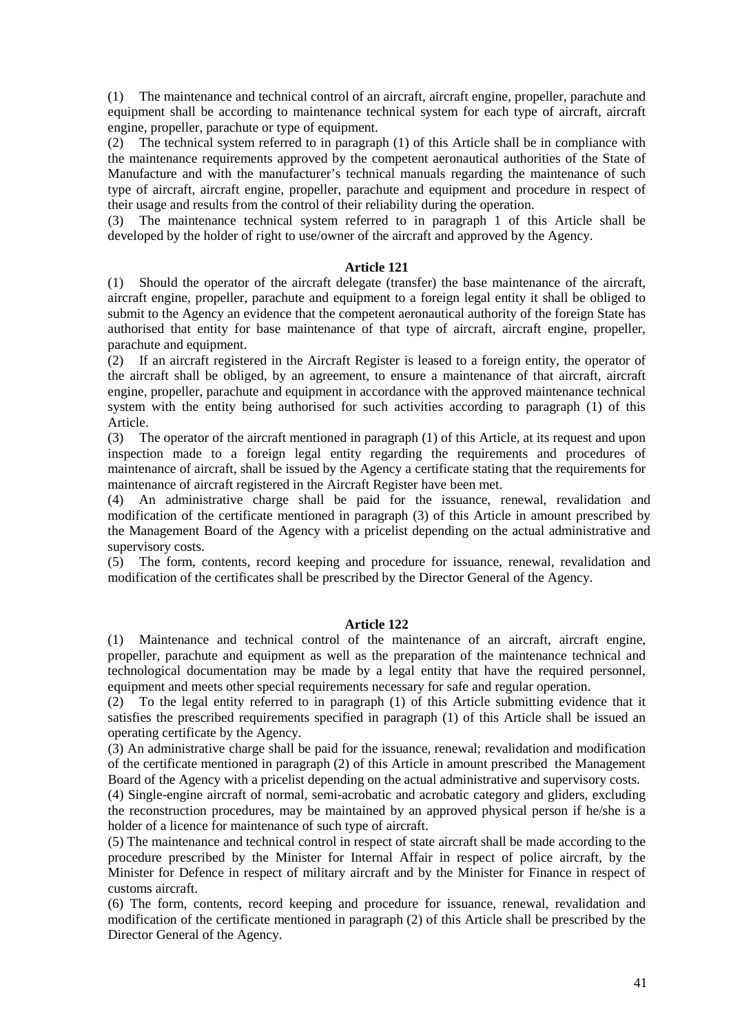(1) The maintenance and technical control of an aircraft, aircraft engine, propeller, parachute and equipment shall be according to maintenance technical system for each type of aircraft, aircraft engine, propeller, parachute or type of equipment.

(2) The technical system referred to in paragraph (1) of this Article shall be in compliance with the maintenance requirements approved by the competent aeronautical authorities of the State of Manufacture and with the manufacturer's technical manuals regarding the maintenance of such type of aircraft, aircraft engine, propeller, parachute and equipment and procedure in respect of their usage and results from the control of their reliability during the operation.

(3) The maintenance technical system referred to in paragraph 1 of this Article shall be developed by the holder of right to use/owner of the aircraft and approved by the Agency.

### **Article 121**

(1) Should the operator of the aircraft delegate (transfer) the base maintenance of the aircraft, aircraft engine, propeller, parachute and equipment to a foreign legal entity it shall be obliged to submit to the Agency an evidence that the competent aeronautical authority of the foreign State has authorised that entity for base maintenance of that type of aircraft, aircraft engine, propeller, parachute and equipment.

(2) If an aircraft registered in the Aircraft Register is leased to a foreign entity, the operator of the aircraft shall be obliged, by an agreement, to ensure a maintenance of that aircraft, aircraft engine, propeller, parachute and equipment in accordance with the approved maintenance technical system with the entity being authorised for such activities according to paragraph (1) of this Article.

(3) The operator of the aircraft mentioned in paragraph (1) of this Article, at its request and upon inspection made to a foreign legal entity regarding the requirements and procedures of maintenance of aircraft, shall be issued by the Agency a certificate stating that the requirements for maintenance of aircraft registered in the Aircraft Register have been met.

(4) An administrative charge shall be paid for the issuance, renewal, revalidation and modification of the certificate mentioned in paragraph (3) of this Article in amount prescribed by the Management Board of the Agency with a pricelist depending on the actual administrative and supervisory costs.

(5) The form, contents, record keeping and procedure for issuance, renewal, revalidation and modification of the certificates shall be prescribed by the Director General of the Agency.

# **Article 122**

(1) Maintenance and technical control of the maintenance of an aircraft, aircraft engine, propeller, parachute and equipment as well as the preparation of the maintenance technical and technological documentation may be made by a legal entity that have the required personnel, equipment and meets other special requirements necessary for safe and regular operation.

(2) To the legal entity referred to in paragraph (1) of this Article submitting evidence that it satisfies the prescribed requirements specified in paragraph (1) of this Article shall be issued an operating certificate by the Agency.

(3) An administrative charge shall be paid for the issuance, renewal; revalidation and modification of the certificate mentioned in paragraph (2) of this Article in amount prescribed the Management Board of the Agency with a pricelist depending on the actual administrative and supervisory costs.

(4) Single-engine aircraft of normal, semi-acrobatic and acrobatic category and gliders, excluding the reconstruction procedures, may be maintained by an approved physical person if he/she is a holder of a licence for maintenance of such type of aircraft.

(5) The maintenance and technical control in respect of state aircraft shall be made according to the procedure prescribed by the Minister for Internal Affair in respect of police aircraft, by the Minister for Defence in respect of military aircraft and by the Minister for Finance in respect of customs aircraft.

(6) The form, contents, record keeping and procedure for issuance, renewal, revalidation and modification of the certificate mentioned in paragraph (2) of this Article shall be prescribed by the Director General of the Agency.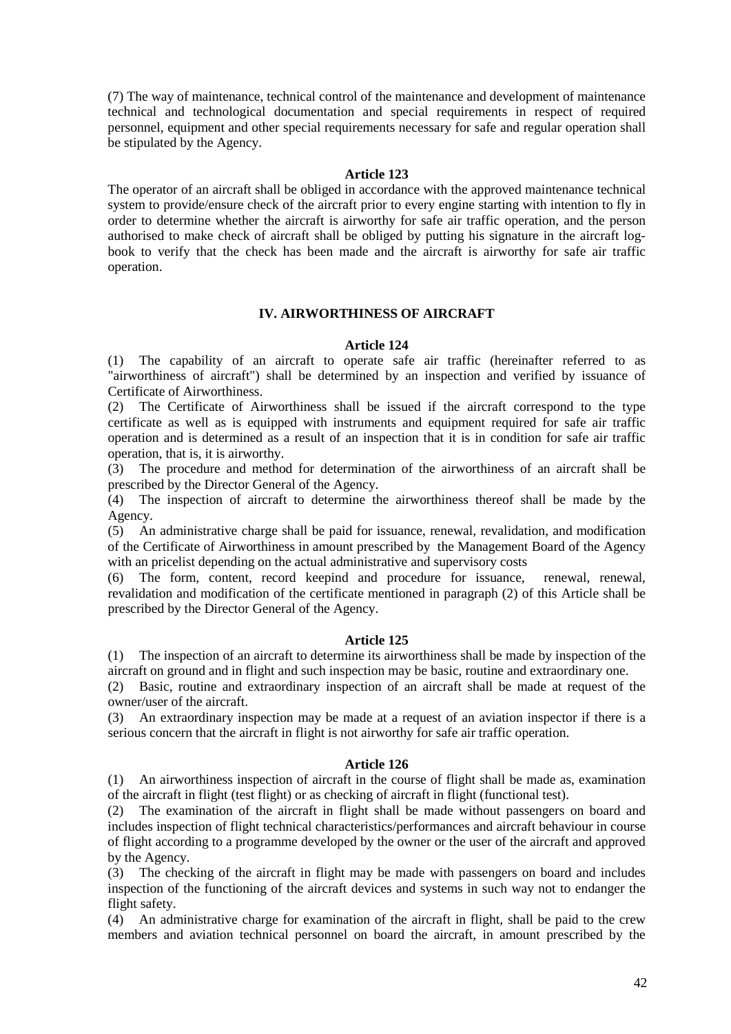(7) The way of maintenance, technical control of the maintenance and development of maintenance technical and technological documentation and special requirements in respect of required personnel, equipment and other special requirements necessary for safe and regular operation shall be stipulated by the Agency.

### **Article 123**

The operator of an aircraft shall be obliged in accordance with the approved maintenance technical system to provide/ensure check of the aircraft prior to every engine starting with intention to fly in order to determine whether the aircraft is airworthy for safe air traffic operation, and the person authorised to make check of aircraft shall be obliged by putting his signature in the aircraft logbook to verify that the check has been made and the aircraft is airworthy for safe air traffic operation.

# **IV. AIRWORTHINESS OF AIRCRAFT**

# **Article 124**

(1) The capability of an aircraft to operate safe air traffic (hereinafter referred to as "airworthiness of aircraft") shall be determined by an inspection and verified by issuance of Certificate of Airworthiness.

(2) The Certificate of Airworthiness shall be issued if the aircraft correspond to the type certificate as well as is equipped with instruments and equipment required for safe air traffic operation and is determined as a result of an inspection that it is in condition for safe air traffic operation, that is, it is airworthy.

(3) The procedure and method for determination of the airworthiness of an aircraft shall be prescribed by the Director General of the Agency.

(4) The inspection of aircraft to determine the airworthiness thereof shall be made by the Agency.

(5) An administrative charge shall be paid for issuance, renewal, revalidation, and modification of the Certificate of Airworthiness in amount prescribed by the Management Board of the Agency with an pricelist depending on the actual administrative and supervisory costs

(6) The form, content, record keepind and procedure for issuance, renewal, renewal, revalidation and modification of the certificate mentioned in paragraph (2) of this Article shall be prescribed by the Director General of the Agency.

# **Article 125**

(1) The inspection of an aircraft to determine its airworthiness shall be made by inspection of the aircraft on ground and in flight and such inspection may be basic, routine and extraordinary one.

(2) Basic, routine and extraordinary inspection of an aircraft shall be made at request of the owner/user of the aircraft.

(3) An extraordinary inspection may be made at a request of an aviation inspector if there is a serious concern that the aircraft in flight is not airworthy for safe air traffic operation.

#### **Article 126**

(1) An airworthiness inspection of aircraft in the course of flight shall be made as, examination of the aircraft in flight (test flight) or as checking of aircraft in flight (functional test).

(2) The examination of the aircraft in flight shall be made without passengers on board and includes inspection of flight technical characteristics/performances and aircraft behaviour in course of flight according to a programme developed by the owner or the user of the aircraft and approved by the Agency.

(3) The checking of the aircraft in flight may be made with passengers on board and includes inspection of the functioning of the aircraft devices and systems in such way not to endanger the flight safety.

(4) An administrative charge for examination of the aircraft in flight, shall be paid to the crew members and aviation technical personnel on board the aircraft, in amount prescribed by the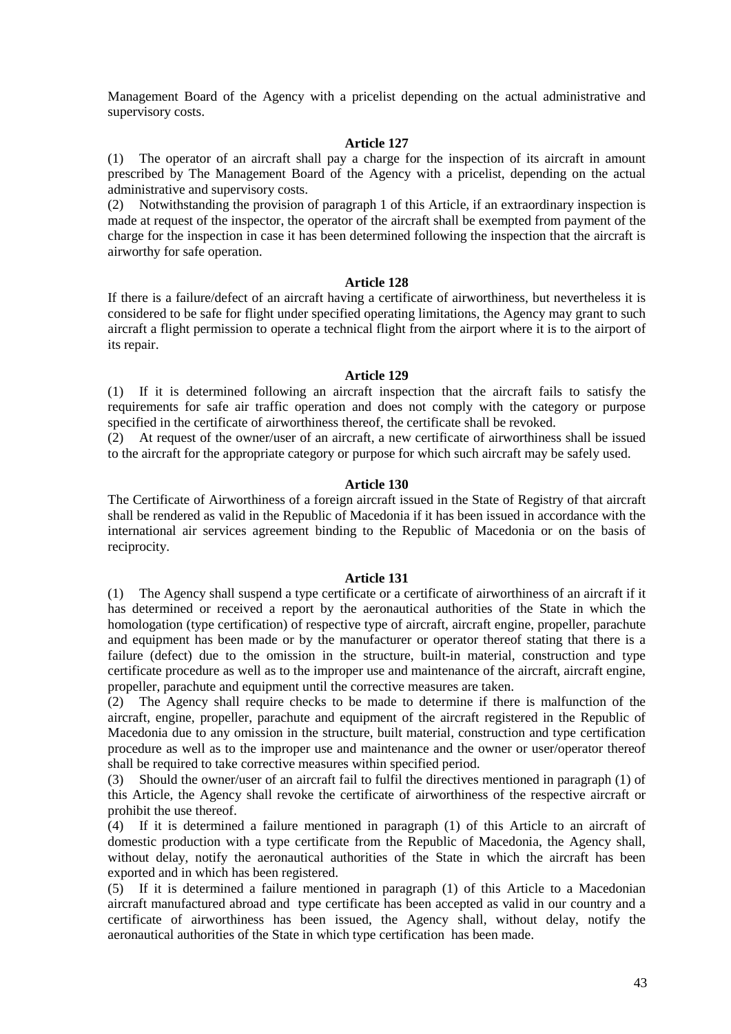Management Board of the Agency with a pricelist depending on the actual administrative and supervisory costs.

### **Article 127**

(1) The operator of an aircraft shall pay a charge for the inspection of its aircraft in amount prescribed by The Management Board of the Agency with a pricelist, depending on the actual administrative and supervisory costs.

(2) Notwithstanding the provision of paragraph 1 of this Article, if an extraordinary inspection is made at request of the inspector, the operator of the aircraft shall be exempted from payment of the charge for the inspection in case it has been determined following the inspection that the aircraft is airworthy for safe operation.

### **Article 128**

If there is a failure/defect of an aircraft having a certificate of airworthiness, but nevertheless it is considered to be safe for flight under specified operating limitations, the Agency may grant to such aircraft a flight permission to operate a technical flight from the airport where it is to the airport of its repair.

#### **Article 129**

(1) If it is determined following an aircraft inspection that the aircraft fails to satisfy the requirements for safe air traffic operation and does not comply with the category or purpose specified in the certificate of airworthiness thereof, the certificate shall be revoked.

(2) At request of the owner/user of an aircraft, a new certificate of airworthiness shall be issued to the aircraft for the appropriate category or purpose for which such aircraft may be safely used.

### **Article 130**

The Certificate of Airworthiness of a foreign aircraft issued in the State of Registry of that aircraft shall be rendered as valid in the Republic of Macedonia if it has been issued in accordance with the international air services agreement binding to the Republic of Macedonia or on the basis of reciprocity.

#### **Article 131**

(1) The Agency shall suspend a type certificate or a certificate of airworthiness of an aircraft if it has determined or received a report by the aeronautical authorities of the State in which the homologation (type certification) of respective type of aircraft, aircraft engine, propeller, parachute and equipment has been made or by the manufacturer or operator thereof stating that there is a failure (defect) due to the omission in the structure, built-in material, construction and type certificate procedure as well as to the improper use and maintenance of the aircraft, aircraft engine, propeller, parachute and equipment until the corrective measures are taken.

(2) The Agency shall require checks to be made to determine if there is malfunction of the aircraft, engine, propeller, parachute and equipment of the aircraft registered in the Republic of Macedonia due to any omission in the structure, built material, construction and type certification procedure as well as to the improper use and maintenance and the owner or user/operator thereof shall be required to take corrective measures within specified period.

(3) Should the owner/user of an aircraft fail to fulfil the directives mentioned in paragraph (1) of this Article, the Agency shall revoke the certificate of airworthiness of the respective aircraft or prohibit the use thereof.

(4) If it is determined a failure mentioned in paragraph (1) of this Article to an aircraft of domestic production with a type certificate from the Republic of Macedonia, the Agency shall, without delay, notify the aeronautical authorities of the State in which the aircraft has been exported and in which has been registered.

(5) If it is determined a failure mentioned in paragraph (1) of this Article to a Macedonian aircraft manufactured abroad and type certificate has been accepted as valid in our country and a certificate of airworthiness has been issued, the Agency shall, without delay, notify the aeronautical authorities of the State in which type certification has been made.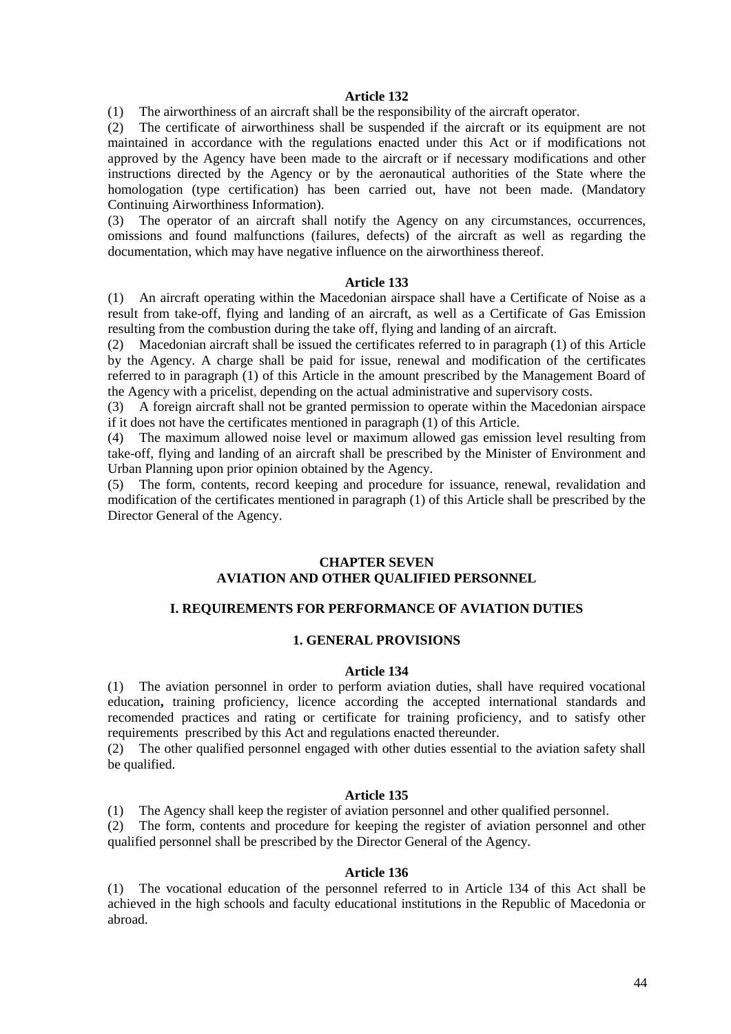#### **Article 132**

(1) The airworthiness of an aircraft shall be the responsibility of the aircraft operator.

(2) The certificate of airworthiness shall be suspended if the aircraft or its equipment are not maintained in accordance with the regulations enacted under this Act or if modifications not approved by the Agency have been made to the aircraft or if necessary modifications and other instructions directed by the Agency or by the aeronautical authorities of the State where the homologation (type certification) has been carried out, have not been made. (Mandatory Continuing Airworthiness Information).

(3) The operator of an aircraft shall notify the Agency on any circumstances, occurrences, omissions and found malfunctions (failures, defects) of the aircraft as well as regarding the documentation, which may have negative influence on the airworthiness thereof.

#### **Article 133**

(1) An aircraft operating within the Macedonian airspace shall have a Certificate of Noise as a result from take-off, flying and landing of an aircraft, as well as a Certificate of Gas Emission resulting from the combustion during the take off, flying and landing of an aircraft.

(2) Macedonian aircraft shall be issued the certificates referred to in paragraph (1) of this Article by the Agency. A charge shall be paid for issue, renewal and modification of the certificates referred to in paragraph (1) of this Article in the amount prescribed by the Management Board of the Agency with a pricelist, depending on the actual administrative and supervisory costs.

(3) A foreign aircraft shall not be granted permission to operate within the Macedonian airspace if it does not have the certificates mentioned in paragraph (1) of this Article.

(4) The maximum allowed noise level or maximum allowed gas emission level resulting from take-off, flying and landing of an aircraft shall be prescribed by the Minister of Environment and Urban Planning upon prior opinion obtained by the Agency.

(5) The form, contents, record keeping and procedure for issuance, renewal, revalidation and modification of the certificates mentioned in paragraph (1) of this Article shall be prescribed by the Director General of the Agency.

# **CHAPTER SEVEN AVIATION AND OTHER QUALIFIED PERSONNEL**

### **I. REQUIREMENTS FOR PERFORMANCE OF AVIATION DUTIES**

# **1. GENERAL PROVISIONS**

#### **Article 134**

(1) The aviation personnel in order to perform aviation duties, shall have required vocational education**,** training proficiency, licence according the accepted international standards and recomended practices and rating or certificate for training proficiency, and to satisfy other requirements prescribed by this Act and regulations enacted thereunder.

(2) The other qualified personnel engaged with other duties essential to the aviation safety shall be qualified.

#### **Article 135**

(1) The Agency shall keep the register of aviation personnel and other qualified personnel.

(2) The form, contents and procedure for keeping the register of aviation personnel and other qualified personnel shall be prescribed by the Director General of the Agency.

#### **Article 136**

(1) The vocational education of the personnel referred to in Article 134 of this Act shall be achieved in the high schools and faculty educational institutions in the Republic of Macedonia or abroad.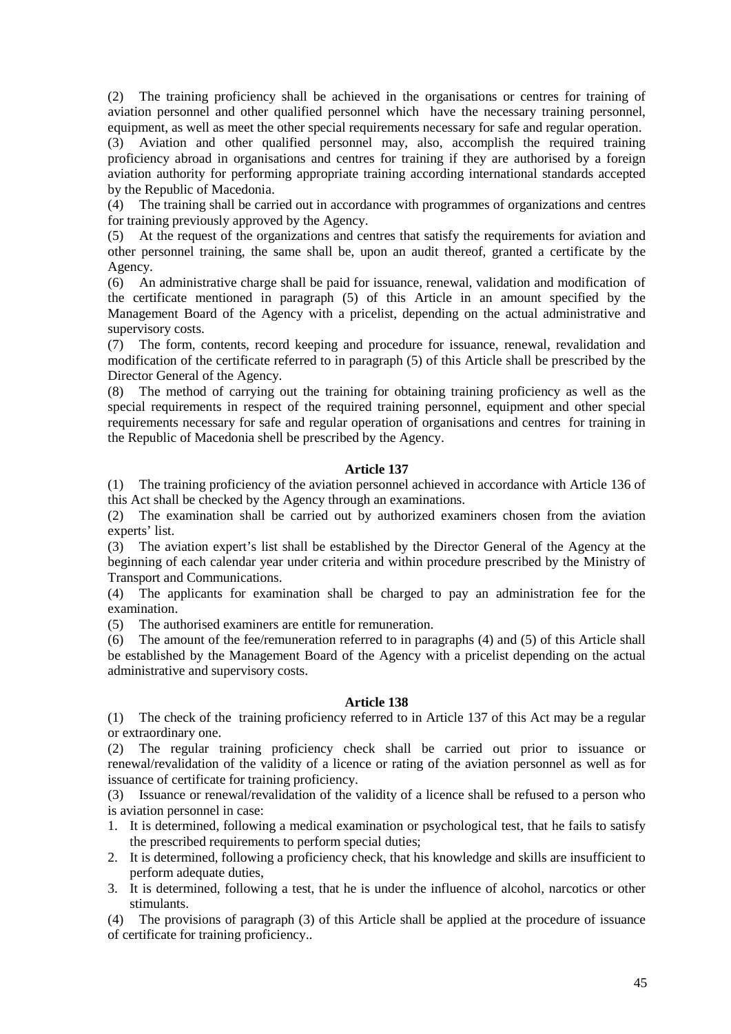(2) The training proficiency shall be achieved in the organisations or centres for training of aviation personnel and other qualified personnel which have the necessary training personnel, equipment, as well as meet the other special requirements necessary for safe and regular operation.

(3) Aviation and other qualified personnel may, also, accomplish the required training proficiency abroad in organisations and centres for training if they are authorised by a foreign aviation authority for performing appropriate training according international standards accepted by the Republic of Macedonia.

(4) The training shall be carried out in accordance with programmes of organizations and centres for training previously approved by the Agency.

(5) At the request of the organizations and centres that satisfy the requirements for aviation and other personnel training, the same shall be, upon an audit thereof, granted a certificate by the Agency.

(6) An administrative charge shall be paid for issuance, renewal, validation and modification of the certificate mentioned in paragraph (5) of this Article in an amount specified by the Management Board of the Agency with a pricelist, depending on the actual administrative and supervisory costs.

(7) The form, contents, record keeping and procedure for issuance, renewal, revalidation and modification of the certificate referred to in paragraph (5) of this Article shall be prescribed by the Director General of the Agency.

(8) The method of carrying out the training for obtaining training proficiency as well as the special requirements in respect of the required training personnel, equipment and other special requirements necessary for safe and regular operation of organisations and centres for training in the Republic of Macedonia shell be prescribed by the Agency.

### **Article 137**

(1) The training proficiency of the aviation personnel achieved in accordance with Article 136 of this Act shall be checked by the Agency through an examinations.

(2) The examination shall be carried out by authorized examiners chosen from the aviation experts' list.

(3) The aviation expert's list shall be established by the Director General of the Agency at the beginning of each calendar year under criteria and within procedure prescribed by the Ministry of Transport and Communications.

(4) The applicants for examination shall be charged to pay an administration fee for the examination.

(5) The authorised examiners are entitle for remuneration.

(6) The amount of the fee/remuneration referred to in paragraphs (4) and (5) of this Article shall be established by the Management Board of the Agency with a pricelist depending on the actual administrative and supervisory costs.

#### **Article 138**

(1) The check of the training proficiency referred to in Article 137 of this Act may be a regular or extraordinary one.

(2) The regular training proficiency check shall be carried out prior to issuance or renewal/revalidation of the validity of a licence or rating of the aviation personnel as well as for issuance of certificate for training proficiency.

(3) Issuance or renewal/revalidation of the validity of a licence shall be refused to a person who is aviation personnel in case:

- 1. It is determined, following a medical examination or psychological test, that he fails to satisfy the prescribed requirements to perform special duties;
- 2. It is determined, following a proficiency check, that his knowledge and skills are insufficient to perform adequate duties,
- 3. It is determined, following a test, that he is under the influence of alcohol, narcotics or other stimulants.

(4) The provisions of paragraph (3) of this Article shall be applied at the procedure of issuance of certificate for training proficiency..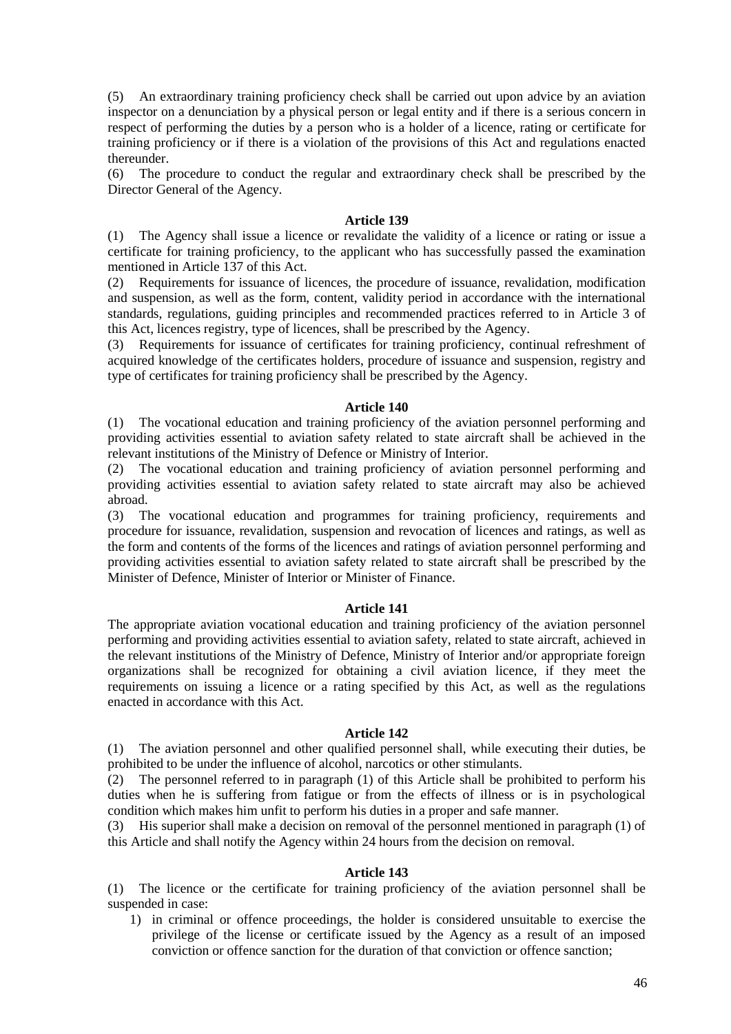(5) An extraordinary training proficiency check shall be carried out upon advice by an aviation inspector on a denunciation by a physical person or legal entity and if there is a serious concern in respect of performing the duties by a person who is a holder of a licence, rating or certificate for training proficiency or if there is a violation of the provisions of this Act and regulations enacted thereunder.

(6) The procedure to conduct the regular and extraordinary check shall be prescribed by the Director General of the Agency.

#### **Article 139**

(1) The Agency shall issue a licence or revalidate the validity of a licence or rating or issue a certificate for training proficiency, to the applicant who has successfully passed the examination mentioned in Article 137 of this Act.

(2) Requirements for issuance of licences, the procedure of issuance, revalidation, modification and suspension, as well as the form, content, validity period in accordance with the international standards, regulations, guiding principles and recommended practices referred to in Article 3 of this Act, licences registry, type of licences, shall be prescribed by the Agency.

(3) Requirements for issuance of certificates for training proficiency, continual refreshment of acquired knowledge of the certificates holders, procedure of issuance and suspension, registry and type of certificates for training proficiency shall be prescribed by the Agency.

#### **Article 140**

(1) The vocational education and training proficiency of the aviation personnel performing and providing activities essential to aviation safety related to state aircraft shall be achieved in the relevant institutions of the Ministry of Defence or Ministry of Interior.

(2) The vocational education and training proficiency of aviation personnel performing and providing activities essential to aviation safety related to state aircraft may also be achieved abroad.

(3) The vocational education and programmes for training proficiency, requirements and procedure for issuance, revalidation, suspension and revocation of licences and ratings, as well as the form and contents of the forms of the licences and ratings of aviation personnel performing and providing activities essential to aviation safety related to state aircraft shall be prescribed by the Minister of Defence, Minister of Interior or Minister of Finance.

#### **Article 141**

The appropriate aviation vocational education and training proficiency of the aviation personnel performing and providing activities essential to aviation safety, related to state aircraft, achieved in the relevant institutions of the Ministry of Defence, Ministry of Interior and/or appropriate foreign organizations shall be recognized for obtaining a civil aviation licence, if they meet the requirements on issuing a licence or a rating specified by this Act, as well as the regulations enacted in accordance with this Act.

#### **Article 142**

(1) The aviation personnel and other qualified personnel shall, while executing their duties, be prohibited to be under the influence of alcohol, narcotics or other stimulants.

(2) The personnel referred to in paragraph (1) of this Article shall be prohibited to perform his duties when he is suffering from fatigue or from the effects of illness or is in psychological condition which makes him unfit to perform his duties in a proper and safe manner.

(3) His superior shall make a decision on removal of the personnel mentioned in paragraph (1) of this Article and shall notify the Agency within 24 hours from the decision on removal.

### **Article 143**

(1) The licence or the certificate for training proficiency of the aviation personnel shall be suspended in case:

1) in criminal or offence proceedings, the holder is considered unsuitable to exercise the privilege of the license or certificate issued by the Agency as a result of an imposed conviction or offence sanction for the duration of that conviction or offence sanction;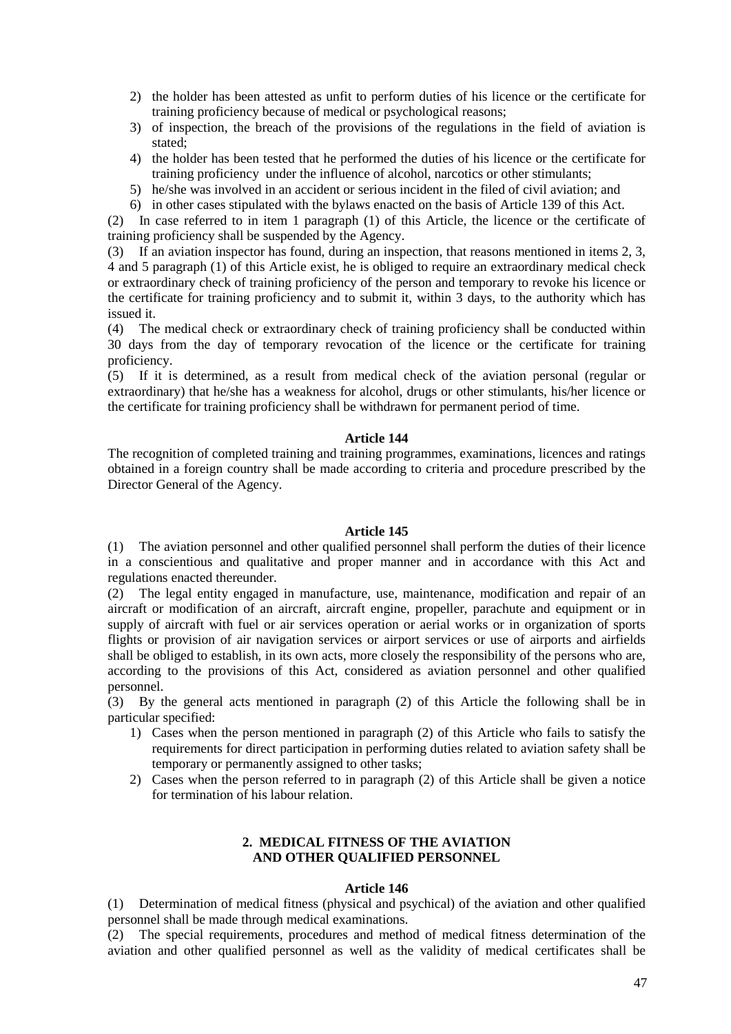- 2) the holder has been attested as unfit to perform duties of his licence or the certificate for training proficiency because of medical or psychological reasons;
- 3) of inspection, the breach of the provisions of the regulations in the field of aviation is stated;
- 4) the holder has been tested that he performed the duties of his licence or the certificate for training proficiency under the influence of alcohol, narcotics or other stimulants;
- 5) he/she was involved in an accident or serious incident in the filed of civil aviation; and
- 6) in other cases stipulated with the bylaws enacted on the basis of Article 139 of this Act.

(2) In case referred to in item 1 paragraph (1) of this Article, the licence or the certificate of training proficiency shall be suspended by the Agency.

(3) If an aviation inspector has found, during an inspection, that reasons mentioned in items 2, 3, 4 and 5 paragraph (1) of this Article exist, he is obliged to require an extraordinary medical check or extraordinary check of training proficiency of the person and temporary to revoke his licence or the certificate for training proficiency and to submit it, within 3 days, to the authority which has issued it.

(4) The medical check or extraordinary check of training proficiency shall be conducted within 30 days from the day of temporary revocation of the licence or the certificate for training proficiency.

(5) If it is determined, as a result from medical check of the aviation personal (regular or extraordinary) that he/she has a weakness for alcohol, drugs or other stimulants, his/her licence or the certificate for training proficiency shall be withdrawn for permanent period of time.

### **Article 144**

The recognition of completed training and training programmes, examinations, licences and ratings obtained in a foreign country shall be made according to criteria and procedure prescribed by the Director General of the Agency.

#### **Article 145**

(1) The aviation personnel and other qualified personnel shall perform the duties of their licence in a conscientious and qualitative and proper manner and in accordance with this Act and regulations enacted thereunder.

(2) The legal entity engaged in manufacture, use, maintenance, modification and repair of an aircraft or modification of an aircraft, aircraft engine, propeller, parachute and equipment or in supply of aircraft with fuel or air services operation or aerial works or in organization of sports flights or provision of air navigation services or airport services or use of airports and airfields shall be obliged to establish, in its own acts, more closely the responsibility of the persons who are, according to the provisions of this Act, considered as aviation personnel and other qualified personnel.

(3) By the general acts mentioned in paragraph (2) of this Article the following shall be in particular specified:

- 1) Cases when the person mentioned in paragraph (2) of this Article who fails to satisfy the requirements for direct participation in performing duties related to aviation safety shall be temporary or permanently assigned to other tasks;
- 2) Cases when the person referred to in paragraph (2) of this Article shall be given a notice for termination of his labour relation.

# **2. MEDICAL FITNESS OF THE AVIATION AND OTHER QUALIFIED PERSONNEL**

#### **Article 146**

(1) Determination of medical fitness (physical and psychical) of the aviation and other qualified personnel shall be made through medical examinations.

(2) The special requirements, procedures and method of medical fitness determination of the aviation and other qualified personnel as well as the validity of medical certificates shall be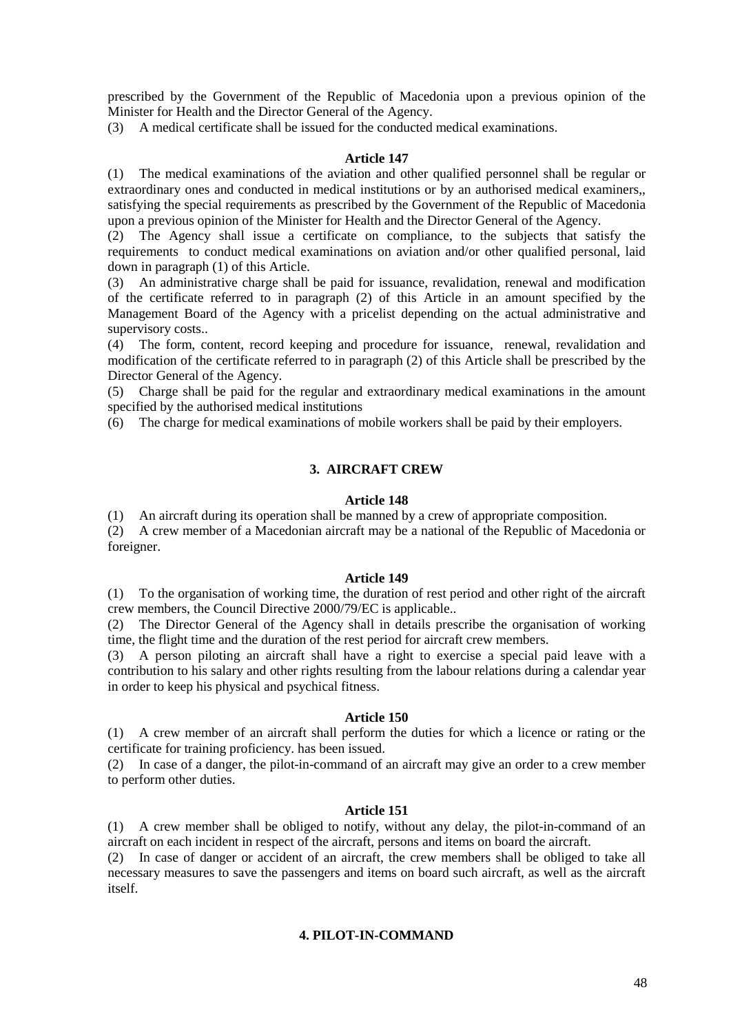prescribed by the Government of the Republic of Macedonia upon a previous opinion of the Minister for Health and the Director General of the Agency.

(3) A medical certificate shall be issued for the conducted medical examinations.

### **Article 147**

(1) The medical examinations of the aviation and other qualified personnel shall be regular or extraordinary ones and conducted in medical institutions or by an authorised medical examiners,, satisfying the special requirements as prescribed by the Government of the Republic of Macedonia upon a previous opinion of the Minister for Health and the Director General of the Agency.

(2) The Agency shall issue a certificate on compliance, to the subjects that satisfy the requirements to conduct medical examinations on aviation and/or other qualified personal, laid down in paragraph (1) of this Article.

(3) An administrative charge shall be paid for issuance, revalidation, renewal and modification of the certificate referred to in paragraph (2) of this Article in an amount specified by the Management Board of the Agency with a pricelist depending on the actual administrative and supervisory costs..

(4) The form, content, record keeping and procedure for issuance, renewal, revalidation and modification of the certificate referred to in paragraph (2) of this Article shall be prescribed by the Director General of the Agency.

(5) Charge shall be paid for the regular and extraordinary medical examinations in the amount specified by the authorised medical institutions

(6) The charge for medical examinations of mobile workers shall be paid by their employers.

### **3. AIRCRAFT CREW**

#### **Article 148**

(1) An aircraft during its operation shall be manned by a crew of appropriate composition.

(2) A crew member of a Macedonian aircraft may be a national of the Republic of Macedonia or foreigner.

#### **Article 149**

(1) To the organisation of working time, the duration of rest period and other right of the aircraft crew members, the Council Directive 2000/79/EC is applicable..

(2) The Director General of the Agency shall in details prescribe the organisation of working time, the flight time and the duration of the rest period for aircraft crew members.

(3) A person piloting an aircraft shall have a right to exercise a special paid leave with a contribution to his salary and other rights resulting from the labour relations during a calendar year in order to keep his physical and psychical fitness.

### **Article 150**

(1) A crew member of an aircraft shall perform the duties for which a licence or rating or the certificate for training proficiency. has been issued.

(2) In case of a danger, the pilot-in-command of an aircraft may give an order to a crew member to perform other duties.

#### **Article 151**

(1) A crew member shall be obliged to notify, without any delay, the pilot-in-command of an aircraft on each incident in respect of the aircraft, persons and items on board the aircraft.

(2) In case of danger or accident of an aircraft, the crew members shall be obliged to take all necessary measures to save the passengers and items on board such aircraft, as well as the aircraft itself.

# **4. PILOT-IN-COMMAND**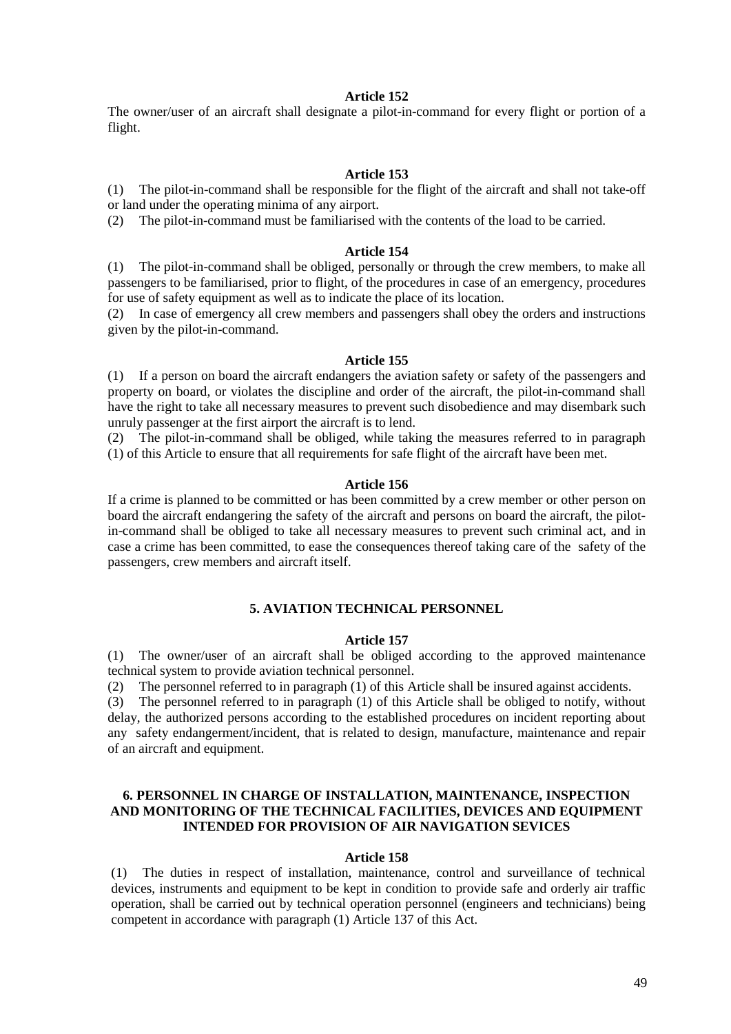#### **Article 152**

The owner/user of an aircraft shall designate a pilot-in-command for every flight or portion of a flight.

### **Article 153**

(1) The pilot-in-command shall be responsible for the flight of the aircraft and shall not take-off or land under the operating minima of any airport.

(2) The pilot-in-command must be familiarised with the contents of the load to be carried.

#### **Article 154**

(1) The pilot-in-command shall be obliged, personally or through the crew members, to make all passengers to be familiarised, prior to flight, of the procedures in case of an emergency, procedures for use of safety equipment as well as to indicate the place of its location.

(2) In case of emergency all crew members and passengers shall obey the orders and instructions given by the pilot-in-command.

### **Article 155**

(1) If a person on board the aircraft endangers the aviation safety or safety of the passengers and property on board, or violates the discipline and order of the aircraft, the pilot-in-command shall have the right to take all necessary measures to prevent such disobedience and may disembark such unruly passenger at the first airport the aircraft is to lend.

(2) The pilot-in-command shall be obliged, while taking the measures referred to in paragraph (1) of this Article to ensure that all requirements for safe flight of the aircraft have been met.

### **Article 156**

If a crime is planned to be committed or has been committed by a crew member or other person on board the aircraft endangering the safety of the aircraft and persons on board the aircraft, the pilotin-command shall be obliged to take all necessary measures to prevent such criminal act, and in case a crime has been committed, to ease the consequences thereof taking care of the safety of the passengers, crew members and aircraft itself.

# **5. AVIATION TECHNICAL PERSONNEL**

# **Article 157**

(1) The owner/user of an aircraft shall be obliged according to the approved maintenance technical system to provide aviation technical personnel.

(2) The personnel referred to in paragraph (1) of this Article shall be insured against accidents.

(3) The personnel referred to in paragraph (1) of this Article shall be obliged to notify, without delay, the authorized persons according to the established procedures on incident reporting about any safety endangerment/incident, that is related to design, manufacture, maintenance and repair of an aircraft and equipment.

### **6. PERSONNEL IN CHARGE OF INSTALLATION, MAINTENANCE, INSPECTION AND MONITORING OF THE TECHNICAL FACILITIES, DEVICES AND EQUIPMENT INTENDED FOR PROVISION OF AIR NAVIGATION SEVICES**

### **Article 158**

(1) The duties in respect of installation, maintenance, control and surveillance of technical devices, instruments and equipment to be kept in condition to provide safe and orderly air traffic operation, shall be carried out by technical operation personnel (engineers and technicians) being competent in accordance with paragraph (1) Article 137 of this Act.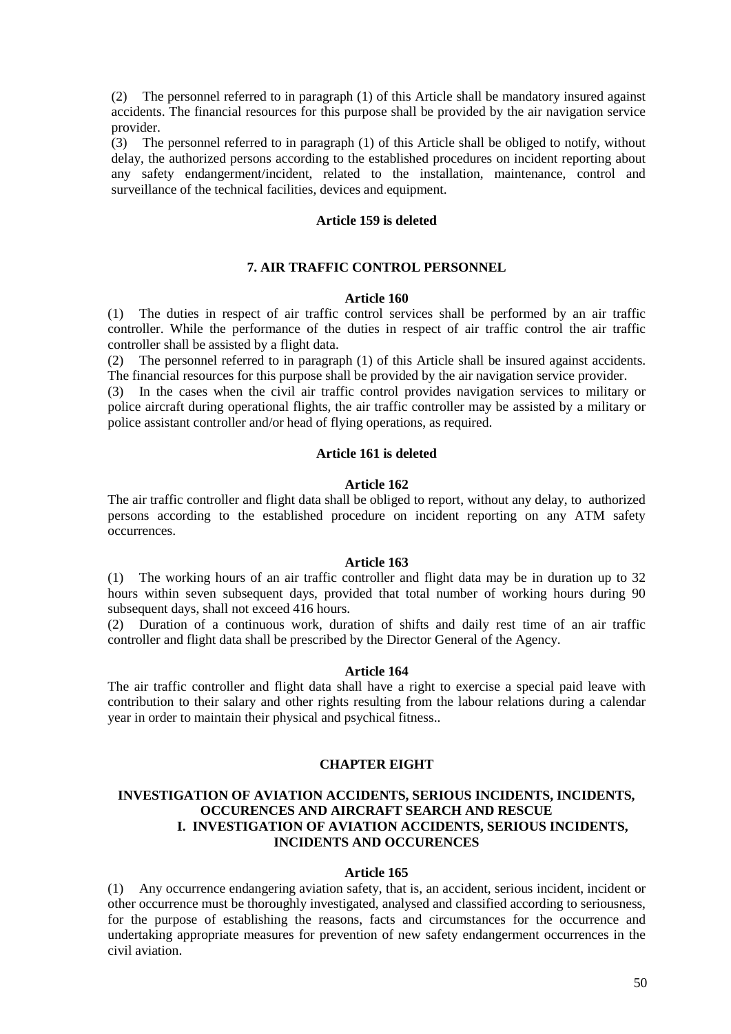(2) The personnel referred to in paragraph (1) of this Article shall be mandatory insured against accidents. The financial resources for this purpose shall be provided by the air navigation service provider.

(3) The personnel referred to in paragraph (1) of this Article shall be obliged to notify, without delay, the authorized persons according to the established procedures on incident reporting about any safety endangerment/incident, related to the installation, maintenance, control and surveillance of the technical facilities, devices and equipment.

### **Article 159 is deleted**

# **7. AIR TRAFFIC CONTROL PERSONNEL**

#### **Article 160**

(1) The duties in respect of air traffic control services shall be performed by an air traffic controller. While the performance of the duties in respect of air traffic control the air traffic controller shall be assisted by a flight data.

(2) The personnel referred to in paragraph (1) of this Article shall be insured against accidents. The financial resources for this purpose shall be provided by the air navigation service provider.

(3) In the cases when the civil air traffic control provides navigation services to military or police aircraft during operational flights, the air traffic controller may be assisted by a military or police assistant controller and/or head of flying operations, as required.

# **Article 161 is deleted**

### **Article 162**

The air traffic controller and flight data shall be obliged to report, without any delay, to authorized persons according to the established procedure on incident reporting on any ATM safety occurrences.

#### **Article 163**

(1) The working hours of an air traffic controller and flight data may be in duration up to 32 hours within seven subsequent days, provided that total number of working hours during 90 subsequent days, shall not exceed 416 hours.

(2) Duration of a continuous work, duration of shifts and daily rest time of an air traffic controller and flight data shall be prescribed by the Director General of the Agency.

#### **Article 164**

The air traffic controller and flight data shall have a right to exercise a special paid leave with contribution to their salary and other rights resulting from the labour relations during a calendar year in order to maintain their physical and psychical fitness..

### **CHAPTER EIGHT**

# **INVESTIGATION OF AVIATION ACCIDENTS, SERIOUS INCIDENTS, INCIDENTS, OCCURENCES AND AIRCRAFT SEARCH AND RESCUE I. INVESTIGATION OF AVIATION ACCIDENTS, SERIOUS INCIDENTS, INCIDENTS AND OCCURENCES**

#### **Article 165**

(1) Any occurrence endangering aviation safety, that is, an accident, serious incident, incident or other occurrence must be thoroughly investigated, analysed and classified according to seriousness, for the purpose of establishing the reasons, facts and circumstances for the occurrence and undertaking appropriate measures for prevention of new safety endangerment occurrences in the civil aviation.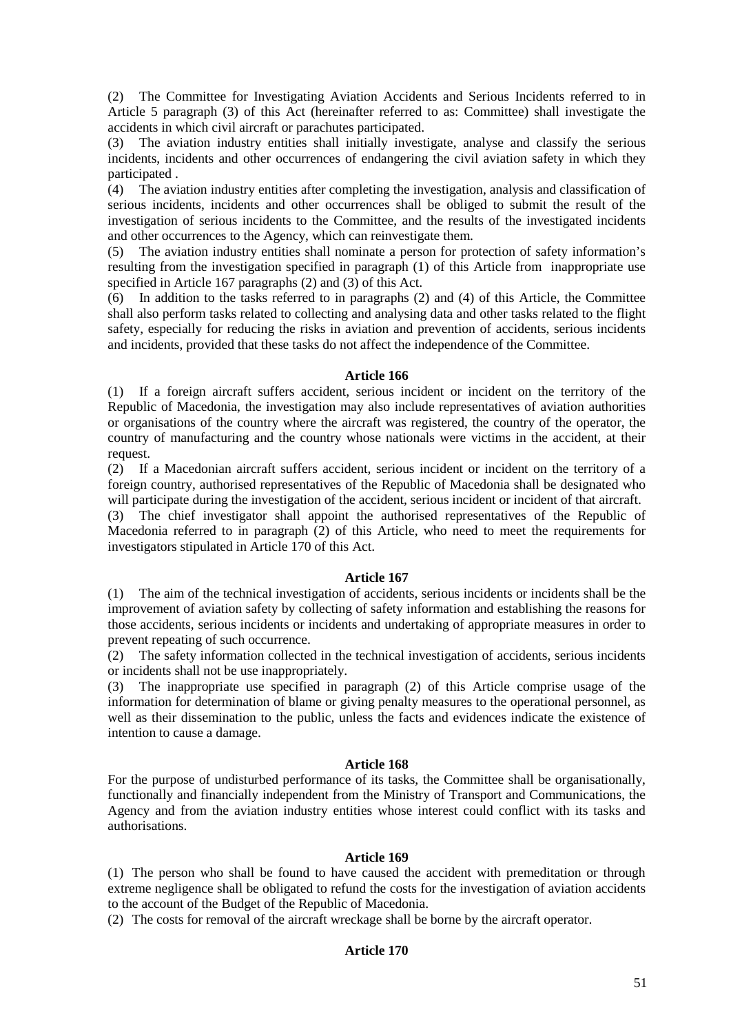(2) The Committee for Investigating Aviation Accidents and Serious Incidents referred to in Article 5 paragraph (3) of this Act (hereinafter referred to as: Committee) shall investigate the accidents in which civil aircraft or parachutes participated.

(3) The aviation industry entities shall initially investigate, analyse and classify the serious incidents, incidents and other occurrences of endangering the civil aviation safety in which they participated .

(4) The aviation industry entities after completing the investigation, analysis and classification of serious incidents, incidents and other occurrences shall be obliged to submit the result of the investigation of serious incidents to the Committee, and the results of the investigated incidents and other occurrences to the Agency, which can reinvestigate them.

(5) The aviation industry entities shall nominate a person for protection of safety information's resulting from the investigation specified in paragraph (1) of this Article from inappropriate use specified in Article 167 paragraphs (2) and (3) of this Act.

(6) In addition to the tasks referred to in paragraphs (2) and (4) of this Article, the Committee shall also perform tasks related to collecting and analysing data and other tasks related to the flight safety, especially for reducing the risks in aviation and prevention of accidents, serious incidents and incidents, provided that these tasks do not affect the independence of the Committee.

### **Article 166**

(1) If a foreign aircraft suffers accident, serious incident or incident on the territory of the Republic of Macedonia, the investigation may also include representatives of aviation authorities or organisations of the country where the aircraft was registered, the country of the operator, the country of manufacturing and the country whose nationals were victims in the accident, at their request.

(2) If a Macedonian aircraft suffers accident, serious incident or incident on the territory of a foreign country, authorised representatives of the Republic of Macedonia shall be designated who will participate during the investigation of the accident, serious incident or incident of that aircraft.

(3) The chief investigator shall appoint the authorised representatives of the Republic of Macedonia referred to in paragraph (2) of this Article, who need to meet the requirements for investigators stipulated in Article 170 of this Act.

#### **Article 167**

(1) The aim of the technical investigation of accidents, serious incidents or incidents shall be the improvement of aviation safety by collecting of safety information and establishing the reasons for those accidents, serious incidents or incidents and undertaking of appropriate measures in order to prevent repeating of such occurrence.

(2) The safety information collected in the technical investigation of accidents, serious incidents or incidents shall not be use inappropriately.

(3) The inappropriate use specified in paragraph (2) of this Article comprise usage of the information for determination of blame or giving penalty measures to the operational personnel, as well as their dissemination to the public, unless the facts and evidences indicate the existence of intention to cause a damage.

#### **Article 168**

For the purpose of undisturbed performance of its tasks, the Committee shall be organisationally, functionally and financially independent from the Ministry of Transport and Communications, the Agency and from the aviation industry entities whose interest could conflict with its tasks and authorisations.

# **Article 169**

(1) The person who shall be found to have caused the accident with premeditation or through extreme negligence shall be obligated to refund the costs for the investigation of aviation accidents to the account of the Budget of the Republic of Macedonia.

(2) The costs for removal of the aircraft wreckage shall be borne by the aircraft operator.

# **Article 170**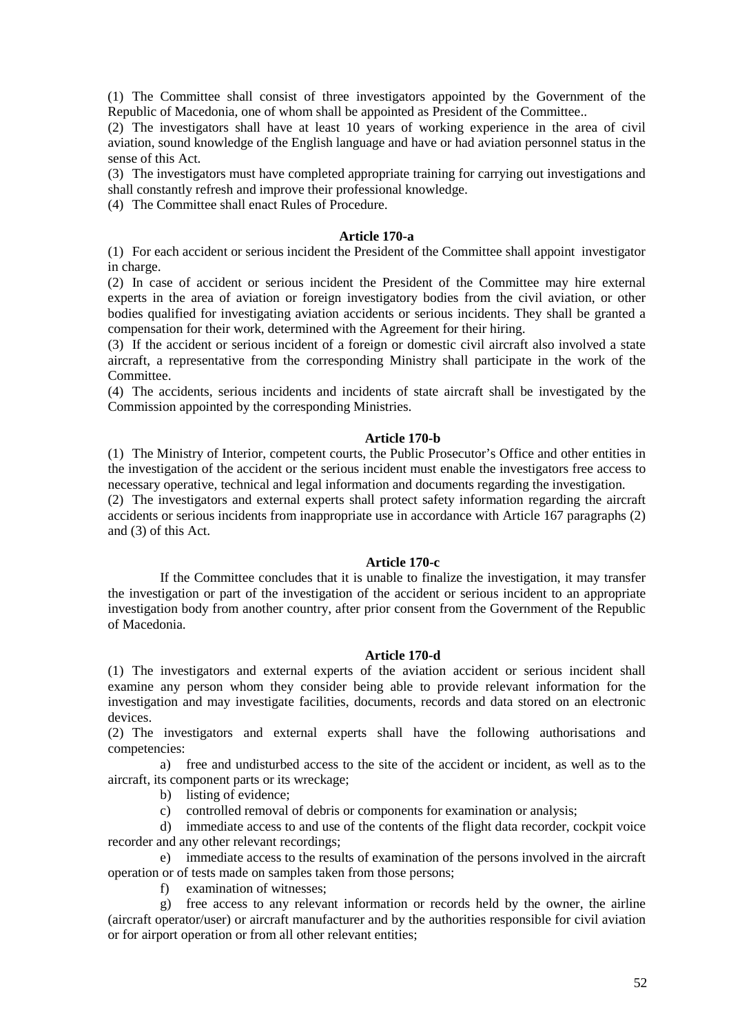(1) The Committee shall consist of three investigators appointed by the Government of the Republic of Macedonia, one of whom shall be appointed as President of the Committee..

(2) The investigators shall have at least 10 years of working experience in the area of civil aviation, sound knowledge of the English language and have or had aviation personnel status in the sense of this Act.

(3) The investigators must have completed appropriate training for carrying out investigations and shall constantly refresh and improve their professional knowledge.

(4) The Committee shall enact Rules of Procedure.

### **Article 170-a**

(1) For each accident or serious incident the President of the Committee shall appoint investigator in charge.

(2) In case of accident or serious incident the President of the Committee may hire external experts in the area of aviation or foreign investigatory bodies from the civil aviation, or other bodies qualified for investigating aviation accidents or serious incidents. They shall be granted a compensation for their work, determined with the Agreement for their hiring.

(3) If the accident or serious incident of a foreign or domestic civil aircraft also involved a state aircraft, a representative from the corresponding Ministry shall participate in the work of the Committee.

(4) The accidents, serious incidents and incidents of state aircraft shall be investigated by the Commission appointed by the corresponding Ministries.

### **Article 170-b**

(1) The Ministry of Interior, competent courts, the Public Prosecutor's Office and other entities in the investigation of the accident or the serious incident must enable the investigators free access to necessary operative, technical and legal information and documents regarding the investigation.

(2) The investigators and external experts shall protect safety information regarding the aircraft accidents or serious incidents from inappropriate use in accordance with Article 167 paragraphs (2) and (3) of this Act.

#### **Article 170-c**

If the Committee concludes that it is unable to finalize the investigation, it may transfer the investigation or part of the investigation of the accident or serious incident to an appropriate investigation body from another country, after prior consent from the Government of the Republic of Macedonia.

#### **Article 170-d**

(1) The investigators and external experts of the aviation accident or serious incident shall examine any person whom they consider being able to provide relevant information for the investigation and may investigate facilities, documents, records and data stored on an electronic devices.

(2) The investigators and external experts shall have the following authorisations and competencies:

a) free and undisturbed access to the site of the accident or incident, as well as to the aircraft, its component parts or its wreckage;

- b) listing of evidence;
- c) controlled removal of debris or components for examination or analysis;

d) immediate access to and use of the contents of the flight data recorder, cockpit voice recorder and any other relevant recordings;

e) immediate access to the results of examination of the persons involved in the aircraft operation or of tests made on samples taken from those persons;

f) examination of witnesses;

g) free access to any relevant information or records held by the owner, the airline (aircraft operator/user) or aircraft manufacturer and by the authorities responsible for civil aviation or for airport operation or from all other relevant entities;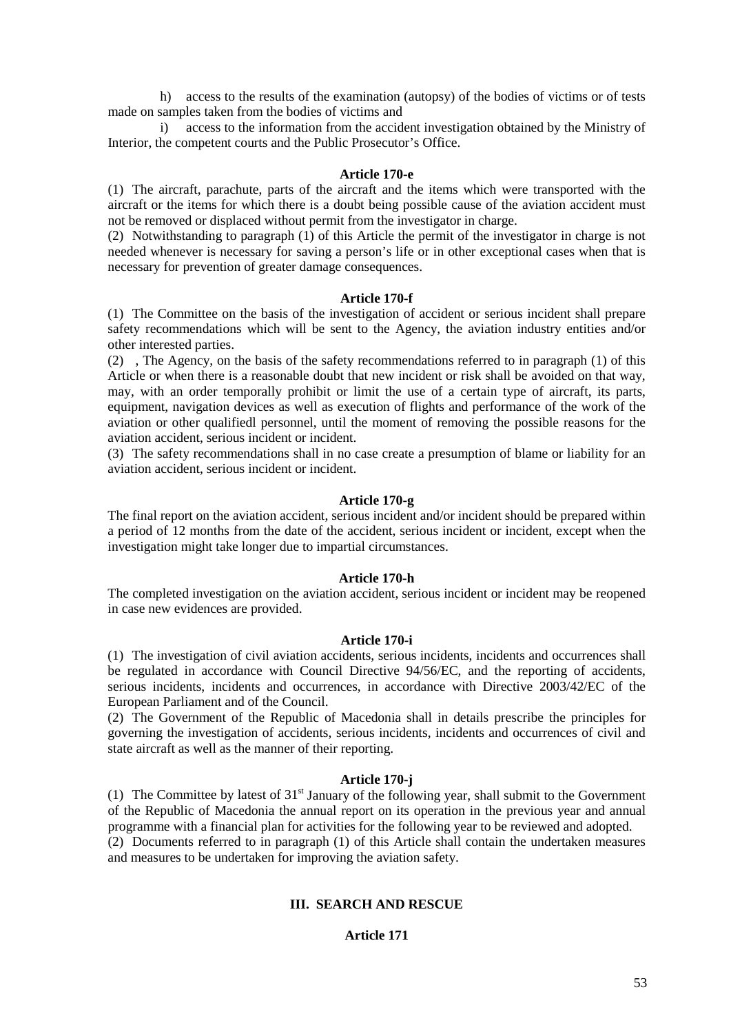h) access to the results of the examination (autopsy) of the bodies of victims or of tests made on samples taken from the bodies of victims and

i) access to the information from the accident investigation obtained by the Ministry of Interior, the competent courts and the Public Prosecutor's Office.

### **Article 170-e**

(1) The aircraft, parachute, parts of the aircraft and the items which were transported with the aircraft or the items for which there is a doubt being possible cause of the aviation accident must not be removed or displaced without permit from the investigator in charge.

(2) Notwithstanding to paragraph (1) of this Article the permit of the investigator in charge is not needed whenever is necessary for saving a person's life or in other exceptional cases when that is necessary for prevention of greater damage consequences.

#### **Article 170-f**

(1) The Committee on the basis of the investigation of accident or serious incident shall prepare safety recommendations which will be sent to the Agency, the aviation industry entities and/or other interested parties.

(2) , The Agency, on the basis of the safety recommendations referred to in paragraph (1) of this Article or when there is a reasonable doubt that new incident or risk shall be avoided on that way, may, with an order temporally prohibit or limit the use of a certain type of aircraft, its parts, equipment, navigation devices as well as execution of flights and performance of the work of the aviation or other qualifiedl personnel, until the moment of removing the possible reasons for the aviation accident, serious incident or incident.

(3) The safety recommendations shall in no case create a presumption of blame or liability for an aviation accident, serious incident or incident.

### **Article 170-g**

The final report on the aviation accident, serious incident and/or incident should be prepared within a period of 12 months from the date of the accident, serious incident or incident, except when the investigation might take longer due to impartial circumstances.

#### **Article 170-h**

The completed investigation on the aviation accident, serious incident or incident may be reopened in case new evidences are provided.

### **Article 170-i**

(1) The investigation of civil aviation accidents, serious incidents, incidents and occurrences shall be regulated in accordance with Council Directive 94/56/EC, and the reporting of accidents, serious incidents, incidents and occurrences, in accordance with Directive 2003/42/EC of the European Parliament and of the Council.

(2) The Government of the Republic of Macedonia shall in details prescribe the principles for governing the investigation of accidents, serious incidents, incidents and occurrences of civil and state aircraft as well as the manner of their reporting.

# **Article 170-j**

(1) The Committee by latest of  $31<sup>st</sup>$  January of the following year, shall submit to the Government of the Republic of Macedonia the annual report on its operation in the previous year and annual programme with a financial plan for activities for the following year to be reviewed and adopted. (2) Documents referred to in paragraph (1) of this Article shall contain the undertaken measures and measures to be undertaken for improving the aviation safety.

# **III. SEARCH AND RESCUE**

# **Article 171**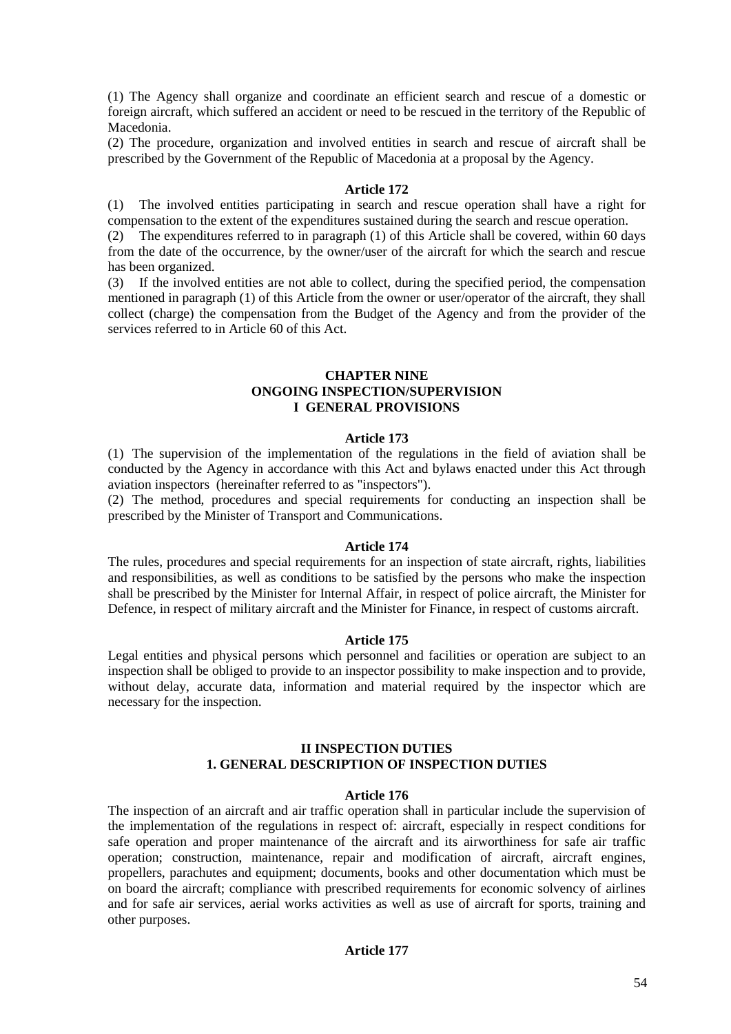(1) The Agency shall organize and coordinate an efficient search and rescue of a domestic or foreign aircraft, which suffered an accident or need to be rescued in the territory of the Republic of Macedonia.

(2) The procedure, organization and involved entities in search and rescue of aircraft shall be prescribed by the Government of the Republic of Macedonia at a proposal by the Agency.

#### **Article 172**

(1) The involved entities participating in search and rescue operation shall have a right for compensation to the extent of the expenditures sustained during the search and rescue operation.

(2) The expenditures referred to in paragraph (1) of this Article shall be covered, within 60 days from the date of the occurrence, by the owner/user of the aircraft for which the search and rescue has been organized.

(3) If the involved entities are not able to collect, during the specified period, the compensation mentioned in paragraph (1) of this Article from the owner or user/operator of the aircraft, they shall collect (charge) the compensation from the Budget of the Agency and from the provider of the services referred to in Article 60 of this Act.

### **CHAPTER NINE ONGOING INSPECTION/SUPERVISION I GENERAL PROVISIONS**

#### **Article 173**

(1) The supervision of the implementation of the regulations in the field of aviation shall be conducted by the Agency in accordance with this Act and bylaws enacted under this Act through aviation inspectors (hereinafter referred to as "inspectors").

(2) The method, procedures and special requirements for conducting an inspection shall be prescribed by the Minister of Transport and Communications.

#### **Article 174**

The rules, procedures and special requirements for an inspection of state aircraft, rights, liabilities and responsibilities, as well as conditions to be satisfied by the persons who make the inspection shall be prescribed by the Minister for Internal Affair, in respect of police aircraft, the Minister for Defence, in respect of military aircraft and the Minister for Finance, in respect of customs aircraft.

#### **Article 175**

Legal entities and physical persons which personnel and facilities or operation are subject to an inspection shall be obliged to provide to an inspector possibility to make inspection and to provide, without delay, accurate data, information and material required by the inspector which are necessary for the inspection.

# **II INSPECTION DUTIES 1. GENERAL DESCRIPTION OF INSPECTION DUTIES**

#### **Article 176**

The inspection of an aircraft and air traffic operation shall in particular include the supervision of the implementation of the regulations in respect of: aircraft, especially in respect conditions for safe operation and proper maintenance of the aircraft and its airworthiness for safe air traffic operation; construction, maintenance, repair and modification of aircraft, aircraft engines, propellers, parachutes and equipment; documents, books and other documentation which must be on board the aircraft; compliance with prescribed requirements for economic solvency of airlines and for safe air services, aerial works activities as well as use of aircraft for sports, training and other purposes.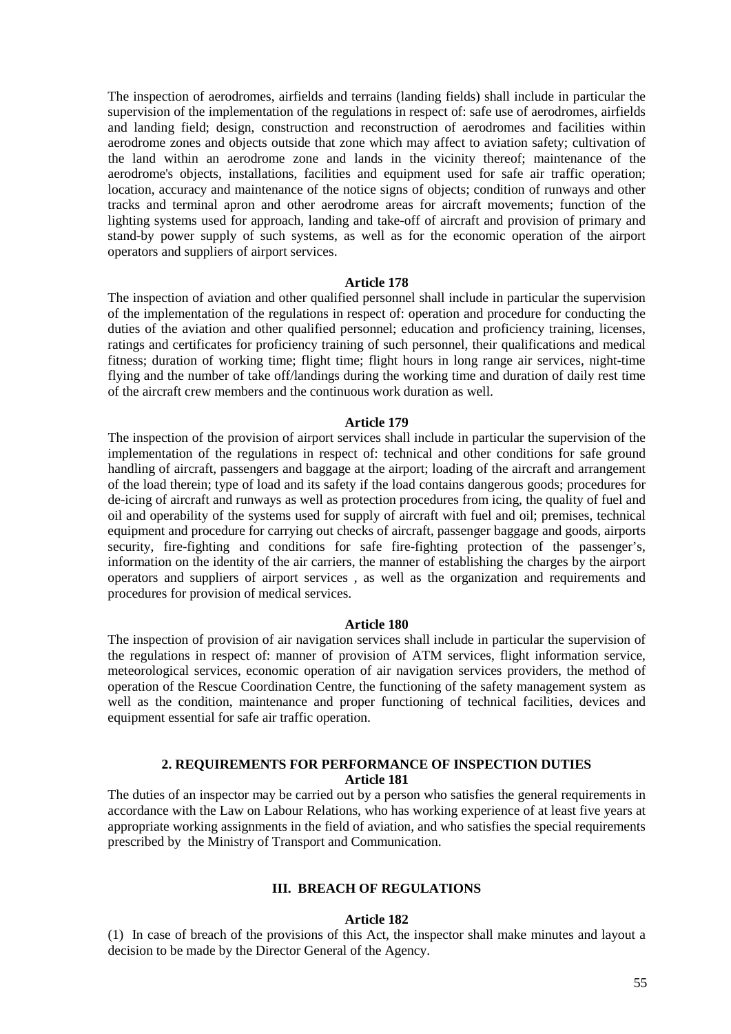The inspection of aerodromes, airfields and terrains (landing fields) shall include in particular the supervision of the implementation of the regulations in respect of: safe use of aerodromes, airfields and landing field; design, construction and reconstruction of aerodromes and facilities within aerodrome zones and objects outside that zone which may affect to aviation safety; cultivation of the land within an aerodrome zone and lands in the vicinity thereof; maintenance of the aerodrome's objects, installations, facilities and equipment used for safe air traffic operation; location, accuracy and maintenance of the notice signs of objects; condition of runways and other tracks and terminal apron and other aerodrome areas for aircraft movements; function of the lighting systems used for approach, landing and take-off of aircraft and provision of primary and stand-by power supply of such systems, as well as for the economic operation of the airport operators and suppliers of airport services.

#### **Article 178**

The inspection of aviation and other qualified personnel shall include in particular the supervision of the implementation of the regulations in respect of: operation and procedure for conducting the duties of the aviation and other qualified personnel; education and proficiency training, licenses, ratings and certificates for proficiency training of such personnel, their qualifications and medical fitness; duration of working time; flight time; flight hours in long range air services, night-time flying and the number of take off/landings during the working time and duration of daily rest time of the aircraft crew members and the continuous work duration as well.

#### **Article 179**

The inspection of the provision of airport services shall include in particular the supervision of the implementation of the regulations in respect of: technical and other conditions for safe ground handling of aircraft, passengers and baggage at the airport; loading of the aircraft and arrangement of the load therein; type of load and its safety if the load contains dangerous goods; procedures for de-icing of aircraft and runways as well as protection procedures from icing, the quality of fuel and oil and operability of the systems used for supply of aircraft with fuel and oil; premises, technical equipment and procedure for carrying out checks of aircraft, passenger baggage and goods, airports security, fire-fighting and conditions for safe fire-fighting protection of the passenger's, information on the identity of the air carriers, the manner of establishing the charges by the airport operators and suppliers of airport services , as well as the organization and requirements and procedures for provision of medical services.

#### **Article 180**

The inspection of provision of air navigation services shall include in particular the supervision of the regulations in respect of: manner of provision of ATM services, flight information service, meteorological services, economic operation of air navigation services providers, the method of operation of the Rescue Coordination Centre, the functioning of the safety management system as well as the condition, maintenance and proper functioning of technical facilities, devices and equipment essential for safe air traffic operation.

# **2. REQUIREMENTS FOR PERFORMANCE OF INSPECTION DUTIES Article 181**

The duties of an inspector may be carried out by a person who satisfies the general requirements in accordance with the Law on Labour Relations, who has working experience of at least five years at appropriate working assignments in the field of aviation, and who satisfies the special requirements prescribed by the Ministry of Transport and Communication.

#### **III. BREACH OF REGULATIONS**

#### **Article 182**

(1) In case of breach of the provisions of this Act, the inspector shall make minutes and layout a decision to be made by the Director General of the Agency.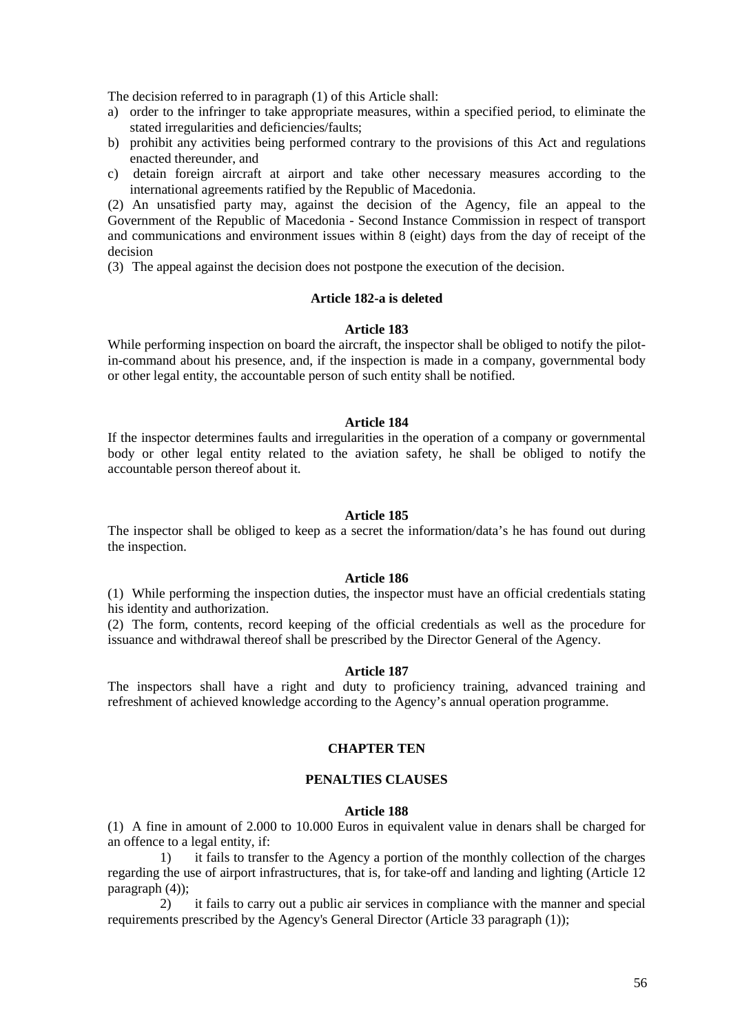The decision referred to in paragraph (1) of this Article shall:

- a) order to the infringer to take appropriate measures, within a specified period, to eliminate the stated irregularities and deficiencies/faults;
- b) prohibit any activities being performed contrary to the provisions of this Act and regulations enacted thereunder, and
- c) detain foreign aircraft at airport and take other necessary measures according to the international agreements ratified by the Republic of Macedonia.

(2) An unsatisfied party may, against the decision of the Agency, file an appeal to the Government of the Republic of Macedonia - Second Instance Commission in respect of transport and communications and environment issues within 8 (eight) days from the day of receipt of the decision

(3) The appeal against the decision does not postpone the execution of the decision.

# **Article 182-a is deleted**

#### **Article 183**

While performing inspection on board the aircraft, the inspector shall be obliged to notify the pilotin-command about his presence, and, if the inspection is made in a company, governmental body or other legal entity, the accountable person of such entity shall be notified.

#### **Article 184**

If the inspector determines faults and irregularities in the operation of a company or governmental body or other legal entity related to the aviation safety, he shall be obliged to notify the accountable person thereof about it.

#### **Article 185**

The inspector shall be obliged to keep as a secret the information/data's he has found out during the inspection.

#### **Article 186**

(1) While performing the inspection duties, the inspector must have an official credentials stating his identity and authorization.

(2) The form, contents, record keeping of the official credentials as well as the procedure for issuance and withdrawal thereof shall be prescribed by the Director General of the Agency.

#### **Article 187**

The inspectors shall have a right and duty to proficiency training, advanced training and refreshment of achieved knowledge according to the Agency's annual operation programme.

# **CHAPTER TEN**

### **PENALTIES CLAUSES**

#### **Article 188**

(1) A fine in amount of 2.000 to 10.000 Euros in equivalent value in denars shall be charged for an offence to a legal entity, if:

1) it fails to transfer to the Agency a portion of the monthly collection of the charges regarding the use of airport infrastructures, that is, for take-off and landing and lighting (Article 12 paragraph (4));

2) it fails to carry out a public air services in compliance with the manner and special requirements prescribed by the Agency's General Director (Article 33 paragraph (1));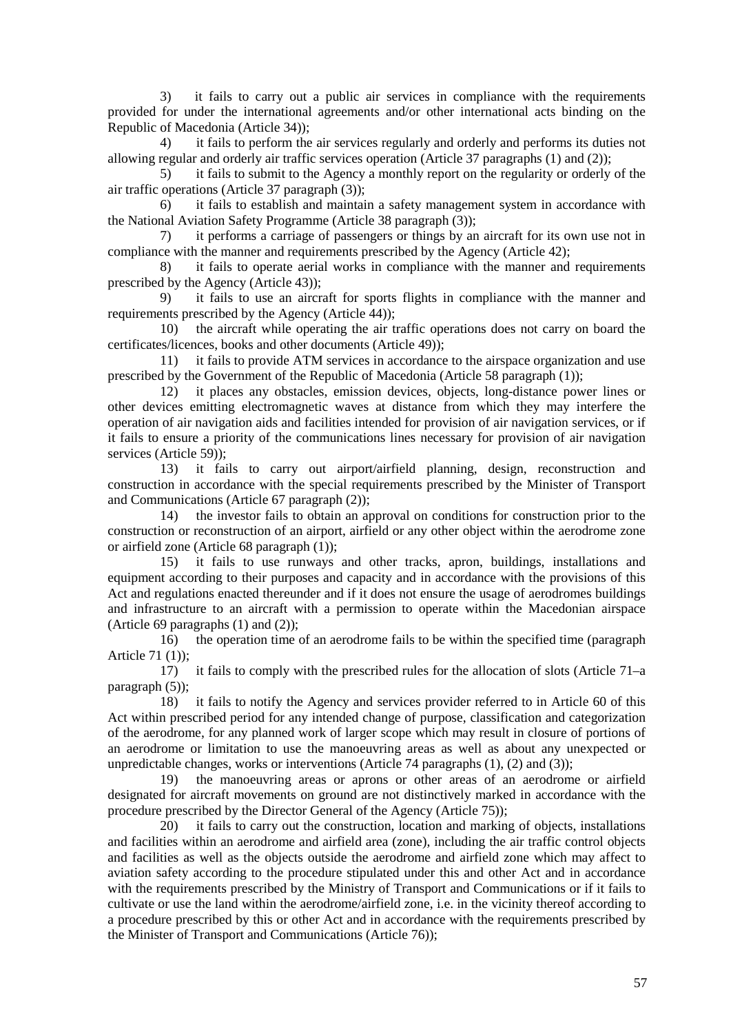3) it fails to carry out a public air services in compliance with the requirements provided for under the international agreements and/or other international acts binding on the Republic of Macedonia (Article 34));

4) it fails to perform the air services regularly and orderly and performs its duties not allowing regular and orderly air traffic services operation (Article 37 paragraphs (1) and (2));

5) it fails to submit to the Agency a monthly report on the regularity or orderly of the air traffic operations (Article 37 paragraph (3));

6) it fails to establish and maintain a safety management system in accordance with the National Aviation Safety Programme (Article 38 paragraph (3));

7) it performs a carriage of passengers or things by an aircraft for its own use not in compliance with the manner and requirements prescribed by the Agency (Article 42);

8) it fails to operate aerial works in compliance with the manner and requirements prescribed by the Agency (Article 43));

9) it fails to use an aircraft for sports flights in compliance with the manner and requirements prescribed by the Agency (Article 44));

10) the aircraft while operating the air traffic operations does not carry on board the certificates/licences, books and other documents (Article 49));

11) it fails to provide ATM services in accordance to the airspace organization and use prescribed by the Government of the Republic of Macedonia (Article 58 paragraph (1));

12) it places any obstacles, emission devices, objects, long-distance power lines or other devices emitting electromagnetic waves at distance from which they may interfere the operation of air navigation aids and facilities intended for provision of air navigation services, or if it fails to ensure a priority of the communications lines necessary for provision of air navigation services (Article 59));

13) it fails to carry out airport/airfield planning, design, reconstruction and construction in accordance with the special requirements prescribed by the Minister of Transport and Communications (Article 67 paragraph (2));

14) the investor fails to obtain an approval on conditions for construction prior to the construction or reconstruction of an airport, airfield or any other object within the aerodrome zone or airfield zone (Article 68 paragraph (1));

15) it fails to use runways and other tracks, apron, buildings, installations and equipment according to their purposes and capacity and in accordance with the provisions of this Act and regulations enacted thereunder and if it does not ensure the usage of aerodromes buildings and infrastructure to an aircraft with a permission to operate within the Macedonian airspace (Article 69 paragraphs (1) and (2));

16) the operation time of an aerodrome fails to be within the specified time (paragraph Article 71 (1));

17) it fails to comply with the prescribed rules for the allocation of slots (Article 71–a paragraph (5));

18) it fails to notify the Agency and services provider referred to in Article 60 of this Act within prescribed period for any intended change of purpose, classification and categorization of the aerodrome, for any planned work of larger scope which may result in closure of portions of an aerodrome or limitation to use the manoeuvring areas as well as about any unexpected or unpredictable changes, works or interventions (Article 74 paragraphs (1), (2) and (3));

19) the manoeuvring areas or aprons or other areas of an aerodrome or airfield designated for aircraft movements on ground are not distinctively marked in accordance with the procedure prescribed by the Director General of the Agency (Article 75));

20) it fails to carry out the construction, location and marking of objects, installations and facilities within an aerodrome and airfield area (zone), including the air traffic control objects and facilities as well as the objects outside the aerodrome and airfield zone which may affect to aviation safety according to the procedure stipulated under this and other Act and in accordance with the requirements prescribed by the Ministry of Transport and Communications or if it fails to cultivate or use the land within the aerodrome/airfield zone, i.e. in the vicinity thereof according to a procedure prescribed by this or other Act and in accordance with the requirements prescribed by the Minister of Transport and Communications (Article 76));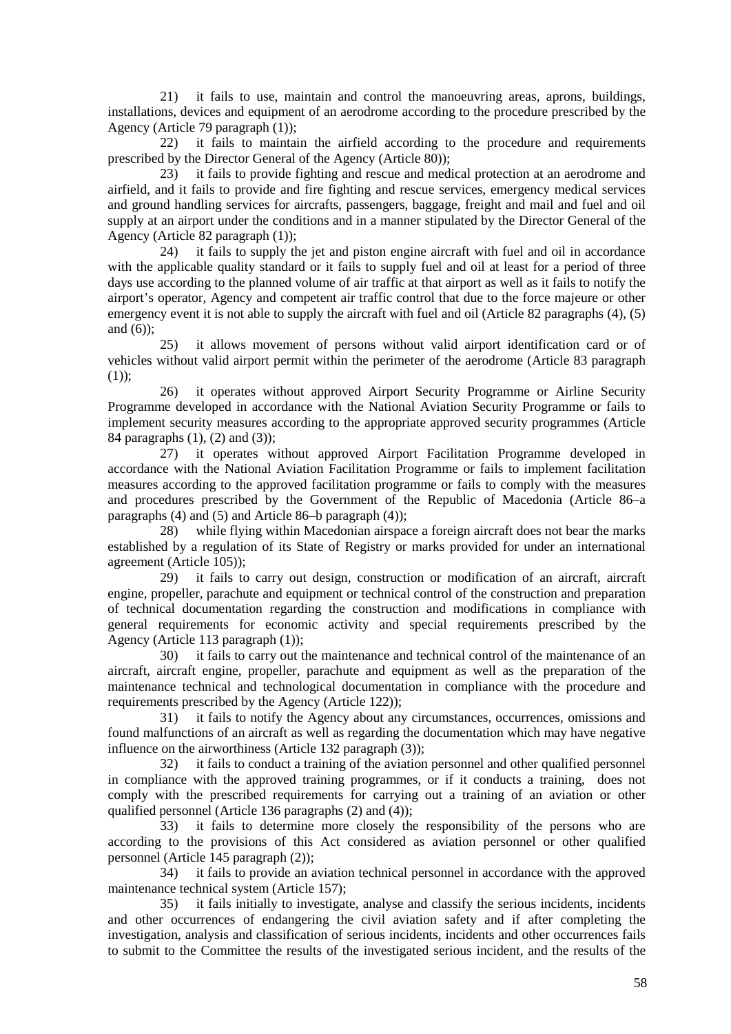21) it fails to use, maintain and control the manoeuvring areas, aprons, buildings, installations, devices and equipment of an aerodrome according to the procedure prescribed by the Agency (Article 79 paragraph (1));

22) it fails to maintain the airfield according to the procedure and requirements prescribed by the Director General of the Agency (Article 80));

23) it fails to provide fighting and rescue and medical protection at an aerodrome and airfield, and it fails to provide and fire fighting and rescue services, emergency medical services and ground handling services for aircrafts, passengers, baggage, freight and mail and fuel and oil supply at an airport under the conditions and in a manner stipulated by the Director General of the Agency (Article 82 paragraph (1));

24) it fails to supply the jet and piston engine aircraft with fuel and oil in accordance with the applicable quality standard or it fails to supply fuel and oil at least for a period of three days use according to the planned volume of air traffic at that airport as well as it fails to notify the airport's operator, Agency and competent air traffic control that due to the force majeure or other emergency event it is not able to supply the aircraft with fuel and oil (Article 82 paragraphs (4), (5) and (6));

25) it allows movement of persons without valid airport identification card or of vehicles without valid airport permit within the perimeter of the aerodrome (Article 83 paragraph  $(1)$ :

26) it operates without approved Airport Security Programme or Airline Security Programme developed in accordance with the National Aviation Security Programme or fails to implement security measures according to the appropriate approved security programmes (Article 84 paragraphs (1), (2) and (3));

27) it operates without approved Airport Facilitation Programme developed in accordance with the National Aviation Facilitation Programme or fails to implement facilitation measures according to the approved facilitation programme or fails to comply with the measures and procedures prescribed by the Government of the Republic of Macedonia (Article 86–a paragraphs (4) and (5) and Article 86–b paragraph (4));

28) while flying within Macedonian airspace a foreign aircraft does not bear the marks established by a regulation of its State of Registry or marks provided for under an international agreement (Article 105));

29) it fails to carry out design, construction or modification of an aircraft, aircraft engine, propeller, parachute and equipment or technical control of the construction and preparation of technical documentation regarding the construction and modifications in compliance with general requirements for economic activity and special requirements prescribed by the Agency (Article 113 paragraph (1));

30) it fails to carry out the maintenance and technical control of the maintenance of an aircraft, aircraft engine, propeller, parachute and equipment as well as the preparation of the maintenance technical and technological documentation in compliance with the procedure and requirements prescribed by the Agency (Article 122));

31) it fails to notify the Agency about any circumstances, occurrences, omissions and found malfunctions of an aircraft as well as regarding the documentation which may have negative influence on the airworthiness (Article 132 paragraph (3));

32) it fails to conduct a training of the aviation personnel and other qualified personnel in compliance with the approved training programmes, or if it conducts a training, does not comply with the prescribed requirements for carrying out a training of an aviation or other qualified personnel (Article 136 paragraphs (2) and (4));

33) it fails to determine more closely the responsibility of the persons who are according to the provisions of this Act considered as aviation personnel or other qualified personnel (Article 145 paragraph (2));

34) it fails to provide an aviation technical personnel in accordance with the approved maintenance technical system (Article 157);

35) it fails initially to investigate, analyse and classify the serious incidents, incidents and other occurrences of endangering the civil aviation safety and if after completing the investigation, analysis and classification of serious incidents, incidents and other occurrences fails to submit to the Committee the results of the investigated serious incident, and the results of the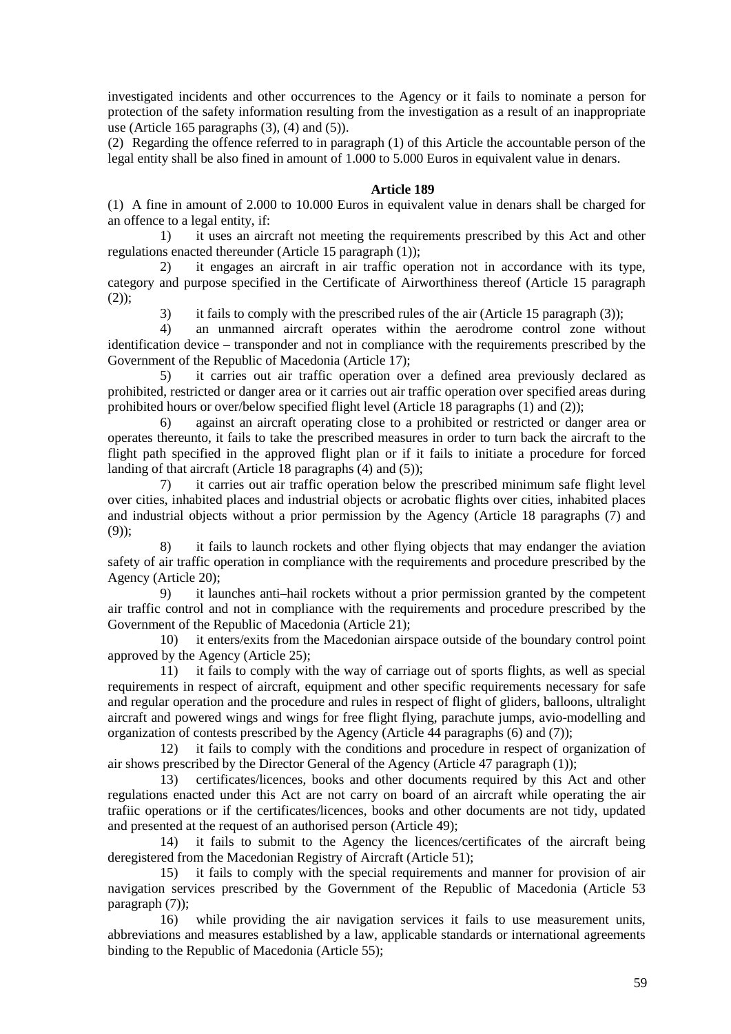investigated incidents and other occurrences to the Agency or it fails to nominate a person for protection of the safety information resulting from the investigation as a result of an inappropriate use (Article 165 paragraphs  $(3)$ ,  $(4)$  and  $(5)$ ).

(2) Regarding the offence referred to in paragraph (1) of this Article the accountable person of the legal entity shall be also fined in amount of 1.000 to 5.000 Euros in equivalent value in denars.

#### **Article 189**

(1) A fine in amount of 2.000 to 10.000 Euros in equivalent value in denars shall be charged for an offence to a legal entity, if:

1) it uses an aircraft not meeting the requirements prescribed by this Act and other regulations enacted thereunder (Article 15 paragraph (1));

2) it engages an aircraft in air traffic operation not in accordance with its type, category and purpose specified in the Certificate of Airworthiness thereof (Article 15 paragraph  $(2)$ ;

3) it fails to comply with the prescribed rules of the air (Article 15 paragraph (3));<br>4) an unmanned aircraft operates within the aerodrome control zone with

an unmanned aircraft operates within the aerodrome control zone without identification device – transponder and not in compliance with the requirements prescribed by the Government of the Republic of Macedonia (Article 17);

5) it carries out air traffic operation over a defined area previously declared as prohibited, restricted or danger area or it carries out air traffic operation over specified areas during prohibited hours or over/below specified flight level (Article 18 paragraphs (1) and (2));

6) against an aircraft operating close to a prohibited or restricted or danger area or operates thereunto, it fails to take the prescribed measures in order to turn back the aircraft to the flight path specified in the approved flight plan or if it fails to initiate a procedure for forced landing of that aircraft (Article 18 paragraphs (4) and (5));

7) it carries out air traffic operation below the prescribed minimum safe flight level over cities, inhabited places and industrial objects or acrobatic flights over cities, inhabited places and industrial objects without a prior permission by the Agency (Article 18 paragraphs (7) and (9));

8) it fails to launch rockets and other flying objects that may endanger the aviation safety of air traffic operation in compliance with the requirements and procedure prescribed by the Agency (Article 20);

9) it launches anti–hail rockets without a prior permission granted by the competent air traffic control and not in compliance with the requirements and procedure prescribed by the Government of the Republic of Macedonia (Article 21);

10) it enters/exits from the Macedonian airspace outside of the boundary control point approved by the Agency (Article 25);

11) it fails to comply with the way of carriage out of sports flights, as well as special requirements in respect of aircraft, equipment and other specific requirements necessary for safe and regular operation and the procedure and rules in respect of flight of gliders, balloons, ultralight aircraft and powered wings and wings for free flight flying, parachute jumps, avio-modelling and organization of contests prescribed by the Agency (Article 44 paragraphs (6) and (7));

12) it fails to comply with the conditions and procedure in respect of organization of air shows prescribed by the Director General of the Agency (Article 47 paragraph (1));

13) certificates/licences, books and other documents required by this Act and other regulations enacted under this Act are not carry on board of an aircraft while operating the air trafiic operations or if the certificates/licences, books and other documents are not tidy, updated and presented at the request of an authorised person (Article 49);

14) it fails to submit to the Agency the licences/certificates of the aircraft being deregistered from the Macedonian Registry of Aircraft (Article 51);

15) it fails to comply with the special requirements and manner for provision of air navigation services prescribed by the Government of the Republic of Macedonia (Article 53 paragraph (7));

16) while providing the air navigation services it fails to use measurement units, abbreviations and measures established by a law, applicable standards or international agreements binding to the Republic of Macedonia (Article 55);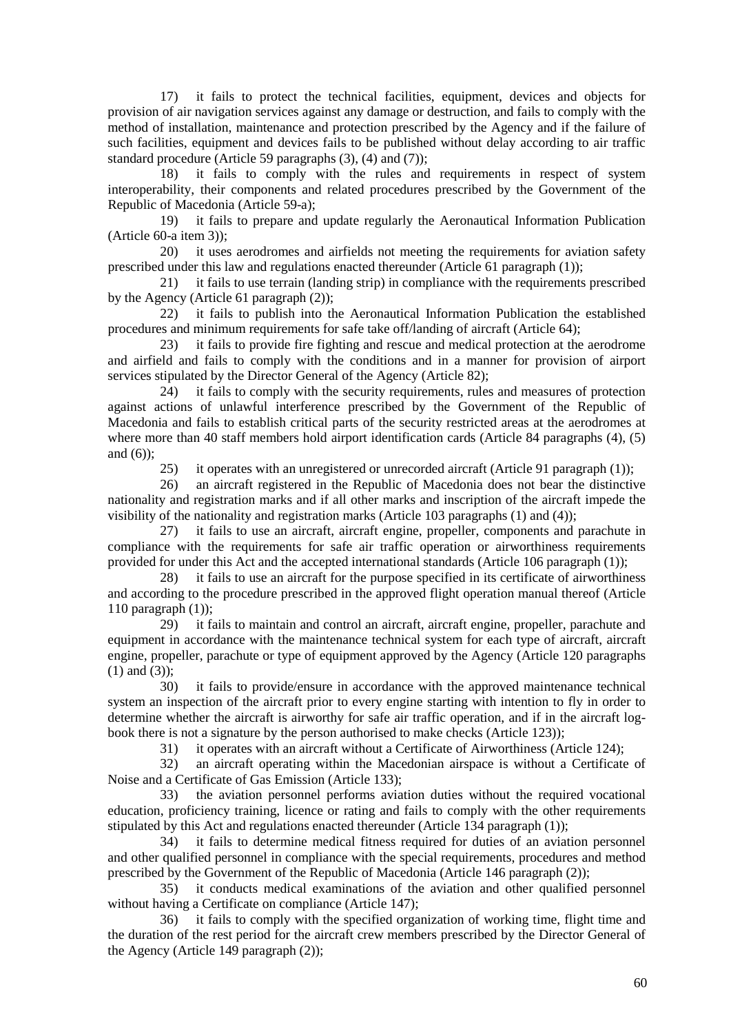17) it fails to protect the technical facilities, equipment, devices and objects for provision of air navigation services against any damage or destruction, and fails to comply with the method of installation, maintenance and protection prescribed by the Agency and if the failure of such facilities, equipment and devices fails to be published without delay according to air traffic standard procedure (Article 59 paragraphs (3), (4) and (7));

18) it fails to comply with the rules and requirements in respect of system interoperability, their components and related procedures prescribed by the Government of the Republic of Macedonia (Article 59-a);

19) it fails to prepare and update regularly the Aeronautical Information Publication (Article 60-a item 3));

20) it uses aerodromes and airfields not meeting the requirements for aviation safety prescribed under this law and regulations enacted thereunder (Article 61 paragraph (1));

21) it fails to use terrain (landing strip) in compliance with the requirements prescribed by the Agency (Article 61 paragraph (2));

22) it fails to publish into the Aeronautical Information Publication the established procedures and minimum requirements for safe take off/landing of aircraft (Article 64);

23) it fails to provide fire fighting and rescue and medical protection at the aerodrome and airfield and fails to comply with the conditions and in a manner for provision of airport services stipulated by the Director General of the Agency (Article 82);

24) it fails to comply with the security requirements, rules and measures of protection against actions of unlawful interference prescribed by the Government of the Republic of Macedonia and fails to establish critical parts of the security restricted areas at the aerodromes at where more than 40 staff members hold airport identification cards (Article 84 paragraphs (4), (5) and (6));

25) it operates with an unregistered or unrecorded aircraft (Article 91 paragraph (1));

26) an aircraft registered in the Republic of Macedonia does not bear the distinctive nationality and registration marks and if all other marks and inscription of the aircraft impede the visibility of the nationality and registration marks (Article 103 paragraphs (1) and (4));

27) it fails to use an aircraft, aircraft engine, propeller, components and parachute in compliance with the requirements for safe air traffic operation or airworthiness requirements provided for under this Act and the accepted international standards (Article 106 paragraph (1));

28) it fails to use an aircraft for the purpose specified in its certificate of airworthiness and according to the procedure prescribed in the approved flight operation manual thereof (Article 110 paragraph (1));

29) it fails to maintain and control an aircraft, aircraft engine, propeller, parachute and equipment in accordance with the maintenance technical system for each type of aircraft, aircraft engine, propeller, parachute or type of equipment approved by the Agency (Article 120 paragraphs  $(1)$  and  $(3)$ );

30) it fails to provide/ensure in accordance with the approved maintenance technical system an inspection of the aircraft prior to every engine starting with intention to fly in order to determine whether the aircraft is airworthy for safe air traffic operation, and if in the aircraft logbook there is not a signature by the person authorised to make checks (Article 123));

31) it operates with an aircraft without a Certificate of Airworthiness (Article 124);

32) an aircraft operating within the Macedonian airspace is without a Certificate of Noise and a Certificate of Gas Emission (Article 133);

33) the aviation personnel performs aviation duties without the required vocational education, proficiency training, licence or rating and fails to comply with the other requirements stipulated by this Act and regulations enacted thereunder (Article 134 paragraph (1));

34) it fails to determine medical fitness required for duties of an aviation personnel and other qualified personnel in compliance with the special requirements, procedures and method prescribed by the Government of the Republic of Macedonia (Article 146 paragraph (2));

35) it conducts medical examinations of the aviation and other qualified personnel without having a Certificate on compliance (Article 147);

36) it fails to comply with the specified organization of working time, flight time and the duration of the rest period for the aircraft crew members prescribed by the Director General of the Agency (Article 149 paragraph (2));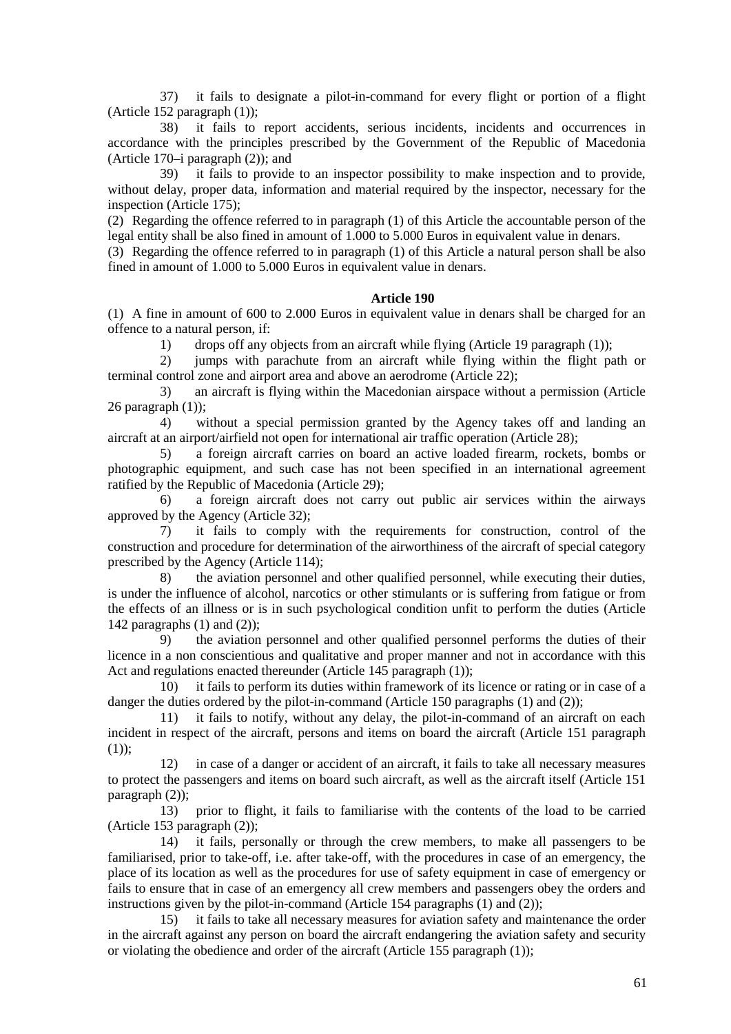37) it fails to designate a pilot-in-command for every flight or portion of a flight (Article 152 paragraph (1));

38) it fails to report accidents, serious incidents, incidents and occurrences in accordance with the principles prescribed by the Government of the Republic of Macedonia (Article 170–i paragraph (2)); and

39) it fails to provide to an inspector possibility to make inspection and to provide, without delay, proper data, information and material required by the inspector, necessary for the inspection (Article 175);

(2) Regarding the offence referred to in paragraph (1) of this Article the accountable person of the legal entity shall be also fined in amount of 1.000 to 5.000 Euros in equivalent value in denars.

(3) Regarding the offence referred to in paragraph (1) of this Article a natural person shall be also fined in amount of 1.000 to 5.000 Euros in equivalent value in denars.

#### **Article 190**

(1) A fine in amount of 600 to 2.000 Euros in equivalent value in denars shall be charged for an offence to a natural person, if:

1) drops off any objects from an aircraft while flying (Article 19 paragraph (1));

2) jumps with parachute from an aircraft while flying within the flight path or terminal control zone and airport area and above an aerodrome (Article 22);

3) an aircraft is flying within the Macedonian airspace without a permission (Article 26 paragraph (1));

4) without a special permission granted by the Agency takes off and landing an aircraft at an airport/airfield not open for international air traffic operation (Article 28);

5) a foreign aircraft carries on board an active loaded firearm, rockets, bombs or photographic equipment, and such case has not been specified in an international agreement ratified by the Republic of Macedonia (Article 29);

6) a foreign aircraft does not carry out public air services within the airways approved by the Agency (Article 32);

7) it fails to comply with the requirements for construction, control of the construction and procedure for determination of the airworthiness of the aircraft of special category prescribed by the Agency (Article 114);

8) the aviation personnel and other qualified personnel, while executing their duties, is under the influence of alcohol, narcotics or other stimulants or is suffering from fatigue or from the effects of an illness or is in such psychological condition unfit to perform the duties (Article 142 paragraphs  $(1)$  and  $(2)$ );<br>9) the aviation

the aviation personnel and other qualified personnel performs the duties of their licence in a non conscientious and qualitative and proper manner and not in accordance with this Act and regulations enacted thereunder (Article 145 paragraph (1));

10) it fails to perform its duties within framework of its licence or rating or in case of a danger the duties ordered by the pilot-in-command (Article 150 paragraphs (1) and (2));

11) it fails to notify, without any delay, the pilot-in-command of an aircraft on each incident in respect of the aircraft, persons and items on board the aircraft (Article 151 paragraph  $(1)$ :

12) in case of a danger or accident of an aircraft, it fails to take all necessary measures to protect the passengers and items on board such aircraft, as well as the aircraft itself (Article 151 paragraph (2));

13) prior to flight, it fails to familiarise with the contents of the load to be carried (Article 153 paragraph (2));

14) it fails, personally or through the crew members, to make all passengers to be familiarised, prior to take-off, i.e. after take-off, with the procedures in case of an emergency, the place of its location as well as the procedures for use of safety equipment in case of emergency or fails to ensure that in case of an emergency all crew members and passengers obey the orders and instructions given by the pilot-in-command (Article 154 paragraphs (1) and (2));

15) it fails to take all necessary measures for aviation safety and maintenance the order in the aircraft against any person on board the aircraft endangering the aviation safety and security or violating the obedience and order of the aircraft (Article 155 paragraph (1));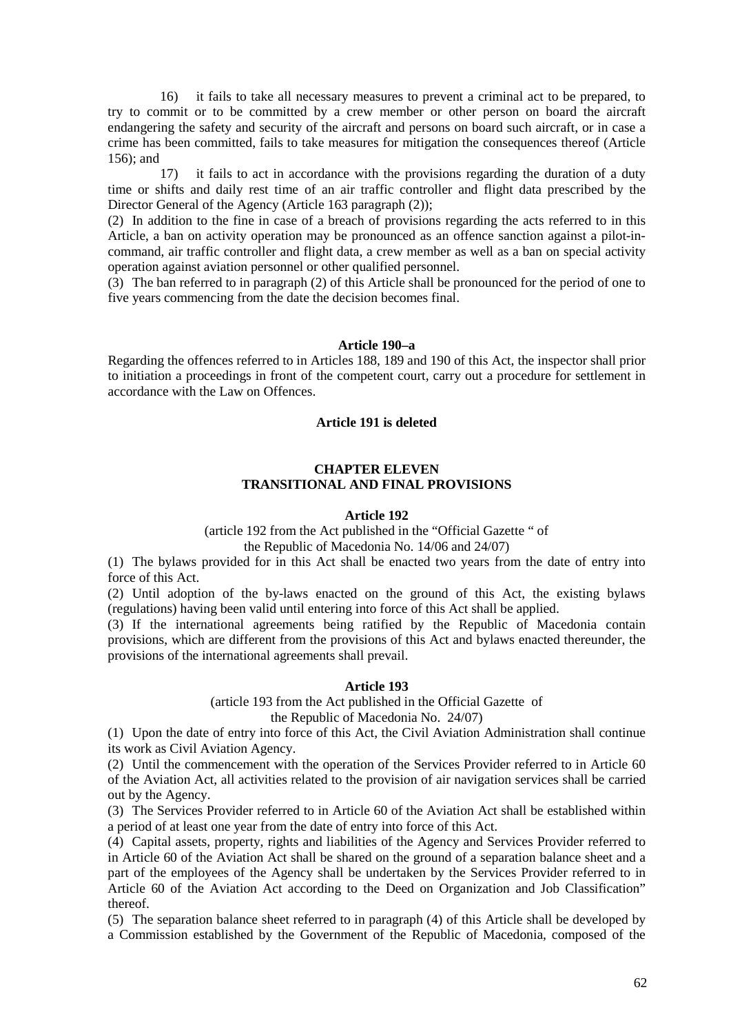16) it fails to take all necessary measures to prevent a criminal act to be prepared, to try to commit or to be committed by a crew member or other person on board the aircraft endangering the safety and security of the aircraft and persons on board such aircraft, or in case a crime has been committed, fails to take measures for mitigation the consequences thereof (Article 156); and

17) it fails to act in accordance with the provisions regarding the duration of a duty time or shifts and daily rest time of an air traffic controller and flight data prescribed by the Director General of the Agency (Article 163 paragraph (2));

(2) In addition to the fine in case of a breach of provisions regarding the acts referred to in this Article, a ban on activity operation may be pronounced as an offence sanction against a pilot-incommand, air traffic controller and flight data, a crew member as well as a ban on special activity operation against aviation personnel or other qualified personnel.

(3) The ban referred to in paragraph (2) of this Article shall be pronounced for the period of one to five years commencing from the date the decision becomes final.

#### **Article 190–a**

Regarding the offences referred to in Articles 188, 189 and 190 of this Act, the inspector shall prior to initiation a proceedings in front of the competent court, carry out a procedure for settlement in accordance with the Law on Offences.

### **Article 191 is deleted**

### **CHAPTER ELEVEN TRANSITIONAL AND FINAL PROVISIONS**

#### **Article 192**

(article 192 from the Act published in the "Official Gazette " of

the Republic of Macedonia No. 14/06 and 24/07)

(1) The bylaws provided for in this Act shall be enacted two years from the date of entry into force of this Act.

(2) Until adoption of the by-laws enacted on the ground of this Act, the existing bylaws (regulations) having been valid until entering into force of this Act shall be applied.

(3) If the international agreements being ratified by the Republic of Macedonia contain provisions, which are different from the provisions of this Act and bylaws enacted thereunder, the provisions of the international agreements shall prevail.

#### **Article 193**

(article 193 from the Act published in the Official Gazette of

the Republic of Macedonia No. 24/07)

(1) Upon the date of entry into force of this Act, the Civil Aviation Administration shall continue its work as Civil Aviation Agency.

(2) Until the commencement with the operation of the Services Provider referred to in Article 60 of the Aviation Act, all activities related to the provision of air navigation services shall be carried out by the Agency.

(3) The Services Provider referred to in Article 60 of the Aviation Act shall be established within a period of at least one year from the date of entry into force of this Act.

(4) Capital assets, property, rights and liabilities of the Agency and Services Provider referred to in Article 60 of the Aviation Act shall be shared on the ground of a separation balance sheet and a part of the employees of the Agency shall be undertaken by the Services Provider referred to in Article 60 of the Aviation Act according to the Deed on Organization and Job Classification" thereof.

(5) The separation balance sheet referred to in paragraph (4) of this Article shall be developed by a Commission established by the Government of the Republic of Macedonia, composed of the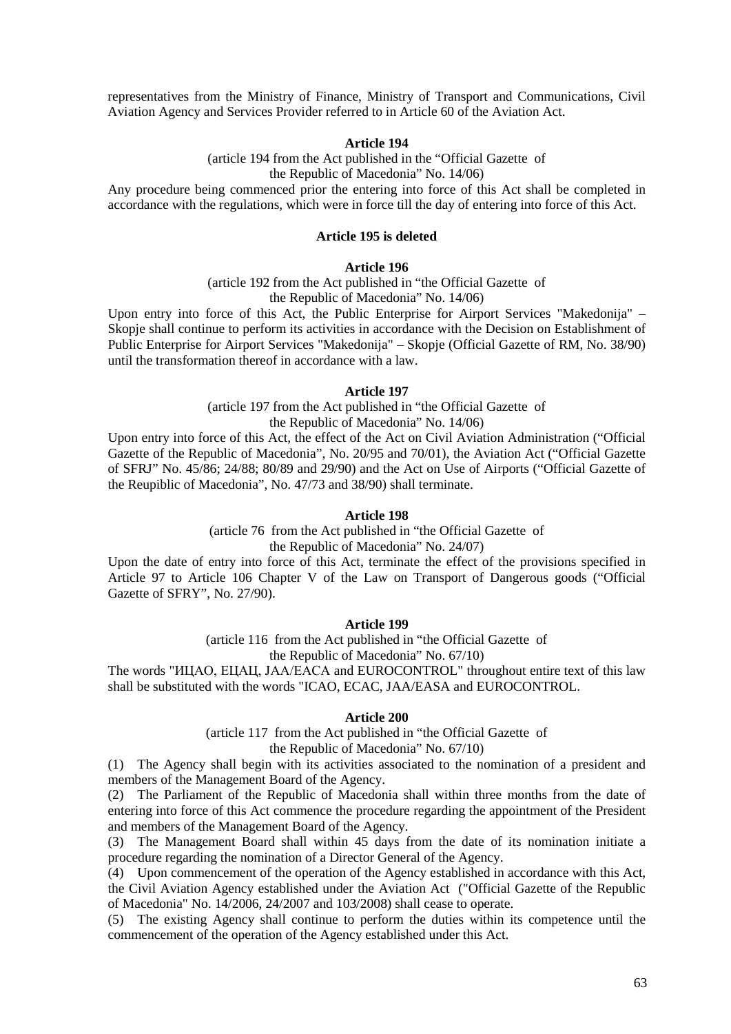representatives from the Ministry of Finance, Ministry of Transport and Communications, Civil Aviation Agency and Services Provider referred to in Article 60 of the Aviation Act.

### **Article 194**

(article 194 from the Act published in the "Official Gazette of the Republic of Macedonia" No. 14/06)

Any procedure being commenced prior the entering into force of this Act shall be completed in accordance with the regulations, which were in force till the day of entering into force of this Act.

### **Article 195 is deleted**

### **Article 196**

(article 192 from the Act published in "the Official Gazette of the Republic of Macedonia" No. 14/06)

Upon entry into force of this Act, the Public Enterprise for Airport Services "Makedonija" – Skopje shall continue to perform its activities in accordance with the Decision on Establishment of Public Enterprise for Airport Services "Makedonija" – Skopje (Official Gazette of RM, No. 38/90) until the transformation thereof in accordance with a law.

#### **Article 197**

(article 197 from the Act published in "the Official Gazette of the Republic of Macedonia" No. 14/06)

Upon entry into force of this Act, the effect of the Act on Civil Aviation Administration ("Official Gazette of the Republic of Macedonia", No. 20/95 and 70/01), the Aviation Act ("Official Gazette of SFRJ" No. 45/86; 24/88; 80/89 and 29/90) and the Act on Use of Airports ("Official Gazette of the Reupiblic of Macedonia", No. 47/73 and 38/90) shall terminate.

#### **Article 198**

(article 76 from the Act published in "the Official Gazette of

the Republic of Macedonia" No. 24/07)

Upon the date of entry into force of this Act, terminate the effect of the provisions specified in Article 97 to Article 106 Chapter V of the Law on Transport of Dangerous goods ("Official Gazette of SFRY", No. 27/90).

#### **Article 199**

(article 116 from the Act published in "the Official Gazette of

the Republic of Macedonia" No. 67/10)

The words "ИЦАО, ЕЦАЦ, ЈАА/ЕАСА and EUROCONTROL" throughout entire text of this law shall be substituted with the words "ICAO, ECAC, JAA/EASA and EUROCONTROL.

### **Article 200**

(article 117 from the Act published in "the Official Gazette of

the Republic of Macedonia" No. 67/10)

(1) The Agency shall begin with its activities associated to the nomination of a president and members of the Management Board of the Agency.

(2) The Parliament of the Republic of Macedonia shall within three months from the date of entering into force of this Act commence the procedure regarding the appointment of the President and members of the Management Board of the Agency.

(3) The Management Board shall within 45 days from the date of its nomination initiate a procedure regarding the nomination of a Director General of the Agency.

(4) Upon commencement of the operation of the Agency established in accordance with this Act, the Civil Aviation Agency established under the Aviation Act ("Official Gazette of the Republic of Macedonia" No. 14/2006, 24/2007 and 103/2008) shall cease to operate.

(5) The existing Agency shall continue to perform the duties within its competence until the commencement of the operation of the Agency established under this Act.